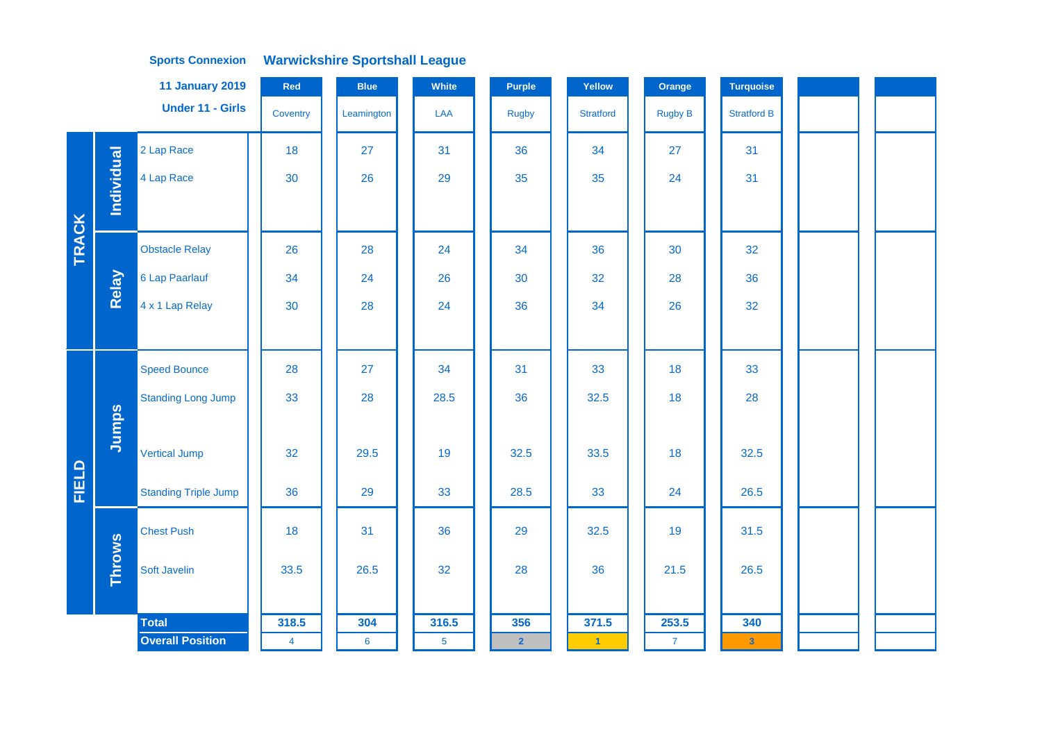|              |               | <b>11 January 2019</b>      | Red            | <b>Blue</b>     | White          | <b>Purple</b>  | Yellow               | Orange         | Turquoise               |  |  |
|--------------|---------------|-----------------------------|----------------|-----------------|----------------|----------------|----------------------|----------------|-------------------------|--|--|
|              |               | <b>Under 11 - Girls</b>     | Coventry       | Leamington      | LAA            | <b>Rugby</b>   | <b>Stratford</b>     | <b>Rugby B</b> | <b>Stratford B</b>      |  |  |
|              |               | 2 Lap Race                  | 18             | 27              | 31             | 36             | 34                   | 27             | 31                      |  |  |
|              | Individual    | 4 Lap Race                  | 30             | 26              | 29             | 35             | 35                   | 24             | 31                      |  |  |
|              |               |                             |                |                 |                |                |                      |                |                         |  |  |
| <b>TRACK</b> |               | <b>Obstacle Relay</b>       | 26             | 28              | 24             | 34             | 36                   | 30             | 32                      |  |  |
|              | Relay         | 6 Lap Paarlauf              | 34             | 24              | 26             | 30             | 32                   | 28             | 36                      |  |  |
|              |               | 4 x 1 Lap Relay             | 30             | 28              | 24             | 36             | 34                   | 26             | 32                      |  |  |
|              |               |                             |                |                 |                |                |                      |                |                         |  |  |
|              |               | <b>Speed Bounce</b>         | 28             | 27              | 34             | 31             | 33                   | 18             | 33                      |  |  |
|              |               | <b>Standing Long Jump</b>   | 33             | 28              | 28.5           | 36             | 32.5                 | 18             | 28                      |  |  |
|              | Jumps         |                             |                |                 |                |                |                      |                |                         |  |  |
|              |               | <b>Vertical Jump</b>        | 32             | 29.5            | 19             | 32.5           | 33.5                 | 18             | 32.5                    |  |  |
| FIELD        |               | <b>Standing Triple Jump</b> | 36             | 29              | 33             | 28.5           | 33                   | 24             | 26.5                    |  |  |
|              |               | <b>Chest Push</b>           | 18             | 31              | 36             | 29             | 32.5                 | 19             | 31.5                    |  |  |
|              | <b>Throws</b> | Soft Javelin                | 33.5           | 26.5            | 32             | 28             | 36                   | 21.5           | 26.5                    |  |  |
|              |               |                             |                |                 |                |                |                      |                |                         |  |  |
|              |               | <b>Total</b>                | 318.5          | 304             | 316.5          | 356            | 371.5                | 253.5          | 340                     |  |  |
|              |               | <b>Overall Position</b>     | $\overline{4}$ | $6\phantom{1}6$ | 5 <sub>5</sub> | 2 <sup>1</sup> | $\blacktriangleleft$ | $\mathbf{7}$   | $\overline{\mathbf{3}}$ |  |  |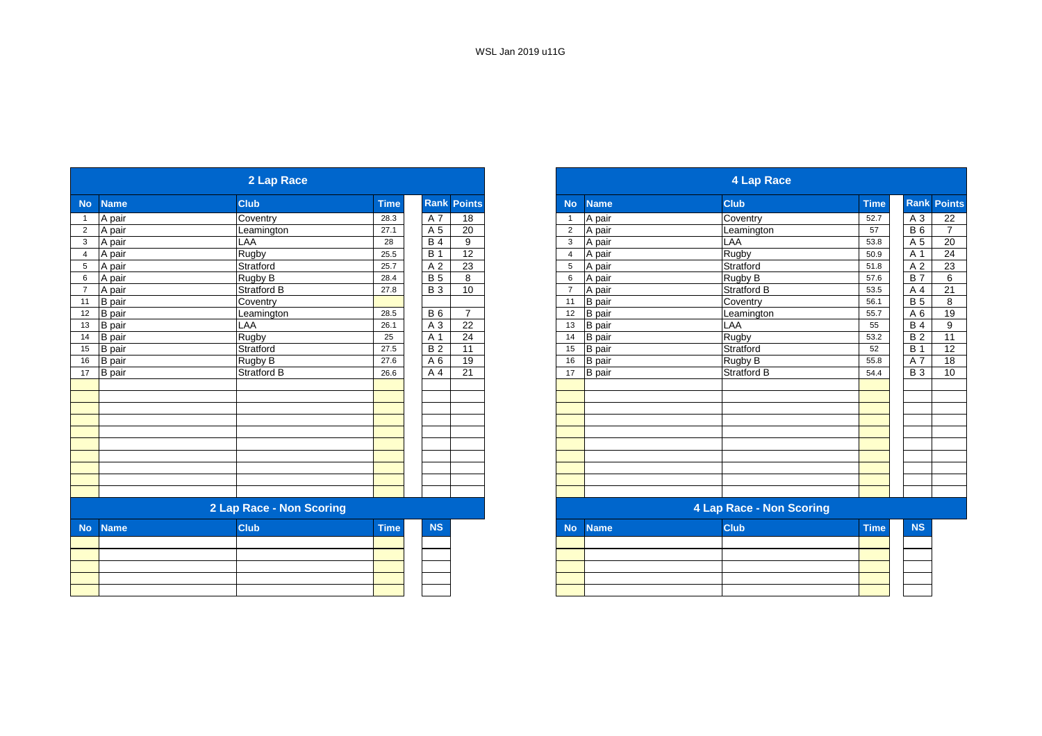|                |               | 2 Lap Race               |             |                 |                    | <b>4 Lap Race</b> |               |             |                          |             |  |
|----------------|---------------|--------------------------|-------------|-----------------|--------------------|-------------------|---------------|-------------|--------------------------|-------------|--|
| <b>No</b>      | <b>Name</b>   | <b>Club</b>              | <b>Time</b> |                 | <b>Rank Points</b> | <b>No</b>         | <b>Name</b>   | <b>Club</b> |                          | <b>Time</b> |  |
| $\mathbf{1}$   | A pair        | Coventry                 | 28.3        | A 7             | 18                 | -1                | A pair        |             | Coventry                 | 52.7        |  |
| $\overline{2}$ | A pair        | Leamington               | 27.1        | A 5             | 20                 | 2                 | A pair        |             | Leamington               | 57          |  |
| $\mathbf{3}$   | A pair        | LAA                      | 28          | <b>B4</b>       | 9                  | 3                 | A pair        | LAA         |                          | 53.8        |  |
| $\overline{4}$ | A pair        | Rugby                    | 25.5        | <b>B</b> 1      | 12                 | $\overline{4}$    | A pair        | Rugby       |                          | 50.9        |  |
| 5 <sup>5</sup> | A pair        | Stratford                | 25.7        | A 2             | 23                 | 5                 | A pair        |             | Stratford                | 51.8        |  |
| 6              | A pair        | Rugby B                  | 28.4        | <b>B</b> 5      | 8                  | 6                 | A pair        |             | Rugby B                  | 57.6        |  |
| $\overline{7}$ | A pair        | <b>Stratford B</b>       | 27.8        | $\overline{B}3$ | 10                 | $\overline{7}$    | A pair        |             | <b>Stratford B</b>       | 53.5        |  |
| 11             | <b>B</b> pair | Coventry                 |             |                 |                    | 11                | <b>B</b> pair |             | Coventry                 | 56.1        |  |
| 12             | <b>B</b> pair | Leamington               | 28.5        | <b>B</b> 6      | $\overline{7}$     | 12                | <b>B</b> pair |             | Leamington               | 55.7        |  |
| 13             | <b>B</b> pair | LAA                      | 26.1        | A 3             | 22                 | 13                | <b>B</b> pair | LAA         |                          | 55          |  |
| 14             | <b>B</b> pair | Rugby                    | 25          | A 1             | 24                 | 14                | <b>B</b> pair | Rugby       |                          | 53.2        |  |
| 15             | <b>B</b> pair | Stratford                | 27.5        | <b>B2</b>       | 11                 | 15                | <b>B</b> pair |             | Stratford                | 52          |  |
| 16             | <b>B</b> pair | Rugby B                  | 27.6        | A 6             | 19                 | 16                | <b>B</b> pair |             | Rugby B                  | 55.8        |  |
| 17             | <b>B</b> pair | <b>Stratford B</b>       | 26.6        | A 4             | 21                 | 17                | <b>B</b> pair |             | <b>Stratford B</b>       | 54.4        |  |
|                |               |                          |             |                 |                    |                   |               |             |                          |             |  |
|                |               |                          |             |                 |                    |                   |               |             |                          |             |  |
|                |               |                          |             |                 |                    |                   |               |             |                          |             |  |
|                |               |                          |             |                 |                    |                   |               |             |                          |             |  |
|                |               |                          |             |                 |                    |                   |               |             |                          |             |  |
|                |               |                          |             |                 |                    |                   |               |             |                          |             |  |
|                |               |                          |             |                 |                    |                   |               |             |                          |             |  |
|                |               |                          |             |                 |                    |                   |               |             |                          |             |  |
|                |               |                          |             |                 |                    |                   |               |             |                          |             |  |
|                |               |                          |             |                 |                    |                   |               |             |                          |             |  |
|                |               | 2 Lap Race - Non Scoring |             |                 |                    |                   |               |             | 4 Lap Race - Non Scoring |             |  |
| <b>No</b>      | <b>Name</b>   | <b>Club</b>              | <b>Time</b> | <b>NS</b>       |                    | <b>No</b>         | <b>Name</b>   | <b>Club</b> |                          | <b>Time</b> |  |
|                |               |                          |             |                 |                    |                   |               |             |                          |             |  |
|                |               |                          |             |                 |                    |                   |               |             |                          |             |  |
|                |               |                          |             |                 |                    |                   |               |             |                          |             |  |
|                |               |                          |             |                 |                    |                   |               |             |                          |             |  |
|                |               |                          |             |                 |                    |                   |               |             |                          |             |  |
|                |               |                          |             |                 |                    |                   |               |             |                          |             |  |

|                 |               | 2 Lap Race               |             |            |                 | <b>4 Lap Race</b>               |               |                    |             |                 |                    |
|-----------------|---------------|--------------------------|-------------|------------|-----------------|---------------------------------|---------------|--------------------|-------------|-----------------|--------------------|
| <b>No</b>       | <b>Name</b>   | <b>Club</b>              | <b>Time</b> | Rank       | <b>Points</b>   | <b>No</b>                       | <b>Name</b>   | <b>Club</b>        | <b>Time</b> |                 | <b>Rank Points</b> |
|                 | A pair        | Coventry                 | 28.3        | A 7        | 18              |                                 | A pair        | Coventry           | 52.7        | A 3             | 22                 |
| $\overline{2}$  | A pair        | Leamington               | 27.1        | A 5        | 20              | $\overline{2}$                  | A pair        | Leamington         | 57          | <b>B6</b>       | $\overline{7}$     |
| $\mathbf{3}$    | A pair        | LAA                      | 28          | <b>B</b> 4 | 9               | 3                               | A pair        | LAA                | 53.8        | A 5             | 20                 |
| $\overline{4}$  | A pair        | Rugby                    | 25.5        | <b>B</b> 1 | 12              | $\overline{4}$                  | A pair        | <b>Rugby</b>       | 50.9        | A 1             | 24                 |
| $5\phantom{.0}$ | A pair        | Stratford                | 25.7        | A 2        | 23              | 5                               | A pair        | Stratford          | 51.8        | A 2             | 23                 |
| $6\phantom{1}6$ | A pair        | Rugby B                  | 28.4        | <b>B</b> 5 | 8               | 6                               | A pair        | Rugby B            | 57.6        | <b>B7</b>       | 6                  |
| $\overline{7}$  | A pair        | Stratford B              | 27.8        | <b>B</b> 3 | 10              | $\overline{7}$                  | A pair        | Stratford B        | 53.5        | A 4             | $\overline{21}$    |
| 11              | <b>B</b> pair | Coventry                 |             |            |                 | 11                              | <b>B</b> pair | Coventry           | 56.1        | <b>B</b> 5      | 8                  |
| 12              | B pair        | Leamington               | 28.5        | <b>B</b> 6 | $\overline{7}$  | 12                              | <b>B</b> pair | Leamington         | 55.7        | A 6             | 19                 |
| 13              | B pair        | LAA                      | 26.1        | A 3        | $\overline{22}$ | 13                              | <b>B</b> pair | LAA                | 55          | $\overline{B4}$ | 9                  |
| $14$            | <b>B</b> pair | Rugby                    | 25          | A 1        | 24              | 14                              | <b>B</b> pair | <b>Rugby</b>       | 53.2        | <b>B2</b>       | 11                 |
| 15              | <b>B</b> pair | Stratford                | 27.5        | <b>B2</b>  | 11              | 15                              | <b>B</b> pair | Stratford          | 52          | <b>B</b> 1      | 12                 |
| 16              | <b>B</b> pair | Rugby B                  | 27.6        | A 6        | 19              | 16                              | <b>B</b> pair | Rugby B            | 55.8        | A 7             | 18                 |
| 17              | <b>B</b> pair | <b>Stratford B</b>       | 26.6        | A 4        | 21              | 17                              | <b>B</b> pair | <b>Stratford B</b> | 54.4        | <b>B</b> 3      | 10                 |
|                 |               |                          |             |            |                 |                                 |               |                    |             |                 |                    |
|                 |               |                          |             |            |                 |                                 |               |                    |             |                 |                    |
|                 |               |                          |             |            |                 |                                 |               |                    |             |                 |                    |
|                 |               |                          |             |            |                 |                                 |               |                    |             |                 |                    |
|                 |               |                          |             |            |                 |                                 |               |                    |             |                 |                    |
|                 |               |                          |             |            |                 |                                 |               |                    |             |                 |                    |
|                 |               |                          |             |            |                 |                                 |               |                    |             |                 |                    |
|                 |               |                          |             |            |                 |                                 |               |                    |             |                 |                    |
|                 |               |                          |             |            |                 |                                 |               |                    |             |                 |                    |
|                 |               |                          |             |            |                 |                                 |               |                    |             |                 |                    |
|                 |               | 2 Lap Race - Non Scoring |             |            |                 | <b>4 Lap Race - Non Scoring</b> |               |                    |             |                 |                    |
| <b>No</b>       | <b>Name</b>   | <b>Club</b>              | <b>Time</b> | <b>NS</b>  |                 | <b>No</b>                       | <b>Name</b>   | <b>Club</b>        | <b>Time</b> | <b>NS</b>       |                    |

|  | ____ | ------- |  |
|--|------|---------|--|
|  |      |         |  |
|  |      |         |  |
|  |      |         |  |
|  |      |         |  |
|  |      |         |  |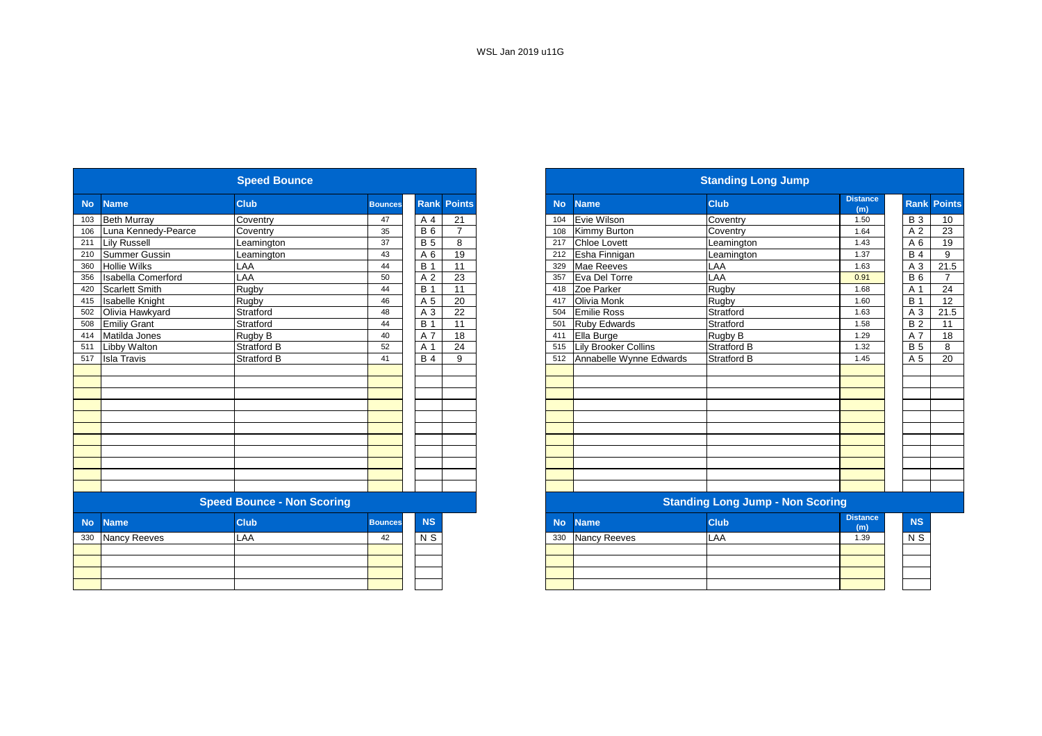|           |                           | <b>Speed Bounce</b>               |                |                |                    | <b>Standing Long Jump</b> |                             |                                         |                        |  |  |  |
|-----------|---------------------------|-----------------------------------|----------------|----------------|--------------------|---------------------------|-----------------------------|-----------------------------------------|------------------------|--|--|--|
| <b>No</b> | <b>Name</b>               | Club.                             | <b>Bounces</b> |                | <b>Rank Points</b> | <b>No</b>                 | <b>Name</b>                 | <b>Club</b>                             | <b>Distance</b><br>(m) |  |  |  |
| 103       | <b>Beth Murray</b>        | Coventry                          | 47             | A 4            | 21                 | 104                       | Evie Wilson                 | Coventry                                | 1.50                   |  |  |  |
| 106       | Luna Kennedy-Pearce       | Coventry                          | 35             | <b>B6</b>      | $\overline{7}$     | 108                       | Kimmy Burton                | Coventry                                | 1.64                   |  |  |  |
| 211       | <b>Lily Russell</b>       | Leamington                        | 37             | <b>B</b> 5     | 8                  | 217                       | <b>Chloe Lovett</b>         | Leamington                              | 1.43                   |  |  |  |
| 210       | Summer Gussin             | Leamington                        | 43             | A 6            | 19                 | 212                       | Esha Finnigan               | Leamington                              | 1.37                   |  |  |  |
| 360       | <b>Hollie Wilks</b>       | LAA                               | 44             | <b>B</b> 1     | 11                 | 329                       | Mae Reeves                  | LAA                                     | 1.63                   |  |  |  |
| 356       | <b>Isabella Comerford</b> | LAA                               | 50             | A 2            | 23                 | 357                       | Eva Del Torre               | LAA                                     | 0.91                   |  |  |  |
| 420       | <b>Scarlett Smith</b>     | Rugby                             | 44             | <b>B</b> 1     | 11                 | 418                       | Zoe Parker                  | Rugby                                   | 1.68                   |  |  |  |
| 415       | <b>Isabelle Knight</b>    | Rugby                             | 46             | A 5            | 20                 | 417                       | Olivia Monk                 | Rugby                                   | 1.60                   |  |  |  |
| 502       | Olivia Hawkyard           | Stratford                         | 48             | A 3            | 22                 | 504                       | <b>Emilie Ross</b>          | Stratford                               | 1.63                   |  |  |  |
| 508       | <b>Emiliy Grant</b>       | Stratford                         | 44             | <b>B</b> 1     | 11                 | 501                       | <b>Ruby Edwards</b>         | Stratford                               | 1.58                   |  |  |  |
| 414       | Matilda Jones             | Rugby B                           | 40             | A 7            | 18                 | 411                       | Ella Burge                  | Rugby B                                 | 1.29                   |  |  |  |
| 511       | Libby Walton              | <b>Stratford B</b>                | 52             | A 1            | 24                 | 515                       | <b>Lily Brooker Collins</b> | <b>Stratford B</b>                      | 1.32                   |  |  |  |
| 517       | <b>Isla Travis</b>        | <b>Stratford B</b>                | 41             | <b>B4</b>      | 9                  | 512                       | Annabelle Wynne Edwards     | <b>Stratford B</b>                      | 1.45                   |  |  |  |
|           |                           |                                   |                |                |                    |                           |                             |                                         |                        |  |  |  |
|           |                           |                                   |                |                |                    |                           |                             |                                         |                        |  |  |  |
|           |                           |                                   |                |                |                    |                           |                             |                                         |                        |  |  |  |
|           |                           |                                   |                |                |                    |                           |                             |                                         |                        |  |  |  |
|           |                           |                                   |                |                |                    |                           |                             |                                         |                        |  |  |  |
|           |                           |                                   |                |                |                    |                           |                             |                                         |                        |  |  |  |
|           |                           |                                   |                |                |                    |                           |                             |                                         |                        |  |  |  |
|           |                           |                                   |                |                |                    |                           |                             |                                         |                        |  |  |  |
|           |                           |                                   |                |                |                    |                           |                             |                                         |                        |  |  |  |
|           |                           |                                   |                |                |                    |                           |                             |                                         |                        |  |  |  |
|           |                           |                                   |                |                |                    |                           |                             |                                         |                        |  |  |  |
|           |                           | <b>Speed Bounce - Non Scoring</b> |                |                |                    |                           |                             | <b>Standing Long Jump - Non Scoring</b> |                        |  |  |  |
| <b>No</b> | <b>Name</b>               | <b>Club</b>                       | <b>Bounces</b> | <b>NS</b>      |                    | <b>No</b>                 | <b>Name</b>                 | <b>Club</b>                             | <b>Distance</b><br>(m) |  |  |  |
| 330       | Nancy Reeves              | <b>LAA</b>                        | 42             | N <sub>S</sub> |                    | 330                       | <b>Nancy Reeves</b>         | LAA                                     | 1.39                   |  |  |  |
|           |                           |                                   |                |                |                    |                           |                             |                                         |                        |  |  |  |
|           |                           |                                   |                |                |                    |                           |                             |                                         |                        |  |  |  |
|           |                           |                                   |                |                |                    |                           |                             |                                         |                        |  |  |  |
|           |                           |                                   |                |                |                    |                           |                             |                                         |                        |  |  |  |
|           |                           |                                   |                |                |                    |                           |                             |                                         |                        |  |  |  |

| <b>Speed Bounce</b> |                           |                                   |                |            |                    |  |  |
|---------------------|---------------------------|-----------------------------------|----------------|------------|--------------------|--|--|
|                     | <b>Name</b>               | <b>Club</b>                       | <b>Bounces</b> |            | <b>Rank Points</b> |  |  |
|                     | <b>Beth Murray</b>        | Coventry                          | 47             | A 4        | 21                 |  |  |
|                     | Luna Kennedy-Pearce       | Coventry                          | 35             | <b>B</b> 6 | $\overline{7}$     |  |  |
|                     | <b>Lilv Russell</b>       | Leamington                        | 37             | <b>B</b> 5 | 8                  |  |  |
|                     | Summer Gussin             | Leamington                        | 43             | A 6        | 19                 |  |  |
|                     | <b>Hollie Wilks</b>       | LAA                               | 44             | <b>B</b> 1 | 11                 |  |  |
|                     | <b>Isabella Comerford</b> | LAA                               | 50             | A 2        | 23                 |  |  |
|                     | <b>Scarlett Smith</b>     | Rugby                             | 44             | <b>B</b> 1 | 11                 |  |  |
|                     | <b>Isabelle Knight</b>    | Rugby                             | 46             | A 5        | 20                 |  |  |
|                     | Olivia Hawkyard           | Stratford                         | 48             | A 3        | 22                 |  |  |
|                     | <b>Emiliy Grant</b>       | Stratford                         | 44             | <b>B</b> 1 | 11                 |  |  |
|                     | Matilda Jones             | Rugby B                           | 40             | A 7        | 18                 |  |  |
|                     | Libby Walton              | <b>Stratford B</b>                | 52             | A 1        | 24                 |  |  |
|                     | <b>Isla Travis</b>        | Stratford B                       | 41             | <b>B</b> 4 | 9                  |  |  |
|                     |                           |                                   |                |            |                    |  |  |
|                     |                           |                                   |                |            |                    |  |  |
|                     |                           |                                   |                |            |                    |  |  |
|                     |                           |                                   |                |            |                    |  |  |
|                     |                           |                                   |                |            |                    |  |  |
|                     |                           |                                   |                |            |                    |  |  |
|                     |                           |                                   |                |            |                    |  |  |
|                     |                           |                                   |                |            |                    |  |  |
|                     |                           |                                   |                |            |                    |  |  |
|                     |                           |                                   |                |            |                    |  |  |
|                     |                           |                                   |                |            |                    |  |  |
|                     |                           | <b>Speed Bounce - Non Scoring</b> |                |            |                    |  |  |
| <b>No</b>           | <b>Name</b>               | <b>Club</b>                       | <b>Bounces</b> | <b>NS</b>  |                    |  |  |
|                     | Nancy Reeves              | LAA                               | 42             | N S        |                    |  |  |
|                     |                           |                                   |                |            |                    |  |  |
|                     |                           |                                   |                |            |                    |  |  |
|                     |                           |                                   |                |            |                    |  |  |
|                     |                           |                                   |                |            |                    |  |  |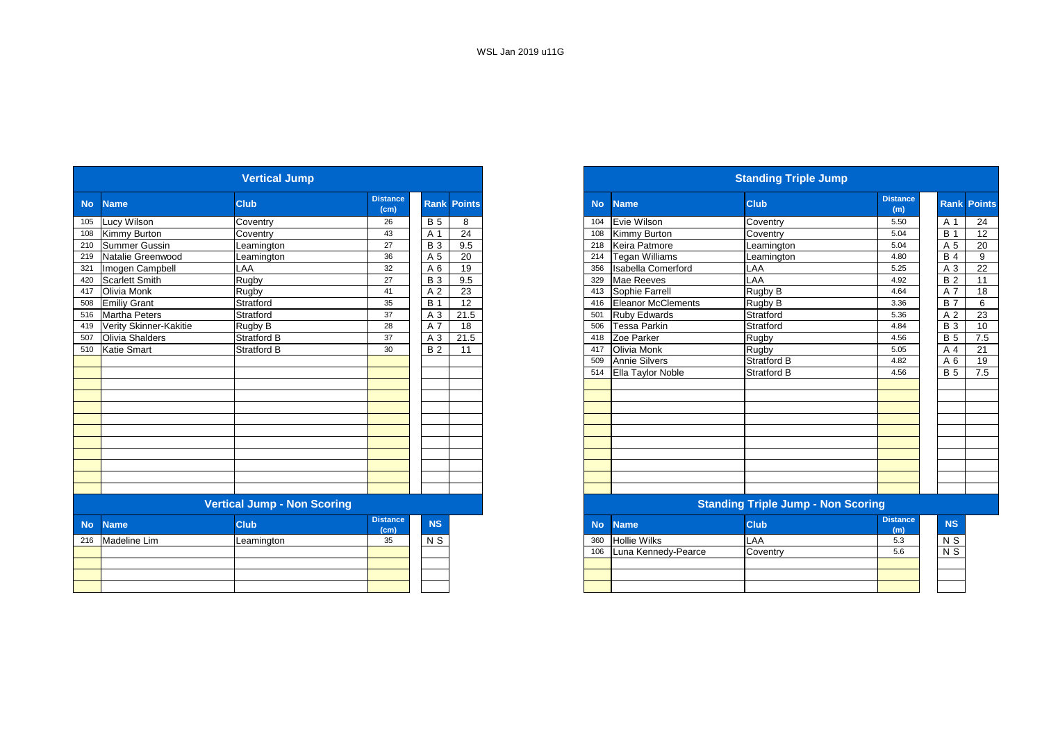|           | <b>Vertical Jump</b>   |                                    |                         |            |                    |  |  |
|-----------|------------------------|------------------------------------|-------------------------|------------|--------------------|--|--|
| <b>No</b> | <b>Name</b>            | <b>Club</b>                        | <b>Distance</b><br>(cm) |            | <b>Rank Points</b> |  |  |
| 105       | Lucy Wilson            | Coventry                           | 26                      | <b>B</b> 5 | 8                  |  |  |
| 108       | Kimmy Burton           | Coventry                           | 43                      | A 1        | 24                 |  |  |
| 210       | <b>Summer Gussin</b>   | Leamington                         | 27                      | <b>B</b> 3 | 9.5                |  |  |
| 219       | Natalie Greenwood      | Leamington                         | 36                      | A 5        | 20                 |  |  |
| 321       | Imogen Campbell        | LAA                                | 32                      | A 6        | 19                 |  |  |
| 420       | <b>Scarlett Smith</b>  | <b>Rugby</b>                       | 27                      | <b>B</b> 3 | 9.5                |  |  |
| 417       | Olivia Monk            | Rugby                              | 41                      | A 2        | 23                 |  |  |
| 508       | <b>Emiliy Grant</b>    | Stratford                          | 35                      | <b>B</b> 1 | 12                 |  |  |
| 516       | Martha Peters          | Stratford                          | 37                      | A 3        | 21.5               |  |  |
| 419       | Verity Skinner-Kakitie | Rugby B                            | 28                      | A 7        | 18                 |  |  |
| 507       | Olivia Shalders        | <b>Stratford B</b>                 | 37                      | A 3        | 21.5               |  |  |
| 510       | <b>Katie Smart</b>     | <b>Stratford B</b>                 | 30                      | <b>B2</b>  | 11                 |  |  |
|           |                        |                                    |                         |            |                    |  |  |
|           |                        |                                    |                         |            |                    |  |  |
|           |                        |                                    |                         |            |                    |  |  |
|           |                        |                                    |                         |            |                    |  |  |
|           |                        |                                    |                         |            |                    |  |  |
|           |                        |                                    |                         |            |                    |  |  |
|           |                        |                                    |                         |            |                    |  |  |
|           |                        |                                    |                         |            |                    |  |  |
|           |                        |                                    |                         |            |                    |  |  |
|           |                        |                                    |                         |            |                    |  |  |
|           |                        |                                    |                         |            |                    |  |  |
|           |                        |                                    |                         |            |                    |  |  |
|           |                        | <b>Vertical Jump - Non Scoring</b> |                         |            |                    |  |  |
| <b>No</b> | <b>Name</b>            | <b>Club</b>                        | <b>Distance</b><br>(cm) | <b>NS</b>  |                    |  |  |
| 216       | Madeline Lim           | Leamington                         | 35                      | $N$ S      |                    |  |  |
|           |                        |                                    |                         |            |                    |  |  |
|           |                        |                                    |                         |            |                    |  |  |
|           |                        |                                    |                         |            |                    |  |  |
|           |                        |                                    |                         |            |                    |  |  |

|           |                            | <b>Vertical Jump</b> |                         |            |                    | <b>Standing Triple Jump</b> |                           |                    |                        |            |                    |
|-----------|----------------------------|----------------------|-------------------------|------------|--------------------|-----------------------------|---------------------------|--------------------|------------------------|------------|--------------------|
| <b>No</b> | <b>Name</b>                | <b>Club</b>          | <b>Distance</b><br>(cm) |            | <b>Rank Points</b> | <b>No</b>                   | <b>Name</b>               | <b>Club</b>        | <b>Distance</b><br>(m) |            | <b>Rank Points</b> |
|           | 105 Lucy Wilson            | Coventry             | 26                      | <b>B</b> 5 | 8                  |                             | 104 Evie Wilson           | Coventry           | 5.50                   | A 1        | 24                 |
|           | 108 Kimmy Burton           | Coventry             | 43                      | A 1        | 24                 | 108                         | Kimmy Burton              | Coventry           | 5.04                   | <b>B</b> 1 | 12                 |
|           | 210 Summer Gussin          | Leamington           | 27                      | <b>B</b> 3 | 9.5                |                             | 218 Keira Patmore         | Leamington         | 5.04                   | A 5        | 20                 |
|           | 219 Natalie Greenwood      | Leamington           | 36                      | A 5        | 20                 | 214                         | <b>Tegan Williams</b>     | Leamington         | 4.80                   | <b>B</b> 4 | 9                  |
| 321       | Imogen Campbell            | LAA                  | 32                      | A 6        | 19                 | 356                         | <b>Isabella Comerford</b> | LAA                | 5.25                   | A 3        | 22                 |
|           | 420 Scarlett Smith         | <b>Rugby</b>         | 27                      | <b>B</b> 3 | 9.5                | 329                         | Mae Reeves                | LAA                | 4.92                   | <b>B2</b>  | 11                 |
|           | 417 Olivia Monk            | Rugby                | 41                      | A 2        | 23                 |                             | 413 Sophie Farrell        | Rugby B            | 4.64                   | A 7        | 18                 |
|           | 508 Emiliy Grant           | Stratford            | 35                      | <b>B</b> 1 | 12                 |                             | 416 Eleanor McClements    | Rugby B            | 3.36                   | <b>B</b> 7 | 6                  |
|           | 516 Martha Peters          | Stratford            | 37                      | A 3        | 21.5               | 501                         | <b>Ruby Edwards</b>       | Stratford          | 5.36                   | A 2        | 23                 |
|           | 419 Verity Skinner-Kakitie | Rugby B              | 28                      | A 7        | 18                 | 506                         | <b>Tessa Parkin</b>       | Stratford          | 4.84                   | <b>B</b> 3 | 10                 |
| 507       | <b>Olivia Shalders</b>     | <b>Stratford B</b>   | 37                      | A 3        | 21.5               |                             | 418 Zoe Parker            | Rugby              | 4.56                   | <b>B</b> 5 | 7.5                |
|           | 510 Katie Smart            | Stratford B          | 30                      | <b>B2</b>  | 11                 | 417                         | Olivia Monk               | Rugby              | 5.05                   | A 4        | 21                 |
|           |                            |                      |                         |            |                    |                             | 509 Annie Silvers         | <b>Stratford B</b> | 4.82                   | A 6        | 19                 |
|           |                            |                      |                         |            |                    |                             | 514 Ella Taylor Noble     | <b>Stratford B</b> | 4.56                   | <b>B</b> 5 | 7.5                |
|           |                            |                      |                         |            |                    |                             |                           |                    |                        |            |                    |
|           |                            |                      |                         |            |                    |                             |                           |                    |                        |            |                    |
|           |                            |                      |                         |            |                    |                             |                           |                    |                        |            |                    |
|           |                            |                      |                         |            |                    |                             |                           |                    |                        |            |                    |
|           |                            |                      |                         |            |                    |                             |                           |                    |                        |            |                    |
|           |                            |                      |                         |            |                    |                             |                           |                    |                        |            |                    |
|           |                            |                      |                         |            |                    |                             |                           |                    |                        |            |                    |
|           |                            |                      |                         |            |                    |                             |                           |                    |                        |            |                    |
|           |                            |                      |                         |            |                    |                             |                           |                    |                        |            |                    |
|           |                            |                      |                         |            |                    |                             |                           |                    |                        |            |                    |
|           |                            |                      |                         |            |                    |                             |                           |                    |                        |            |                    |

### **Vertical Jump - Non Scoring Standing Triple Jump - Non Scoring**

| <b>stance</b><br>(cm) | <b>NS</b> | <b>No</b> | <b>Name</b>         | <b>Club</b> | <b>Distance</b><br>(m) | <b>NS</b> |
|-----------------------|-----------|-----------|---------------------|-------------|------------------------|-----------|
| 35                    | N S       | 360       | <b>Hollie Wilks</b> | LAA         | 5.3                    | N S       |
|                       |           | 106       | Luna Kennedy-Pearce | Coventry    | 5.6                    | N S       |
|                       |           |           |                     |             |                        |           |
|                       |           |           |                     |             |                        |           |
|                       |           |           |                     |             |                        |           |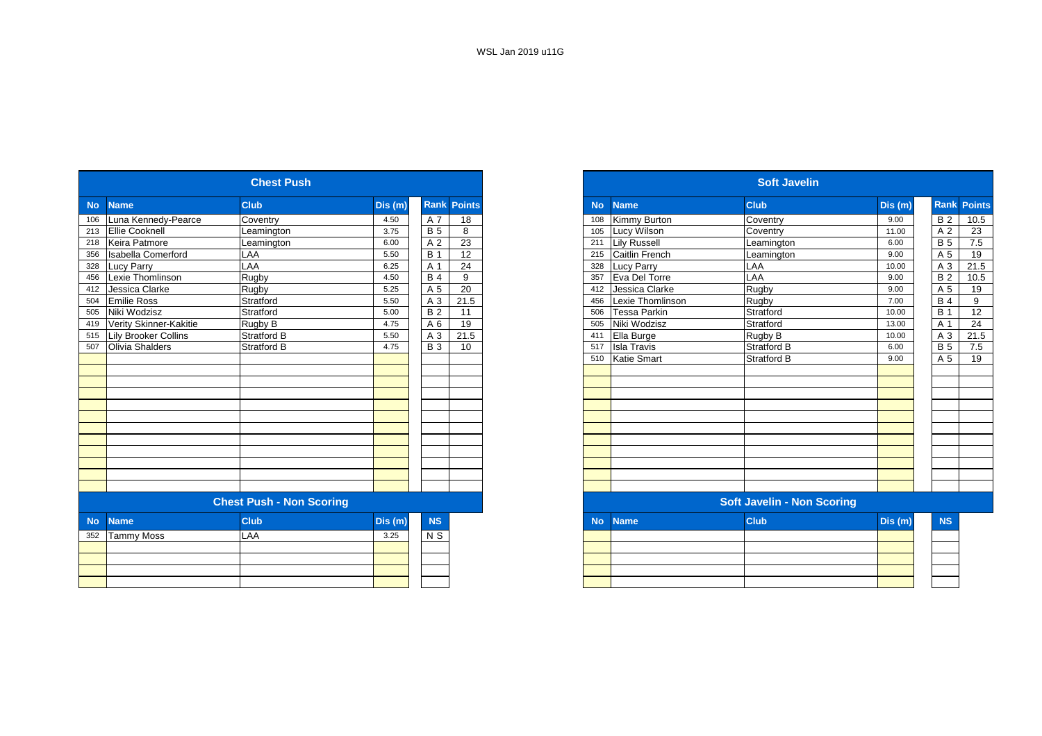|           | <b>Chest Push</b>               |             |         |                |                    |  |  |  |
|-----------|---------------------------------|-------------|---------|----------------|--------------------|--|--|--|
| <b>No</b> | <b>Name</b>                     | <b>Club</b> | Dis(m)  |                | <b>Rank Points</b> |  |  |  |
| 106       | Luna Kennedy-Pearce             | Coventry    | 4.50    | A 7            | 18                 |  |  |  |
| 213       | Ellie Cooknell                  | Leamington  | 3.75    | <b>B</b> 5     | 8                  |  |  |  |
| 218       | Keira Patmore                   | Leamington  | 6.00    | A 2            | 23                 |  |  |  |
| 356       | <b>Isabella Comerford</b>       | LAA         | 5.50    | <b>B</b> 1     | $\overline{12}$    |  |  |  |
| 328       | <b>Lucy Parry</b>               | LAA         | 6.25    | A 1            | 24                 |  |  |  |
| 456       | Lexie Thomlinson                | Rugby       | 4.50    | <b>B</b> 4     | 9                  |  |  |  |
| 412       | Jessica Clarke                  | Rugby       | 5.25    | A 5            | 20                 |  |  |  |
| 504       | Emilie Ross                     | Stratford   | 5.50    | A 3            | 21.5               |  |  |  |
| 505       | Niki Wodzisz                    | Stratford   | 5.00    | <b>B2</b>      | 11                 |  |  |  |
| 419       | Verity Skinner-Kakitie          | Rugby B     | 4.75    | A 6            | 19                 |  |  |  |
| 515       | <b>Lily Brooker Collins</b>     | Stratford B | 5.50    | A 3            | 21.5               |  |  |  |
| 507       | Olivia Shalders                 | Stratford B | 4.75    | <b>B</b> 3     | 10                 |  |  |  |
|           |                                 |             |         |                |                    |  |  |  |
|           |                                 |             |         |                |                    |  |  |  |
|           |                                 |             |         |                |                    |  |  |  |
|           |                                 |             |         |                |                    |  |  |  |
|           |                                 |             |         |                |                    |  |  |  |
|           |                                 |             |         |                |                    |  |  |  |
|           |                                 |             |         |                |                    |  |  |  |
|           |                                 |             |         |                |                    |  |  |  |
|           |                                 |             |         |                |                    |  |  |  |
|           |                                 |             |         |                |                    |  |  |  |
|           |                                 |             |         |                |                    |  |  |  |
|           |                                 |             |         |                |                    |  |  |  |
|           | <b>Chest Push - Non Scoring</b> |             |         |                |                    |  |  |  |
| <b>No</b> | <b>Name</b>                     | <b>Club</b> | Dis (m) | <b>NS</b>      |                    |  |  |  |
| 352       | <b>Tammy Moss</b>               | LAA         | 3.25    | $\overline{N}$ |                    |  |  |  |
|           |                                 |             |         |                |                    |  |  |  |
|           |                                 |             |         |                |                    |  |  |  |
|           |                                 |             |         |                |                    |  |  |  |
|           |                                 |             |         |                |                    |  |  |  |

|                  |                             | <b>Chest Push</b>               |         |            |                    |
|------------------|-----------------------------|---------------------------------|---------|------------|--------------------|
| <b>No</b>        | <b>Name</b>                 | <b>Club</b>                     | Dis (m) |            | <b>Rank Points</b> |
|                  | Luna Kennedy-Pearce         | Coventry                        | 4.50    | A 7        | 18                 |
| 213              | <b>Ellie Cooknell</b>       | Leamington                      | 3.75    | <b>B</b> 5 | 8                  |
| 218              | Keira Patmore               | Leamington                      | 6.00    | A 2        | 23                 |
| 356              | <b>Isabella Comerford</b>   | LAA                             | 5.50    | <b>B</b> 1 | 12                 |
| 328              | <b>Lucy Parry</b>           | LAA                             | 6.25    | A 1        | $\overline{24}$    |
| 456              | Lexie Thomlinson            | Rugby                           | 4.50    | <b>B</b> 4 | 9                  |
| 412              | Jessica Clarke              | Rugby                           | 5.25    | A 5        | $\overline{20}$    |
| 504              | <b>Emilie Ross</b>          | Stratford                       | 5.50    | A 3        | 21.5               |
| 505              | Niki Wodzisz                | Stratford                       | 5.00    | <b>B2</b>  | 11                 |
| 419              | Verity Skinner-Kakitie      | Rugby B                         | 4.75    | A 6        | 19                 |
| 515              | <b>Lily Brooker Collins</b> | <b>Stratford B</b>              | 5.50    | A 3        | 21.5               |
|                  | 507 Olivia Shalders         | Stratford B                     | 4.75    | <b>B</b> 3 | 10                 |
|                  |                             |                                 |         |            |                    |
|                  |                             |                                 |         |            |                    |
|                  |                             |                                 |         |            |                    |
|                  |                             |                                 |         |            |                    |
|                  |                             |                                 |         |            |                    |
|                  |                             |                                 |         |            |                    |
|                  |                             |                                 |         |            |                    |
|                  |                             |                                 |         |            |                    |
|                  |                             |                                 |         |            |                    |
|                  |                             |                                 |         |            |                    |
|                  |                             |                                 |         |            |                    |
|                  |                             |                                 |         |            |                    |
|                  |                             | <b>Chest Push - Non Scoring</b> |         |            |                    |
| <b>No</b>        | <b>Name</b>                 | <b>Club</b>                     | Dis (m) | <b>NS</b>  |                    |
| $\overline{352}$ | <b>Tammy Moss</b>           | LAA                             | 3.25    | $N$ S      |                    |
|                  |                             |                                 |         |            |                    |
|                  |                             |                                 |         |            |                    |
|                  |                             |                                 |         |            |                    |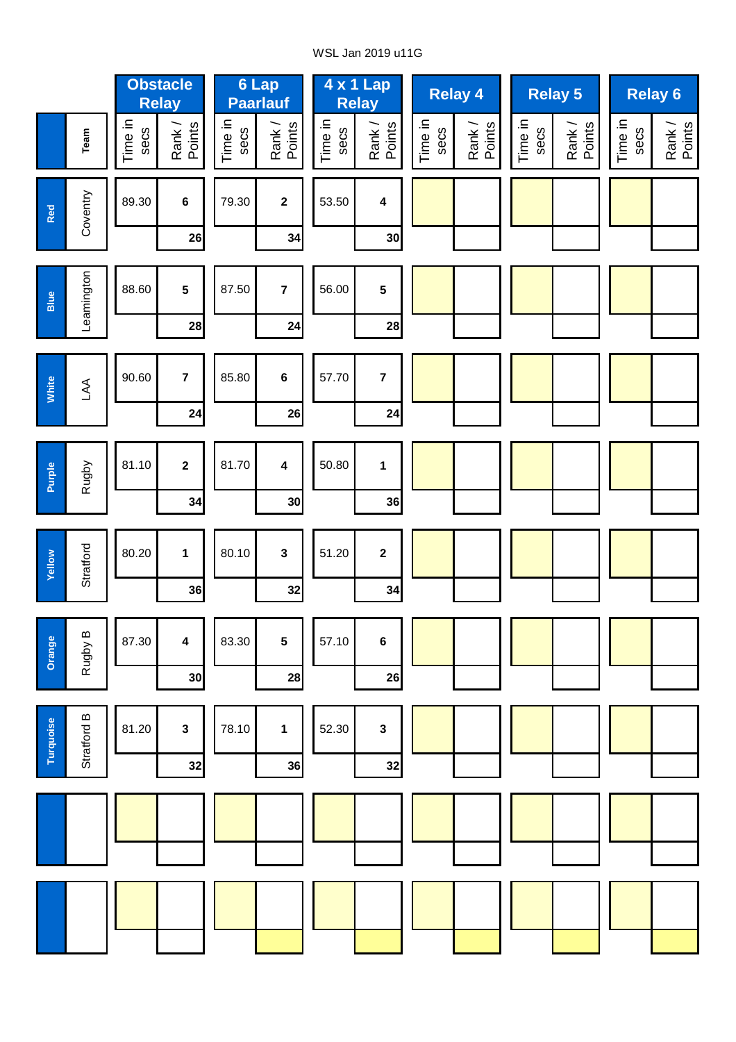# WSL Jan 2019 u11G

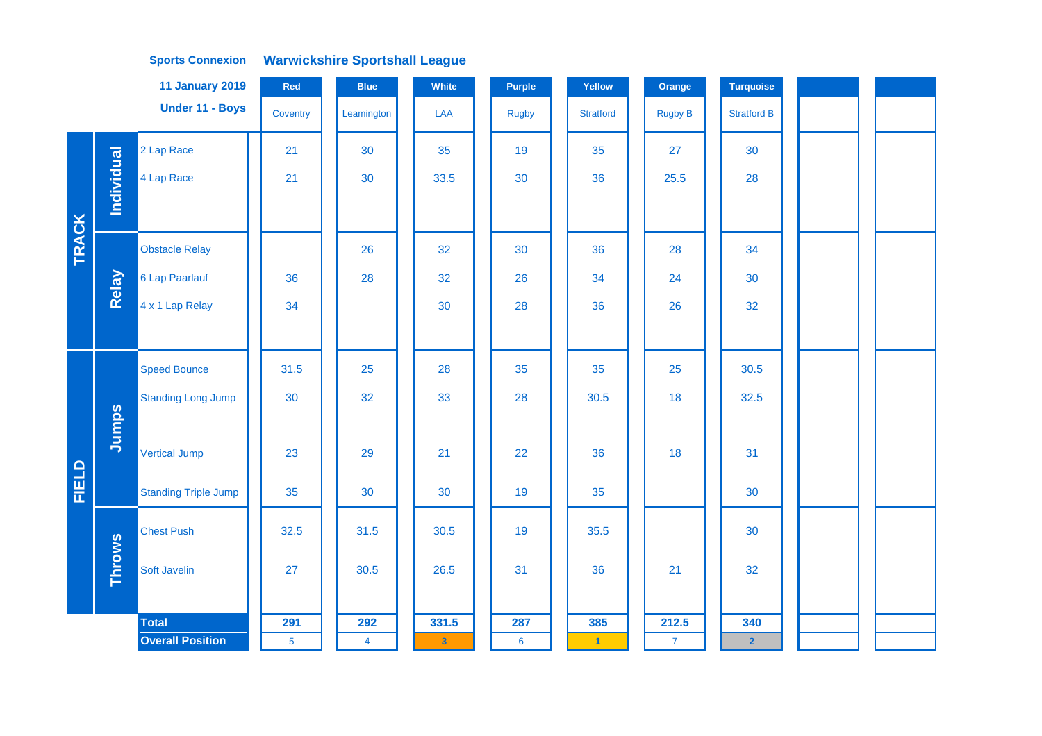|              |                   | <b>11 January 2019</b>      | Red            | <b>Blue</b>    | White            | Purple       | Yellow               | Orange         | <b>Turquoise</b>   |  |  |
|--------------|-------------------|-----------------------------|----------------|----------------|------------------|--------------|----------------------|----------------|--------------------|--|--|
|              |                   | Under 11 - Boys             | Coventry       | Leamington     | LAA              | <b>Rugby</b> | <b>Stratford</b>     | <b>Rugby B</b> | <b>Stratford B</b> |  |  |
|              |                   | 2 Lap Race                  | 21             | 30             | 35               | 19           | 35                   | 27             | 30                 |  |  |
|              | <b>Individual</b> | 4 Lap Race                  | 21             | 30             | 33.5             | 30           | 36                   | 25.5           | 28                 |  |  |
|              |                   |                             |                |                |                  |              |                      |                |                    |  |  |
| <b>TRACK</b> |                   | <b>Obstacle Relay</b>       |                | 26             | 32               | 30           | 36                   | 28             | 34                 |  |  |
|              | Relay             | 6 Lap Paarlauf              | 36             | 28             | 32               | 26           | 34                   | 24             | 30                 |  |  |
|              |                   | 4 x 1 Lap Relay             | 34             |                | 30               | 28           | 36                   | 26             | 32                 |  |  |
|              |                   |                             |                |                |                  |              |                      |                |                    |  |  |
|              |                   | <b>Speed Bounce</b>         | 31.5           | 25             | 28               | 35           | 35                   | 25             | 30.5               |  |  |
|              |                   | <b>Standing Long Jump</b>   | 30             | 32             | 33               | 28           | 30.5                 | 18             | 32.5               |  |  |
|              | Jumps             |                             |                |                |                  |              |                      |                |                    |  |  |
|              |                   | <b>Vertical Jump</b>        | 23             | 29             | 21               | 22           | 36                   | 18             | 31                 |  |  |
| FIELD        |                   | <b>Standing Triple Jump</b> | 35             | 30             | 30               | 19           | 35                   |                | 30                 |  |  |
|              |                   | <b>Chest Push</b>           | 32.5           | 31.5           | 30.5             | 19           | 35.5                 |                | 30                 |  |  |
|              | <b>Throws</b>     | Soft Javelin                | 27             | 30.5           | 26.5             | 31           | 36                   | 21             | 32                 |  |  |
|              |                   |                             |                |                |                  |              |                      |                |                    |  |  |
|              |                   | <b>Total</b>                | 291            | 292            | 331.5            | 287          | 385                  | 212.5          | 340                |  |  |
|              |                   | <b>Overall Position</b>     | $5\phantom{a}$ | $\overline{4}$ | $\boldsymbol{3}$ | 6            | $\blacktriangleleft$ | $\mathbf{7}$   | $\overline{2}$     |  |  |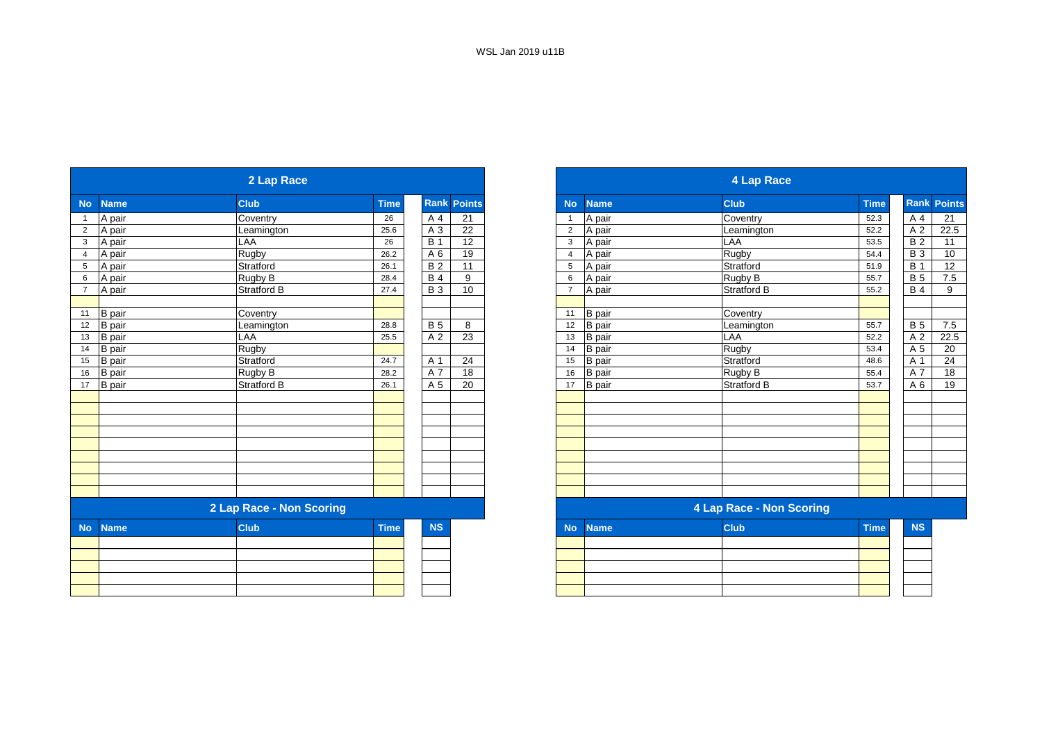|                |               | 2 Lap Race               |             |            |                    |
|----------------|---------------|--------------------------|-------------|------------|--------------------|
| <b>No</b>      | <b>Name</b>   | <b>Club</b>              | <b>Time</b> |            | <b>Rank Points</b> |
| $\mathbf{1}$   | A pair        | Coventry                 | 26          | A 4        | 21                 |
| $\overline{2}$ | A pair        | Leamington               | 25.6        | A 3        | 22                 |
| 3              | A pair        | LAA                      | 26          | <b>B</b> 1 | 12                 |
| $\overline{4}$ | A pair        | Rugby                    | 26.2        | A 6        | 19                 |
| 5              | A pair        | Stratford                | 26.1        | <b>B2</b>  | 11                 |
| 6              | A pair        | Rugby B                  | 28.4        | <b>B4</b>  | 9                  |
| $\overline{7}$ | A pair        | <b>Stratford B</b>       | 27.4        | <b>B3</b>  | 10                 |
| 11             | <b>B</b> pair | Coventry                 |             |            |                    |
| 12             | <b>B</b> pair | Leamington               | 28.8        | <b>B</b> 5 | 8                  |
| 13             | <b>B</b> pair | LAA                      | 25.5        | A 2        | 23                 |
| 14             | <b>B</b> pair | Rugby                    |             |            |                    |
| 15             | <b>B</b> pair | Stratford                | 24.7        | A 1        | 24                 |
| 16             | <b>B</b> pair | Rugby B                  | 28.2        | A 7        | 18                 |
| 17             | <b>B</b> pair | <b>Stratford B</b>       | 26.1        | A 5        | 20                 |
|                |               |                          |             |            |                    |
|                |               |                          |             |            |                    |
|                |               |                          |             |            |                    |
|                |               |                          |             |            |                    |
|                |               |                          |             |            |                    |
|                |               |                          |             |            |                    |
|                |               |                          |             |            |                    |
|                |               |                          |             |            |                    |
|                |               | 2 Lap Race - Non Scoring |             |            |                    |
| <b>No</b>      | <b>Name</b>   | <b>Club</b>              | <b>Time</b> | <b>NS</b>  |                    |
|                |               |                          |             |            |                    |
|                |               |                          |             |            |                    |
|                |               |                          |             |            |                    |
|                |               |                          |             |            |                    |

|    |               | 2 Lap Race               |             |                |                    |
|----|---------------|--------------------------|-------------|----------------|--------------------|
|    | <b>Name</b>   | <b>Club</b>              | <b>Time</b> |                | <b>Rank Points</b> |
|    | A pair        | Coventry                 | 26          | A 4            | 21                 |
|    | A pair        | Leamington               | 25.6        | A 3            | 22                 |
|    | A pair        | LAA                      | 26          | <b>B</b> 1     | 12                 |
|    | A pair        | Rugby                    | 26.2        | A 6            | 19                 |
|    | A pair        | Stratford                | 26.1        | <b>B2</b>      | 11                 |
|    | A pair        | Rugby B                  | 28.4        | <b>B</b> 4     | 9                  |
|    | A pair        | <b>Stratford B</b>       | 27.4        | <b>B3</b>      | 10                 |
|    |               |                          |             |                |                    |
|    | B pair        | Coventry                 |             |                |                    |
| 12 | <b>B</b> pair | Leamington               | 28.8        | $\overline{B}$ | 8                  |
|    | <b>B</b> pair | LAA                      | 25.5        | A 2            | 23                 |
|    | B pair        | <b>Rugby</b>             |             |                |                    |
|    | <b>B</b> pair | Stratford                | 24.7        | A 1            | 24                 |
| 16 | B pair        | Rugby B                  | 28.2        | A 7            | 18                 |
|    | <b>B</b> pair | Stratford B              | 26.1        | A 5            | 20                 |
|    |               |                          |             |                |                    |
|    |               |                          |             |                |                    |
|    |               |                          |             |                |                    |
|    |               |                          |             |                |                    |
|    |               |                          |             |                |                    |
|    |               |                          |             |                |                    |
|    |               |                          |             |                |                    |
|    |               |                          |             |                |                    |
|    |               |                          |             |                |                    |
|    |               | 2 Lap Race - Non Scoring |             |                |                    |
|    | March Marchan | O(1.16)                  | <b>Time</b> | <b>AIC</b>     |                    |

| NS' |  | No Name | Club <sup>1</sup> | <b>Time</b> | <b>NS</b> |
|-----|--|---------|-------------------|-------------|-----------|
|     |  |         |                   |             |           |
|     |  |         |                   |             |           |
|     |  |         |                   |             |           |
|     |  |         |                   |             |           |
|     |  |         |                   |             |           |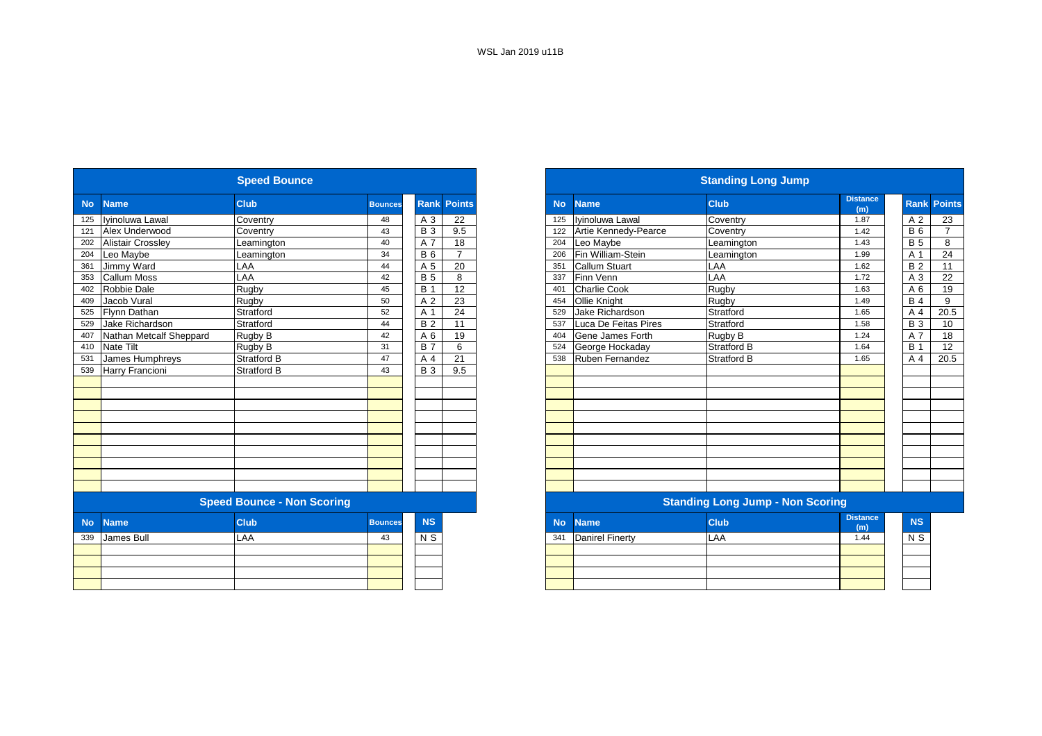|           |                          | <b>Speed Bounce</b>               |                |                |                    |           |                         | <b>Standing Long Jump</b>               |                        |
|-----------|--------------------------|-----------------------------------|----------------|----------------|--------------------|-----------|-------------------------|-----------------------------------------|------------------------|
| <b>No</b> | <b>Name</b>              | <b>Club</b>                       | <b>Bounces</b> |                | <b>Rank Points</b> | <b>No</b> | <b>Name</b>             | <b>Club</b>                             | <b>Distance</b><br>(m) |
| 125       | Ivinoluwa Lawal          | Coventry                          | 48             | A 3            | 22                 | 125       | Ivinoluwa Lawal         | Coventry                                | 1.87                   |
| 121       | Alex Underwood           | Coventry                          | 43             | <b>B</b> 3     | 9.5                | 122       | Artie Kennedy-Pearce    | Coventry                                | 1.42                   |
| 202       | <b>Alistair Crossley</b> | Leamington                        | 40             | A 7            | 18                 | 204       | Leo Maybe               | Leamington                              | 1.43                   |
| 204       | Leo Maybe                | Leamington                        | 34             | <b>B</b> 6     | $\overline{7}$     | 206       | Fin William-Stein       | Leamington                              | 1.99                   |
| 361       | Jimmy Ward               | LAA                               | 44             | A 5            | 20                 | 351       | Callum Stuart           | LAA                                     | 1.62                   |
| 353       | <b>Callum Moss</b>       | LAA                               | 42             | <b>B</b> 5     | 8                  | 337       | Finn Venn               | LAA                                     | 1.72                   |
| 402       | Robbie Dale              | <b>Rugby</b>                      | 45             | <b>B</b> 1     | $\overline{12}$    | 401       | <b>Charlie Cook</b>     | Rugby                                   | 1.63                   |
| 409       | Jacob Vural              | Rugby                             | 50             | A <sub>2</sub> | 23                 | 454       | Ollie Knight            | Rugby                                   | 1.49                   |
| 525       | Flynn Dathan             | Stratford                         | 52             | A 1            | 24                 | 529       | Jake Richardson         | Stratford                               | 1.65                   |
| 529       | Jake Richardson          | Stratford                         | 44             | <b>B2</b>      | 11                 | 537       | Luca De Feitas Pires    | Stratford                               | 1.58                   |
| 407       | Nathan Metcalf Sheppard  | Rugby B                           | 42             | A 6            | 19                 | 404       | <b>Gene James Forth</b> | Rugby B                                 | 1.24                   |
| 410       | Nate Tilt                | Rugby B                           | 31             | <b>B</b> 7     | 6                  | 524       | George Hockaday         | Stratford B                             | 1.64                   |
| 531       | James Humphreys          | <b>Stratford B</b>                | 47             | A 4            | 21                 | 538       | <b>Ruben Fernandez</b>  | <b>Stratford B</b>                      | 1.65                   |
| 539       | Harry Francioni          | <b>Stratford B</b>                | 43             | <b>B</b> 3     | 9.5                |           |                         |                                         |                        |
|           |                          |                                   |                |                |                    |           |                         |                                         |                        |
|           |                          |                                   |                |                |                    |           |                         |                                         |                        |
|           |                          |                                   |                |                |                    |           |                         |                                         |                        |
|           |                          |                                   |                |                |                    |           |                         |                                         |                        |
|           |                          |                                   |                |                |                    |           |                         |                                         |                        |
|           |                          |                                   |                |                |                    |           |                         |                                         |                        |
|           |                          |                                   |                |                |                    |           |                         |                                         |                        |
|           |                          |                                   |                |                |                    |           |                         |                                         |                        |
|           |                          |                                   |                |                |                    |           |                         |                                         |                        |
|           |                          |                                   |                |                |                    |           |                         |                                         |                        |
|           |                          | <b>Speed Bounce - Non Scoring</b> |                |                |                    |           |                         | <b>Standing Long Jump - Non Scoring</b> |                        |
| <b>No</b> | <b>Name</b>              | <b>Club</b>                       | <b>Bounces</b> | <b>NS</b>      |                    | <b>No</b> | <b>Name</b>             | <b>Club</b>                             | <b>Distance</b><br>(m) |
| 339       | James Bull               | LAA                               | 43             | N <sub>S</sub> |                    | 341       | <b>Danirel Finerty</b>  | LAA                                     | 1.44                   |
|           |                          |                                   |                |                |                    |           |                         |                                         |                        |
|           |                          |                                   |                |                |                    |           |                         |                                         |                        |
|           |                          |                                   |                |                |                    |           |                         |                                         |                        |
|           |                          |                                   |                |                |                    |           |                         |                                         |                        |
|           |                          |                                   |                |                |                    |           |                         |                                         |                        |

|           |                          | <b>Speed Bounce</b>               |                |                |                    |           |                        | <b>Standing Long Jump</b>               |                        |                    |  |
|-----------|--------------------------|-----------------------------------|----------------|----------------|--------------------|-----------|------------------------|-----------------------------------------|------------------------|--------------------|--|
| <b>No</b> | <b>Name</b>              | <b>Club</b>                       | Bounces        |                | <b>Rank Points</b> | <b>No</b> | <b>Name</b>            | <b>Club</b>                             | <b>Distance</b><br>(m) | <b>Rank Points</b> |  |
| 125       | Ivinoluwa Lawal          | Coventry                          | 48             | A 3            | 22                 | 125       | Ivinoluwa Lawal        | Coventry                                | 1.87                   | A 2                |  |
| 121       | Alex Underwood           | Coventry                          | 43             | <b>B</b> 3     | 9.5                | 122       | Artie Kennedy-Pearce   | Coventry                                | 1.42                   | <b>B</b> 6         |  |
| 202       | <b>Alistair Crossley</b> | Leamington                        | 40             | A 7            | 18                 | 204       | Leo Maybe              | Leamington                              | 1.43                   | <b>B</b> 5         |  |
| 204       | Leo Maybe                | Leamington                        | 34             | <b>B6</b>      | $\overline{7}$     | 206       | Fin William-Stein      | Leamington                              | 1.99                   | A 1                |  |
| 361       | Jimmy Ward               | LAA                               | 44             | A 5            | 20                 | 351       | <b>Callum Stuart</b>   | LAA                                     | 1.62                   | <b>B2</b>          |  |
| 353       | <b>Callum Moss</b>       | LAA                               | 42             | <b>B</b> 5     | 8                  | 337       | Finn Venn              | LAA                                     | 1.72                   | A 3                |  |
| 402       | Robbie Dale              | Rugby                             | 45             | <b>B</b> 1     | 12                 | 401       | <b>Charlie Cook</b>    | Rugby                                   | 1.63                   | A 6                |  |
| 409       | Jacob Vural              | Rugby                             | 50             | A <sub>2</sub> | 23                 | 454       | Ollie Knight           | Rugby                                   | 1.49                   | <b>B</b> 4         |  |
| 525       | Flynn Dathan             | Stratford                         | 52             | A 1            | 24                 | 529       | Jake Richardson        | Stratford                               | 1.65                   | A 4                |  |
| 529       | Jake Richardson          | Stratford                         | 44             | <b>B2</b>      | 11                 | 537       | Luca De Feitas Pires   | Stratford                               | 1.58                   | <b>B</b> 3         |  |
| 407       | Nathan Metcalf Sheppard  | Rugby B                           | 42             | A 6            | 19                 | 404       | Gene James Forth       | Rugby B                                 | 1.24                   | A 7                |  |
| 410       | Nate Tilt                | Rugby B                           | 31             | <b>B</b> 7     | 6                  | 524       | George Hockaday        | <b>Stratford B</b>                      | 1.64                   | <b>B</b> 1         |  |
| 531       | James Humphreys          | <b>Stratford B</b>                | 47             | A 4            | 21                 | 538       | Ruben Fernandez        | <b>Stratford B</b>                      | 1.65                   | A 4                |  |
| 539       | Harry Francioni          | <b>Stratford B</b>                | 43             | <b>B</b> 3     | 9.5                |           |                        |                                         |                        |                    |  |
|           |                          |                                   |                |                |                    |           |                        |                                         |                        |                    |  |
|           |                          |                                   |                |                |                    |           |                        |                                         |                        |                    |  |
|           |                          |                                   |                |                |                    |           |                        |                                         |                        |                    |  |
|           |                          |                                   |                |                |                    |           |                        |                                         |                        |                    |  |
|           |                          |                                   |                |                |                    |           |                        |                                         |                        |                    |  |
|           |                          |                                   |                |                |                    |           |                        |                                         |                        |                    |  |
|           |                          |                                   |                |                |                    |           |                        |                                         |                        |                    |  |
|           |                          |                                   |                |                |                    |           |                        |                                         |                        |                    |  |
|           |                          |                                   |                |                |                    |           |                        |                                         |                        |                    |  |
|           |                          |                                   |                |                |                    |           |                        |                                         |                        |                    |  |
|           |                          | <b>Speed Bounce - Non Scoring</b> |                |                |                    |           |                        | <b>Standing Long Jump - Non Scoring</b> |                        |                    |  |
| <b>No</b> | <b>Name</b>              | <b>Club</b>                       | <b>Bounces</b> | <b>NS</b>      |                    | <b>No</b> | <b>Name</b>            | <b>Club</b>                             | <b>Distance</b><br>(m) | <b>NS</b>          |  |
| 339       | James Bull               | LAA                               | 43             | N S            |                    | 341       | <b>Danirel Finerty</b> | LAA                                     | 1.44                   | N <sub>S</sub>     |  |
|           |                          |                                   |                |                |                    |           |                        |                                         |                        |                    |  |
|           |                          |                                   |                |                |                    |           |                        |                                         |                        |                    |  |
|           |                          |                                   |                |                |                    |           |                        |                                         |                        |                    |  |
|           |                          |                                   |                |                |                    |           |                        |                                         |                        |                    |  |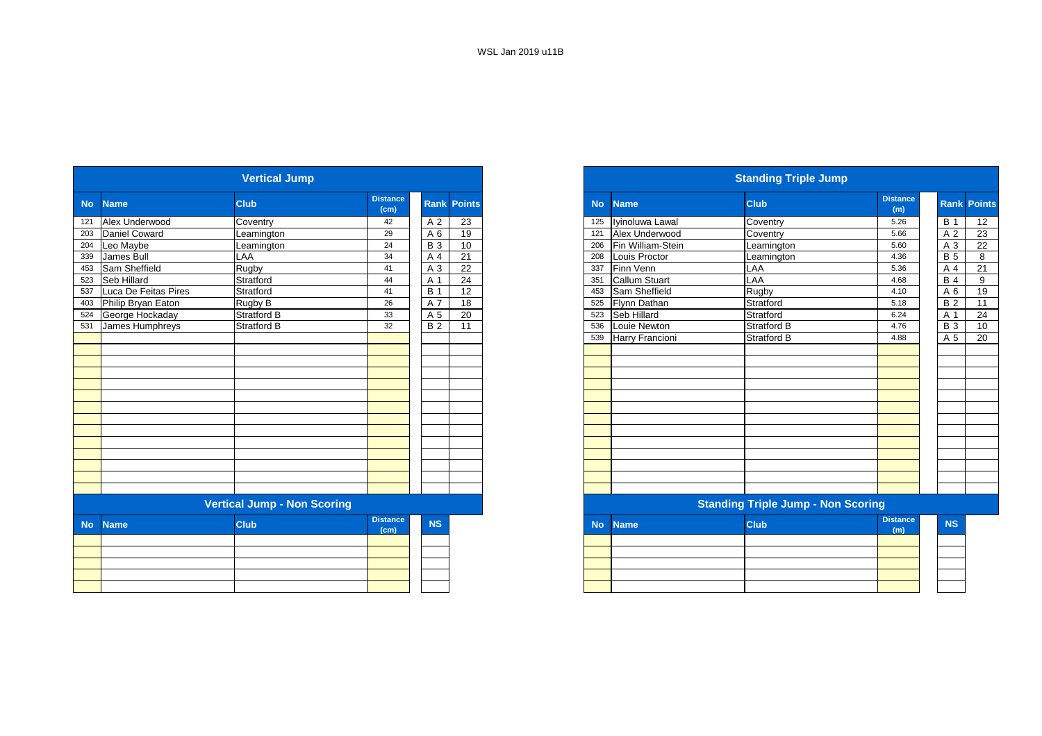|           |                      | <b>Vertical Jump</b>               |                         |            |                    |
|-----------|----------------------|------------------------------------|-------------------------|------------|--------------------|
| <b>No</b> | <b>Name</b>          | <b>Club</b>                        | <b>Distance</b><br>(cm) |            | <b>Rank Points</b> |
| 121       | Alex Underwood       | Coventry                           | 42                      | A 2        | 23                 |
| 203       | <b>Daniel Coward</b> | Leamington                         | 29                      | A 6        | 19                 |
| 204       | Leo Maybe            | Leamington                         | 24                      | <b>B3</b>  | 10                 |
| 339       | James Bull           | LAA                                | 34                      | A 4        | 21                 |
| 453       | Sam Sheffield        | Rugby                              | 41                      | A 3        | 22                 |
| 523       | Seb Hillard          | Stratford                          | 44                      | A 1        | 24                 |
| 537       | Luca De Feitas Pires | Stratford                          | 41                      | <b>B</b> 1 | 12                 |
| 403       | Philip Bryan Eaton   | Rugby B                            | 26                      | A 7        | 18                 |
| 524       | George Hockaday      | Stratford B                        | 33                      | A 5        | 20                 |
| 531       | James Humphreys      | Stratford B                        | 32                      | <b>B2</b>  | 11                 |
|           |                      |                                    |                         |            |                    |
|           |                      |                                    |                         |            |                    |
|           |                      |                                    |                         |            |                    |
|           |                      |                                    |                         |            |                    |
|           |                      |                                    |                         |            |                    |
|           |                      |                                    |                         |            |                    |
|           |                      |                                    |                         |            |                    |
|           |                      |                                    |                         |            |                    |
|           |                      |                                    |                         |            |                    |
|           |                      |                                    |                         |            |                    |
|           |                      |                                    |                         |            |                    |
|           |                      |                                    |                         |            |                    |
|           |                      |                                    |                         |            |                    |
|           |                      |                                    |                         |            |                    |
|           |                      | <b>Vertical Jump - Non Scoring</b> |                         |            |                    |
|           |                      |                                    | <b>Distance</b>         |            |                    |
| <b>No</b> | <b>Name</b>          | <b>Club</b>                        | (cm)                    | <b>NS</b>  |                    |
|           |                      |                                    |                         |            |                    |
|           |                      |                                    |                         |            |                    |
|           |                      |                                    |                         |            |                    |
|           |                      |                                    |                         |            |                    |
|           |                      |                                    |                         |            |                    |

|           |                      | <b>Vertical Jump</b>               |                         |            |                    |
|-----------|----------------------|------------------------------------|-------------------------|------------|--------------------|
|           | <b>Name</b>          | <b>Club</b>                        | <b>Distance</b><br>(cm) |            | <b>Rank Points</b> |
|           | Alex Underwood       | Coventry                           | 42                      | A 2        | 23                 |
|           | <b>Daniel Coward</b> | Leamington                         | 29                      | A 6        | 19                 |
|           | Leo Maybe            | Leamington                         | 24                      | <b>B</b> 3 | 10                 |
|           | James Bull           | LAA                                | 34                      | A 4        | 21                 |
|           | Sam Sheffield        | Rugby                              | 41                      | A 3        | 22                 |
|           | Seb Hillard          | Stratford                          | 44                      | A 1        | 24                 |
|           | Luca De Feitas Pires | Stratford                          | 41                      | <b>B</b> 1 | 12                 |
|           | Philip Bryan Eaton   | Rugby B                            | 26                      | A 7        | 18                 |
|           | 524 George Hockaday  | <b>Stratford B</b>                 | 33                      | A 5        | 20                 |
|           | 531 James Humphreys  | <b>Stratford B</b>                 | 32                      | <b>B2</b>  | 11                 |
|           |                      |                                    |                         |            |                    |
|           |                      |                                    |                         |            |                    |
|           |                      |                                    |                         |            |                    |
|           |                      |                                    |                         |            |                    |
|           |                      |                                    |                         |            |                    |
|           |                      |                                    |                         |            |                    |
|           |                      |                                    |                         |            |                    |
|           |                      |                                    |                         |            |                    |
|           |                      |                                    |                         |            |                    |
|           |                      |                                    |                         |            |                    |
|           |                      |                                    |                         |            |                    |
|           |                      |                                    |                         |            |                    |
|           |                      |                                    |                         |            |                    |
|           |                      |                                    |                         |            |                    |
|           |                      | <b>Vertical Jump - Non Scoring</b> |                         |            |                    |
| <b>No</b> | <b>Name</b>          | <b>Club</b>                        | <b>Distance</b><br>(cm) | <b>NS</b>  |                    |
|           |                      |                                    |                         |            |                    |
|           |                      |                                    |                         |            |                    |
|           |                      |                                    |                         |            |                    |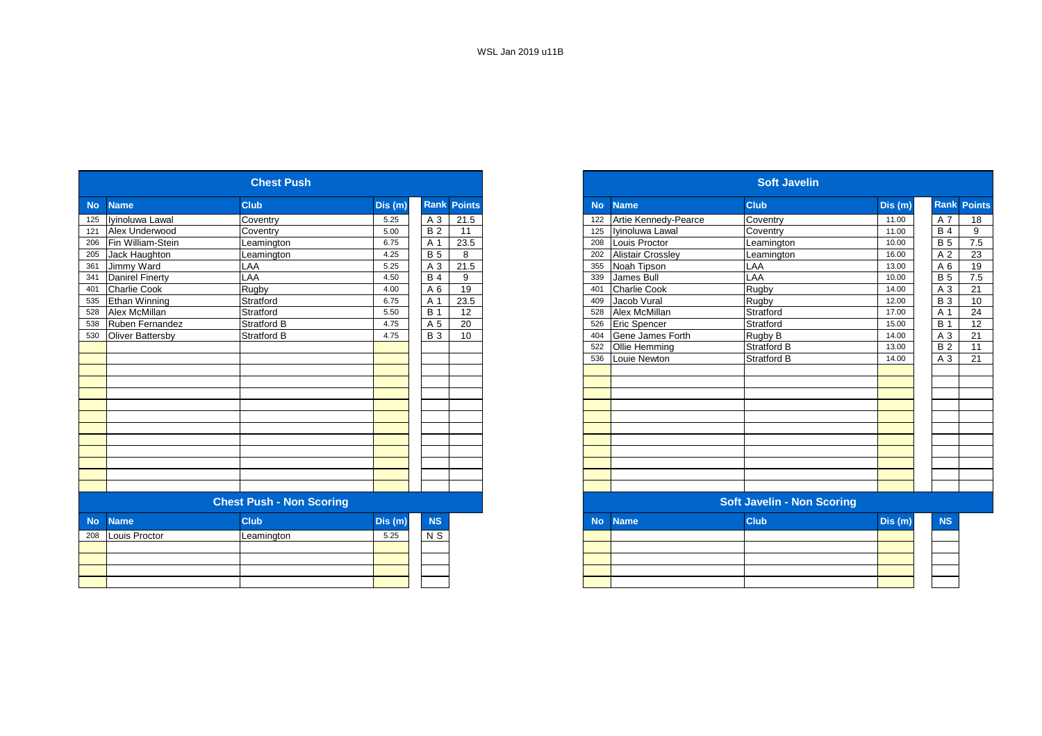|           |                         | <b>Chest Push</b>               |         |            |                    |
|-----------|-------------------------|---------------------------------|---------|------------|--------------------|
| <b>No</b> | <b>Name</b>             | <b>Club</b>                     | Dis (m) |            | <b>Rank Points</b> |
| 125       | Iyinoluwa Lawal         | Coventry                        | 5.25    | A 3        | 21.5               |
|           | Alex Underwood          | Coventry                        | 5.00    | <b>B2</b>  | 11                 |
| 206       | Fin William-Stein       | Leamington                      | 6.75    | A 1        | 23.5               |
|           | Jack Haughton           | Leamington                      | 4.25    | <b>B</b> 5 | 8                  |
| 361       | Jimmy Ward              | LAA                             | 5.25    | A 3        | 21.5               |
| 341       | Danirel Finerty         | LAA                             | 4.50    | <b>B</b> 4 | 9                  |
| 401       | <b>Charlie Cook</b>     | Rugby                           | 4.00    | A 6        | 19                 |
| 535       | Ethan Winning           | Stratford                       | 6.75    | A 1        | 23.5               |
| 528       | Alex McMillan           | Stratford                       | 5.50    | <b>B</b> 1 | 12                 |
| 538       | Ruben Fernandez         | <b>Stratford B</b>              | 4.75    | A 5        | $\overline{20}$    |
| 530       | <b>Oliver Battersby</b> | Stratford B                     | 4.75    | <b>B</b> 3 | 10                 |
|           |                         |                                 |         |            |                    |
|           |                         |                                 |         |            |                    |
|           |                         |                                 |         |            |                    |
|           |                         |                                 |         |            |                    |
|           |                         |                                 |         |            |                    |
|           |                         |                                 |         |            |                    |
|           |                         |                                 |         |            |                    |
|           |                         |                                 |         |            |                    |
|           |                         |                                 |         |            |                    |
|           |                         |                                 |         |            |                    |
|           |                         |                                 |         |            |                    |
|           |                         |                                 |         |            |                    |
|           |                         |                                 |         |            |                    |
|           |                         | <b>Chest Push - Non Scoring</b> |         |            |                    |
| <b>No</b> | <b>Name</b>             | <b>Club</b>                     | Dis (m) | <b>NS</b>  |                    |
| 208       | Louis Proctor           | Leamington                      | 5.25    | $N$ S      |                    |
|           |                         |                                 |         |            |                    |
|           |                         |                                 |         |            |                    |
|           |                         |                                 |         |            |                    |
|           |                         |                                 |         |            |                    |
|           |                         |                                 |         |            |                    |

|                         | <b>Chest Push</b>               |         |            |                    |
|-------------------------|---------------------------------|---------|------------|--------------------|
|                         | <b>Club</b>                     | Dis (m) |            | <b>Rank Points</b> |
| Ivinoluwa Lawal         | Coventry                        | 5.25    | A 3        | 21.5               |
| Alex Underwood          | Coventry                        | 5.00    | <b>B2</b>  | 11                 |
| Fin William-Stein       | Leamington                      | 6.75    | A 1        | 23.5               |
| Jack Haughton           | Leamington                      | 4.25    | <b>B</b> 5 | 8                  |
| Jimmy Ward              | LAA                             | 5.25    | A 3        | 21.5               |
| <b>Danirel Finerty</b>  | LAA                             | 4.50    | <b>B</b> 4 | 9                  |
| <b>Charlie Cook</b>     | Rugby                           | 4.00    | A 6        | 19                 |
| <b>Ethan Winning</b>    | Stratford                       | 6.75    | A 1        | 23.5               |
| Alex McMillan           | Stratford                       | 5.50    | <b>B</b> 1 | 12                 |
| Ruben Fernandez         | Stratford B                     | 4.75    | A 5        | 20                 |
| <b>Oliver Battersby</b> | Stratford B                     | 4.75    | <b>B</b> 3 | 10                 |
|                         |                                 |         |            |                    |
|                         |                                 |         |            |                    |
|                         |                                 |         |            |                    |
|                         |                                 |         |            |                    |
|                         |                                 |         |            |                    |
|                         |                                 |         |            |                    |
|                         |                                 |         |            |                    |
|                         |                                 |         |            |                    |
|                         |                                 |         |            |                    |
|                         |                                 |         |            |                    |
|                         |                                 |         |            |                    |
|                         |                                 |         |            |                    |
|                         |                                 |         |            |                    |
|                         | <b>Chest Push - Non Scoring</b> |         |            |                    |
| <b>Name</b>             | <b>Club</b>                     | Dis (m) | <b>NS</b>  |                    |
| Louis Proctor           | Leamington                      | 5.25    | N S        |                    |
|                         |                                 |         |            |                    |
|                         |                                 |         |            |                    |
|                         |                                 |         |            |                    |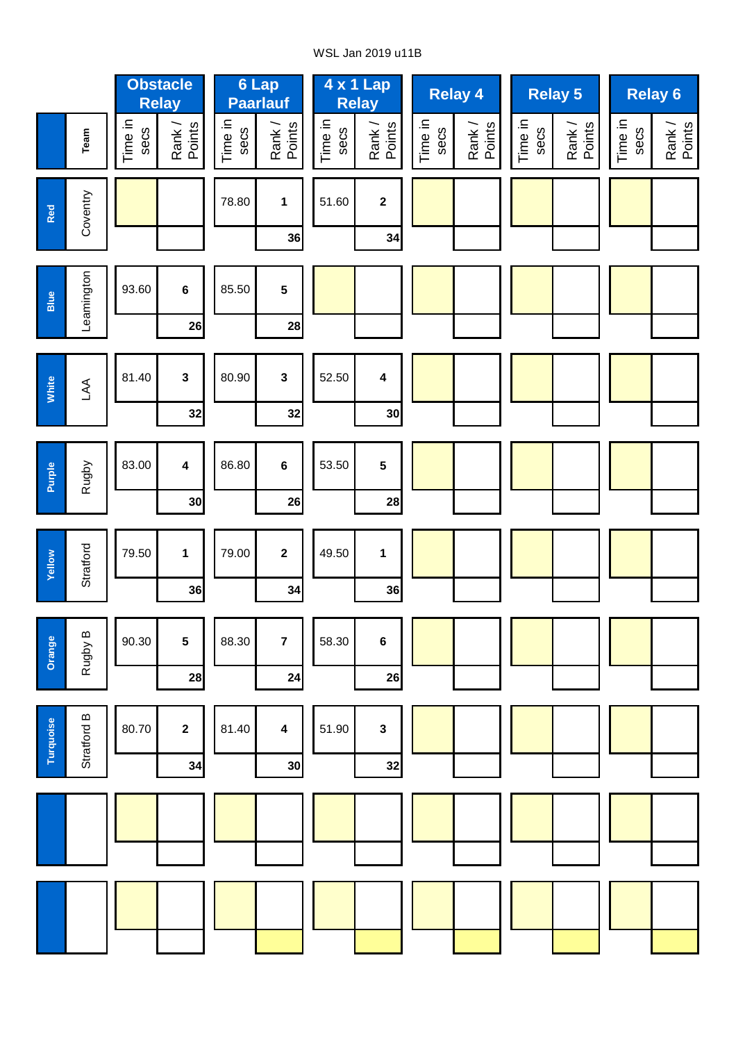# WSL Jan 2019 u11B

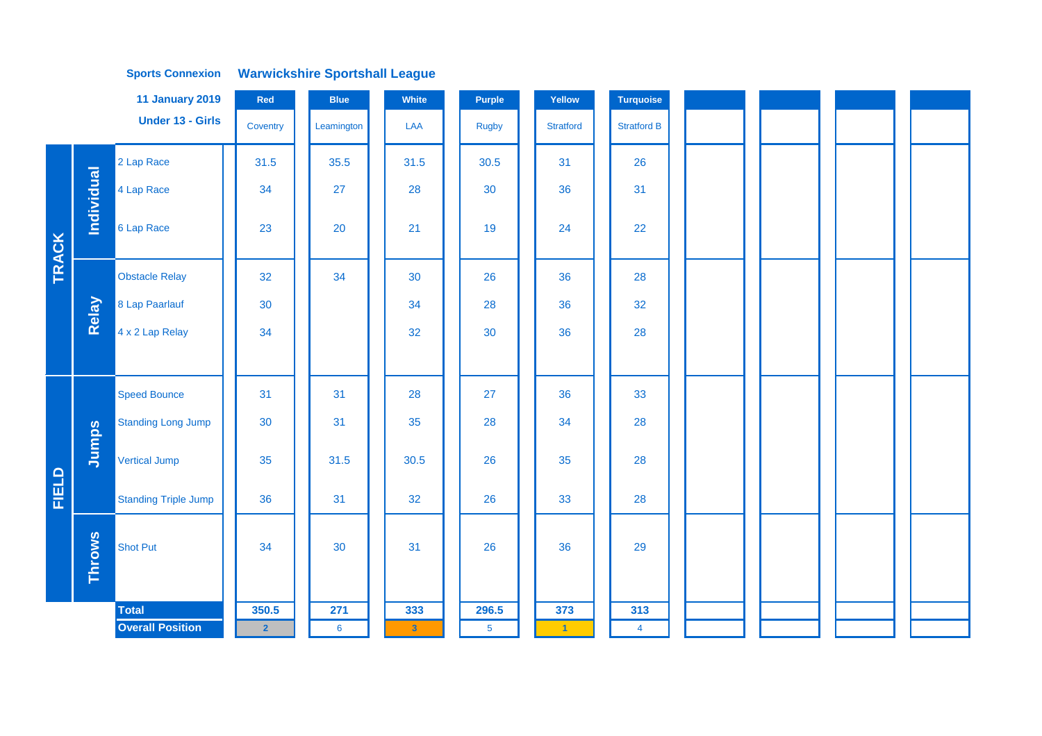|              |               | <b>11 January 2019</b>      | Red            | <b>Blue</b>     | White             | Purple         | Yellow               | Turquoise          |  |  |
|--------------|---------------|-----------------------------|----------------|-----------------|-------------------|----------------|----------------------|--------------------|--|--|
|              |               | <b>Under 13 - Girls</b>     | Coventry       | Leamington      | LAA               | <b>Rugby</b>   | <b>Stratford</b>     | <b>Stratford B</b> |  |  |
|              |               | 2 Lap Race                  | 31.5           | 35.5            | 31.5              | 30.5           | 31                   | 26                 |  |  |
|              | Individual    | 4 Lap Race                  | 34             | 27              | 28                | 30             | 36                   | 31                 |  |  |
| <b>TRACK</b> |               | 6 Lap Race                  | 23             | 20              | 21                | 19             | 24                   | 22                 |  |  |
|              |               | <b>Obstacle Relay</b>       | 32             | 34              | 30                | 26             | 36                   | 28                 |  |  |
|              | Relay         | 8 Lap Paarlauf              | 30             |                 | 34                | 28             | 36                   | 32                 |  |  |
|              |               | 4 x 2 Lap Relay             | 34             |                 | 32                | 30             | 36                   | 28                 |  |  |
|              |               |                             |                |                 |                   |                |                      |                    |  |  |
|              |               | <b>Speed Bounce</b>         | 31             | 31              | 28                | 27             | 36                   | 33                 |  |  |
|              |               | <b>Standing Long Jump</b>   | 30             | 31              | 35                | 28             | 34                   | 28                 |  |  |
|              | Jumps         | <b>Vertical Jump</b>        | 35             | 31.5            | 30.5              | 26             | 35                   | 28                 |  |  |
| <b>FIELD</b> |               | <b>Standing Triple Jump</b> | 36             | 31              | 32                | 26             | 33                   | 28                 |  |  |
|              | <b>Throws</b> | <b>Shot Put</b>             | 34             | 30              | 31                | 26             | 36                   | 29                 |  |  |
|              |               | <b>Total</b>                | 350.5          | 271             | 333               | 296.5          | 373                  | 313                |  |  |
|              |               | <b>Overall Position</b>     | $\overline{2}$ | $6\phantom{1}6$ | $\vert 3 \rangle$ | 5 <sub>5</sub> | $\blacktriangleleft$ | $\overline{4}$     |  |  |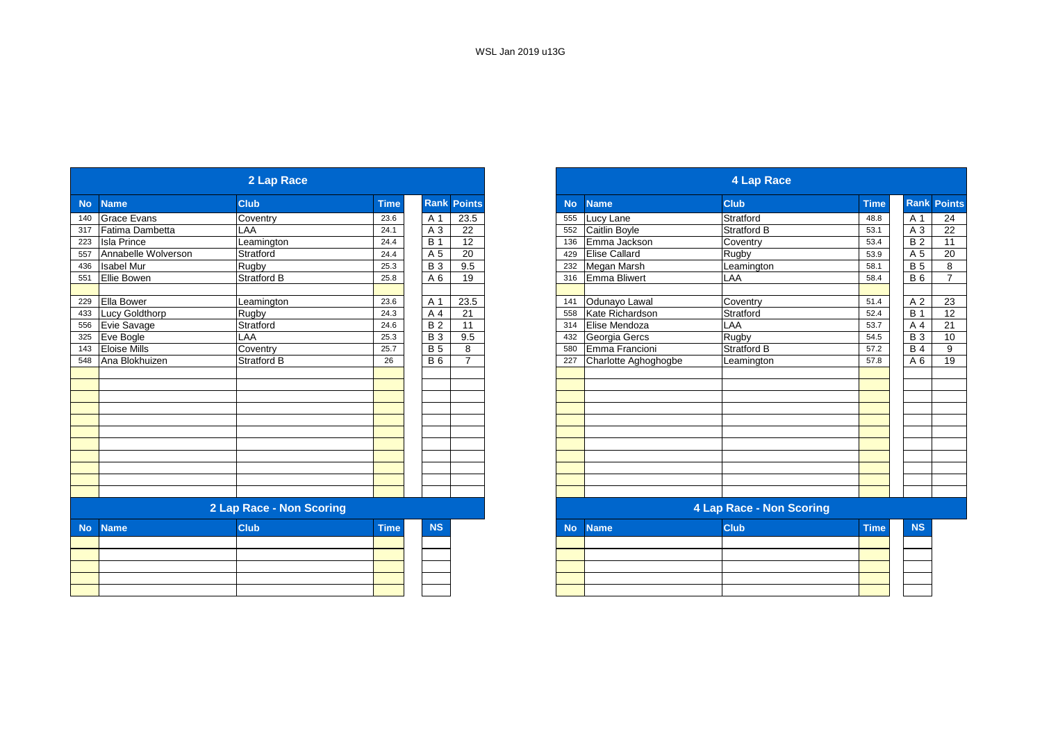| <b>Club</b><br><b>Rank Points</b><br><b>Club</b><br><b>Time</b><br><b>Name</b><br><b>Name</b><br><b>No</b><br>A 1<br>23.5<br>Stratford<br>Coventry<br>23.6<br>555<br>Lucy Lane<br>A 3<br>22<br>Caitlin Boyle<br><b>Stratford B</b><br>LAA<br>552<br>24.1<br><b>B</b> 1<br>Emma Jackson<br>12<br>Coventry<br>Leamington<br>24.4<br>136<br><b>Elise Callard</b><br><b>Rugby</b><br>Stratford<br>A 5<br>20<br>24.4<br>429<br><b>B3</b><br>9.5<br>Rugby<br>Megan Marsh<br>25.3<br>232<br>Leamington<br>Stratford B<br>A 6<br>Emma Bliwert<br>25.8<br>19<br>316<br>LAA<br>A 1<br>23.5<br>Odunayo Lawal<br>Coventry<br>23.6<br>141<br>Leamington<br>Kate Richardson<br>$\overline{21}$<br>Stratford<br>A 4<br>Rugby<br>558<br>24.3<br><b>B2</b><br>11<br>Elise Mendoza<br>LAA<br>Stratford<br>24.6<br>314<br><b>B3</b><br>9.5<br>LAA<br>Georgia Gercs<br>Rugby<br>25.3<br>432<br><b>B</b> 5<br>Emma Francioni<br><b>Stratford B</b><br>8<br>Coventry<br>25.7<br>580<br><b>B6</b><br>$\overline{7}$<br>Charlotte Aghoghogbe<br>Stratford B<br>227<br>26<br>Leamington | <b>Time</b><br>48.8<br>53.1<br>53.4<br>53.9<br>58.1<br>58.4<br>51.4<br>52.4<br>53.7<br>54.5 |
|----------------------------------------------------------------------------------------------------------------------------------------------------------------------------------------------------------------------------------------------------------------------------------------------------------------------------------------------------------------------------------------------------------------------------------------------------------------------------------------------------------------------------------------------------------------------------------------------------------------------------------------------------------------------------------------------------------------------------------------------------------------------------------------------------------------------------------------------------------------------------------------------------------------------------------------------------------------------------------------------------------------------------------------------------------------|---------------------------------------------------------------------------------------------|
| <b>Grace Evans</b><br>140<br>Fatima Dambetta<br><b>Isla Prince</b><br>Annabelle Wolverson<br><b>Isabel Mur</b><br><b>Ellie Bowen</b><br><b>Ella Bower</b><br>Lucy Goldthorp<br>Evie Savage<br>Eve Bogle<br><b>Eloise Mills</b><br>Ana Blokhuizen                                                                                                                                                                                                                                                                                                                                                                                                                                                                                                                                                                                                                                                                                                                                                                                                               |                                                                                             |
| 317<br>223<br>557<br>436                                                                                                                                                                                                                                                                                                                                                                                                                                                                                                                                                                                                                                                                                                                                                                                                                                                                                                                                                                                                                                       |                                                                                             |
|                                                                                                                                                                                                                                                                                                                                                                                                                                                                                                                                                                                                                                                                                                                                                                                                                                                                                                                                                                                                                                                                |                                                                                             |
|                                                                                                                                                                                                                                                                                                                                                                                                                                                                                                                                                                                                                                                                                                                                                                                                                                                                                                                                                                                                                                                                |                                                                                             |
|                                                                                                                                                                                                                                                                                                                                                                                                                                                                                                                                                                                                                                                                                                                                                                                                                                                                                                                                                                                                                                                                |                                                                                             |
| 551                                                                                                                                                                                                                                                                                                                                                                                                                                                                                                                                                                                                                                                                                                                                                                                                                                                                                                                                                                                                                                                            |                                                                                             |
| 229<br>433<br>556                                                                                                                                                                                                                                                                                                                                                                                                                                                                                                                                                                                                                                                                                                                                                                                                                                                                                                                                                                                                                                              |                                                                                             |
|                                                                                                                                                                                                                                                                                                                                                                                                                                                                                                                                                                                                                                                                                                                                                                                                                                                                                                                                                                                                                                                                |                                                                                             |
|                                                                                                                                                                                                                                                                                                                                                                                                                                                                                                                                                                                                                                                                                                                                                                                                                                                                                                                                                                                                                                                                |                                                                                             |
| 325<br>143<br>548                                                                                                                                                                                                                                                                                                                                                                                                                                                                                                                                                                                                                                                                                                                                                                                                                                                                                                                                                                                                                                              |                                                                                             |
|                                                                                                                                                                                                                                                                                                                                                                                                                                                                                                                                                                                                                                                                                                                                                                                                                                                                                                                                                                                                                                                                |                                                                                             |
|                                                                                                                                                                                                                                                                                                                                                                                                                                                                                                                                                                                                                                                                                                                                                                                                                                                                                                                                                                                                                                                                | 57.2                                                                                        |
|                                                                                                                                                                                                                                                                                                                                                                                                                                                                                                                                                                                                                                                                                                                                                                                                                                                                                                                                                                                                                                                                | 57.8                                                                                        |
|                                                                                                                                                                                                                                                                                                                                                                                                                                                                                                                                                                                                                                                                                                                                                                                                                                                                                                                                                                                                                                                                |                                                                                             |
| 2 Lap Race - Non Scoring<br>4 Lap Race - Non Scoring                                                                                                                                                                                                                                                                                                                                                                                                                                                                                                                                                                                                                                                                                                                                                                                                                                                                                                                                                                                                           |                                                                                             |
| <b>Club</b><br><b>NS</b><br><b>Club</b><br><b>Time</b><br><b>Name</b><br><b>No</b><br><b>Name</b><br><b>No</b>                                                                                                                                                                                                                                                                                                                                                                                                                                                                                                                                                                                                                                                                                                                                                                                                                                                                                                                                                 | <b>Time</b>                                                                                 |
|                                                                                                                                                                                                                                                                                                                                                                                                                                                                                                                                                                                                                                                                                                                                                                                                                                                                                                                                                                                                                                                                |                                                                                             |
|                                                                                                                                                                                                                                                                                                                                                                                                                                                                                                                                                                                                                                                                                                                                                                                                                                                                                                                                                                                                                                                                |                                                                                             |
|                                                                                                                                                                                                                                                                                                                                                                                                                                                                                                                                                                                                                                                                                                                                                                                                                                                                                                                                                                                                                                                                |                                                                                             |
|                                                                                                                                                                                                                                                                                                                                                                                                                                                                                                                                                                                                                                                                                                                                                                                                                                                                                                                                                                                                                                                                |                                                                                             |

|           |                       | 2 Lap Race               |             |             |                |
|-----------|-----------------------|--------------------------|-------------|-------------|----------------|
| <b>No</b> | <b>Name</b>           | <b>Club</b>              | <b>Time</b> | <b>Rank</b> | <b>Points</b>  |
| 140       | <b>Grace Evans</b>    | Coventry                 | 23.6        | A 1         | 23.5           |
| 317       | Fatima Dambetta       | <b>AA</b>                | 24.1        | A 3         | 22             |
| 223       | <b>Isla Prince</b>    | Leamington               | 24.4        | <b>B</b> 1  | 12             |
| 557       | Annabelle Wolverson   | Stratford                | 24.4        | A 5         | 20             |
| 436       | <b>Isabel Mur</b>     | Rugby                    | 25.3        | <b>B</b> 3  | 9.5            |
| 551       | <b>Ellie Bowen</b>    | Stratford B              | 25.8        | A 6         | 19             |
|           |                       |                          |             |             |                |
| 229       | <b>Ella Bower</b>     | Leamington               | 23.6        | A 1         | 23.5           |
| 433       | <b>Lucy Goldthorp</b> | Rugby                    | 24.3        | A 4         | 21             |
| 556       | Evie Savage           | Stratford                | 24.6        | <b>B2</b>   | 11             |
| 325       | Eve Bogle             | LAA                      | 25.3        | <b>B</b> 3  | 9.5            |
| 143       | <b>Eloise Mills</b>   | Coventry                 | 25.7        | <b>B</b> 5  | 8              |
|           | 548 Ana Blokhuizen    | Stratford B              | 26          | <b>B6</b>   | $\overline{7}$ |
|           |                       |                          |             |             |                |
|           |                       |                          |             |             |                |
|           |                       |                          |             |             |                |
|           |                       |                          |             |             |                |
|           |                       |                          |             |             |                |
|           |                       |                          |             |             |                |
|           |                       |                          |             |             |                |
|           |                       |                          |             |             |                |
|           |                       |                          |             |             |                |
|           |                       |                          |             |             |                |
|           |                       |                          |             |             |                |
|           |                       | 2 Lap Race - Non Scoring |             |             |                |
| <b>No</b> | <b>Name</b>           | <b>Club</b>              | <b>Time</b> | <b>NS</b>   |                |
|           |                       |                          |             |             |                |

|  | . | _____ | ------- |  |
|--|---|-------|---------|--|
|  |   |       |         |  |
|  |   |       |         |  |
|  |   |       |         |  |
|  |   |       |         |  |
|  |   |       |         |  |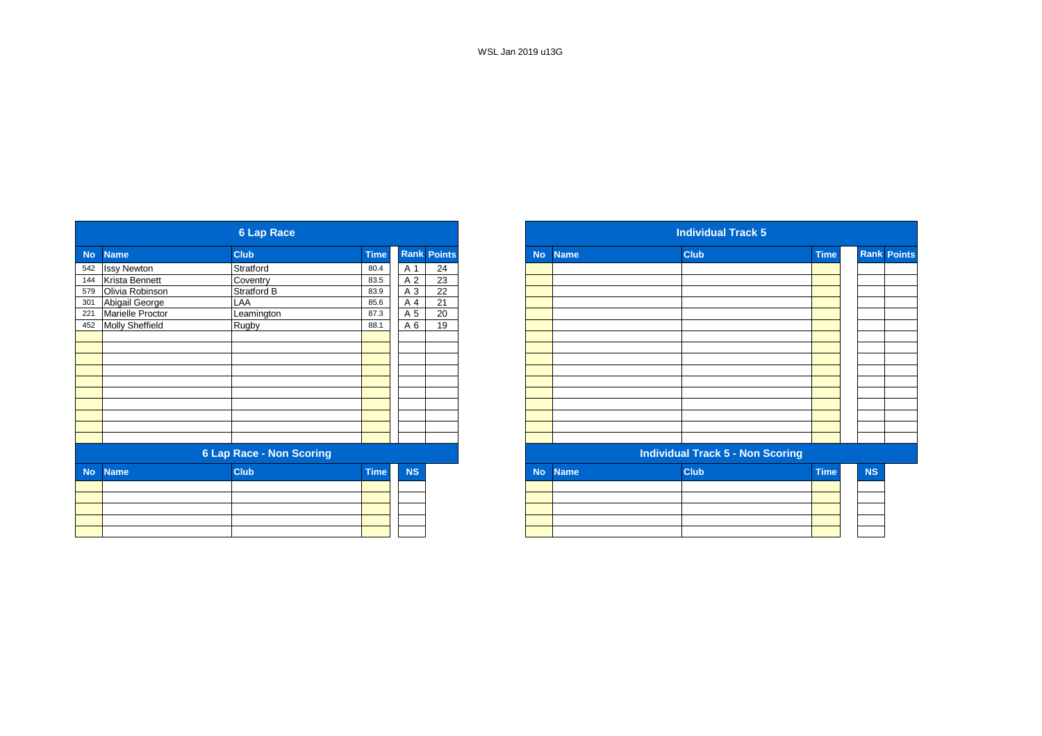WSL Jan 2019 u13G

|           |                        | <b>6 Lap Race</b>               |             |                |                    |
|-----------|------------------------|---------------------------------|-------------|----------------|--------------------|
| <b>No</b> | <b>Name</b>            | <b>Club</b>                     | <b>Time</b> |                | <b>Rank Points</b> |
|           | 542 Issy Newton        | Stratford                       | 80.4        | A 1            | 24                 |
| 144       | Krista Bennett         | Coventry                        | 83.5        | A 2            | $\overline{23}$    |
| 579       | Olivia Robinson        | Stratford B                     | 83.9        | A 3            | $\overline{22}$    |
| 301       | Abigail George         | LAA                             | 85.6        | A 4            | 21                 |
| 221       | Marielle Proctor       | Leamington                      | 87.3        | A <sub>5</sub> | $\overline{20}$    |
| 452       | <b>Molly Sheffield</b> | Rugby                           | 88.1        | A 6            | 19                 |
|           |                        |                                 |             |                |                    |
|           |                        |                                 |             |                |                    |
|           |                        |                                 |             |                |                    |
|           |                        |                                 |             |                |                    |
|           |                        |                                 |             |                |                    |
|           |                        |                                 |             |                |                    |
|           |                        |                                 |             |                |                    |
|           |                        |                                 |             |                |                    |
|           |                        |                                 |             |                |                    |
|           |                        |                                 |             |                |                    |
|           |                        | <b>6 Lap Race - Non Scoring</b> |             |                |                    |
| <b>No</b> | <b>Name</b>            | <b>Club</b>                     | <b>Time</b> | <b>NS</b>      |                    |
|           |                        |                                 |             |                |                    |
|           |                        |                                 |             |                |                    |
|           |                        |                                 |             |                |                    |
|           |                        |                                 |             |                |                    |
|           |                        |                                 |             |                |                    |

|                   |                                                       | <b>6 Lap Race</b>               |             |           |                    |
|-------------------|-------------------------------------------------------|---------------------------------|-------------|-----------|--------------------|
|                   | <b>Name</b>                                           | <b>Club</b>                     | <b>Time</b> |           | <b>Rank Points</b> |
|                   |                                                       | Stratford                       | 80.4        | A 1       | 24                 |
|                   | 542 Issy Newton<br>144 Krista Benne<br>Krista Bennett | Coventry                        | 83.5        | A 2       | $\overline{23}$    |
|                   | Olivia Robinson                                       | Stratford B                     | 83.9        | A 3       | $\overline{22}$    |
|                   | Abigail George                                        | LAA                             | 85.6        | A 4       | 21                 |
| 301<br>221<br>452 | Marielle Proctor                                      | Leamington                      | 87.3        | A 5       | $\overline{20}$    |
|                   | Molly Sheffield                                       | Rugby                           | 88.1        | A 6       | 19                 |
|                   |                                                       |                                 |             |           |                    |
|                   |                                                       |                                 |             |           |                    |
|                   |                                                       |                                 |             |           |                    |
|                   |                                                       |                                 |             |           |                    |
|                   |                                                       |                                 |             |           |                    |
|                   |                                                       |                                 |             |           |                    |
|                   |                                                       |                                 |             |           |                    |
|                   |                                                       |                                 |             |           |                    |
|                   |                                                       |                                 |             |           |                    |
|                   |                                                       |                                 |             |           |                    |
|                   |                                                       | <b>6 Lap Race - Non Scoring</b> |             |           |                    |
| <b>No</b>         | <b>Name</b>                                           | <b>Club</b>                     | <b>Time</b> | <b>NS</b> |                    |
|                   |                                                       |                                 |             |           |                    |
|                   |                                                       |                                 |             |           |                    |
|                   |                                                       |                                 |             |           |                    |
|                   |                                                       |                                 |             |           |                    |
|                   |                                                       |                                 |             |           |                    |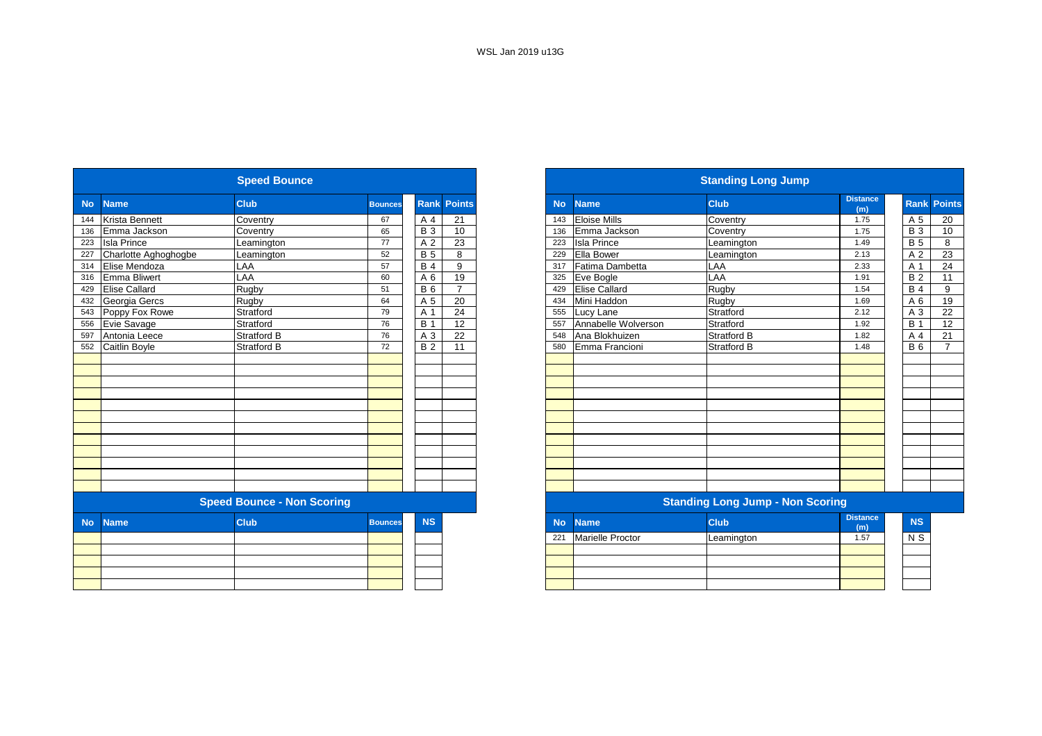|           |                       | <b>Speed Bounce</b>               |                |                |                    |           |                         | <b>Standing Long Jump</b>               |                        |
|-----------|-----------------------|-----------------------------------|----------------|----------------|--------------------|-----------|-------------------------|-----------------------------------------|------------------------|
| <b>No</b> | <b>Name</b>           | <b>Club</b>                       | <b>Bounces</b> |                | <b>Rank Points</b> | <b>No</b> | <b>Name</b>             | <b>Club</b>                             | <b>Distance</b><br>(m) |
| 144       | <b>Krista Bennett</b> | Coventry                          | 67             | A 4            | 21                 | 143       | <b>Eloise Mills</b>     | Coventry                                | 1.75                   |
| 136       | Emma Jackson          | Coventry                          | 65             | <b>B</b> 3     | 10                 | 136       | Emma Jackson            | Coventry                                | 1.75                   |
| 223       | <b>Isla Prince</b>    | Leamington                        | 77             | A <sub>2</sub> | 23                 | 223       | <b>Isla Prince</b>      | Leamington                              | 1.49                   |
| 227       | Charlotte Aghoghogbe  | Leamington                        | 52             | <b>B</b> 5     | 8                  | 229       | Ella Bower              | Leamington                              | 2.13                   |
| 314       | Elise Mendoza         | LAA                               | 57             | <b>B4</b>      | 9                  | 317       | Fatima Dambetta         | LAA                                     | 2.33                   |
| 316       | <b>Emma Bliwert</b>   | LAA                               | 60             | A 6            | 19                 | 325       | Eve Bogle               | LAA                                     | 1.91                   |
| 429       | <b>Elise Callard</b>  | Rugby                             | 51             | <b>B6</b>      | $\overline{7}$     | 429       | <b>Elise Callard</b>    | Rugby                                   | 1.54                   |
| 432       | Georgia Gercs         | Rugby                             | 64             | A 5            | 20                 | 434       | Mini Haddon             | Rugby                                   | 1.69                   |
| 543       | Poppy Fox Rowe        | Stratford                         | 79             | A 1            | 24                 | 555       | Lucy Lane               | Stratford                               | 2.12                   |
| 556       | Evie Savage           | Stratford                         | 76             | <b>B</b> 1     | 12                 | 557       | Annabelle Wolverson     | Stratford                               | 1.92                   |
| 597       | Antonia Leece         | <b>Stratford B</b>                | 76             | A 3            | 22                 | 548       | Ana Blokhuizen          | <b>Stratford B</b>                      | 1.82                   |
| 552       | Caitlin Boyle         | <b>Stratford B</b>                | 72             | <b>B2</b>      | 11                 | 580       | Emma Francioni          | <b>Stratford B</b>                      | 1.48                   |
|           |                       |                                   |                |                |                    |           |                         |                                         |                        |
|           |                       |                                   |                |                |                    |           |                         |                                         |                        |
|           |                       |                                   |                |                |                    |           |                         |                                         |                        |
|           |                       |                                   |                |                |                    |           |                         |                                         |                        |
|           |                       |                                   |                |                |                    |           |                         |                                         |                        |
|           |                       |                                   |                |                |                    |           |                         |                                         |                        |
|           |                       |                                   |                |                |                    |           |                         |                                         |                        |
|           |                       |                                   |                |                |                    |           |                         |                                         |                        |
|           |                       |                                   |                |                |                    |           |                         |                                         |                        |
|           |                       |                                   |                |                |                    |           |                         |                                         |                        |
|           |                       |                                   |                |                |                    |           |                         |                                         |                        |
|           |                       |                                   |                |                |                    |           |                         |                                         |                        |
|           |                       | <b>Speed Bounce - Non Scoring</b> |                |                |                    |           |                         | <b>Standing Long Jump - Non Scoring</b> |                        |
| <b>No</b> | <b>Name</b>           | <b>Club</b>                       | <b>Bounces</b> | <b>NS</b>      |                    | <b>No</b> | <b>Name</b>             | <b>Club</b>                             | <b>Distance</b><br>(m) |
|           |                       |                                   |                |                |                    | 221       | <b>Marielle Proctor</b> | Leamington                              | 1.57                   |
|           |                       |                                   |                |                |                    |           |                         |                                         |                        |
|           |                       |                                   |                |                |                    |           |                         |                                         |                        |
|           |                       |                                   |                |                |                    |           |                         |                                         |                        |
|           |                       |                                   |                |                |                    |           |                         |                                         |                        |
|           |                       |                                   |                |                |                    |           |                         |                                         |                        |

| <b>Distance</b><br><b>Club</b><br><b>Rank Points</b><br><b>Club</b><br><b>Name</b><br><b>No</b><br><b>Bounces</b><br>(m)<br><b>Eloise Mills</b><br>Coventry<br>Coventry<br>A 4<br>21<br>67<br>143<br>Emma Jackson<br><b>B</b> 3<br>Coventry<br>10<br>Coventry<br>65<br>136<br>23<br><b>Isla Prince</b><br>77<br>A <sub>2</sub><br>223<br>Leamington<br>Leamington<br>Ella Bower<br><b>B</b> 5<br>8<br>Leamington<br>52<br>229<br>Leamington<br>LAA<br><b>B4</b><br>9<br>Fatima Dambetta<br>LAA<br>57<br>317<br>LAA<br>LAA<br>19<br>Eve Bogle<br>A 6<br>60<br>325<br>Rugby<br>$\overline{7}$<br><b>Elise Callard</b><br>Rugby<br><b>B</b> 6<br>51<br>429<br>Mini Haddon<br>Rugby<br>20<br>Rugby<br>A 5<br>64<br>434<br>24<br>Stratford<br>Lucy Lane<br>Stratford<br>79<br>A 1<br>555<br>Annabelle Wolverson<br>12<br>Stratford<br>Stratford<br><b>B</b> 1<br>557<br>76<br>$\overline{22}$<br>Ana Blokhuizen<br>76<br>A 3<br>Stratford B<br>Stratford B<br>548<br>72<br><b>B2</b><br>11<br>Emma Francioni<br><b>Stratford B</b><br>580<br><b>Stratford B</b><br><b>Speed Bounce - Non Scoring</b><br><b>Standing Long Jump - Non Scoring</b><br><b>NS</b><br><b>Club</b><br><b>Club</b><br><b>No</b><br><b>Bounces</b><br><b>Name</b><br><b>Marielle Proctor</b><br>221<br>Leamington |                      | <b>Speed Bounce</b> |  |  |
|-------------------------------------------------------------------------------------------------------------------------------------------------------------------------------------------------------------------------------------------------------------------------------------------------------------------------------------------------------------------------------------------------------------------------------------------------------------------------------------------------------------------------------------------------------------------------------------------------------------------------------------------------------------------------------------------------------------------------------------------------------------------------------------------------------------------------------------------------------------------------------------------------------------------------------------------------------------------------------------------------------------------------------------------------------------------------------------------------------------------------------------------------------------------------------------------------------------------------------------------------------------------------------------|----------------------|---------------------|--|--|
| 1.75                                                                                                                                                                                                                                                                                                                                                                                                                                                                                                                                                                                                                                                                                                                                                                                                                                                                                                                                                                                                                                                                                                                                                                                                                                                                                | <b>Name</b>          |                     |  |  |
| 1.75<br>1.91<br>(m)                                                                                                                                                                                                                                                                                                                                                                                                                                                                                                                                                                                                                                                                                                                                                                                                                                                                                                                                                                                                                                                                                                                                                                                                                                                                 | Krista Bennett       |                     |  |  |
| 1.49<br>2.13<br>2.33<br>1.54<br>1.69<br>2.12<br>1.92<br>1.82<br>1.48<br>1.57                                                                                                                                                                                                                                                                                                                                                                                                                                                                                                                                                                                                                                                                                                                                                                                                                                                                                                                                                                                                                                                                                                                                                                                                        | Emma Jackson         |                     |  |  |
|                                                                                                                                                                                                                                                                                                                                                                                                                                                                                                                                                                                                                                                                                                                                                                                                                                                                                                                                                                                                                                                                                                                                                                                                                                                                                     | <b>Isla Prince</b>   |                     |  |  |
|                                                                                                                                                                                                                                                                                                                                                                                                                                                                                                                                                                                                                                                                                                                                                                                                                                                                                                                                                                                                                                                                                                                                                                                                                                                                                     | Charlotte Aghoghogbe |                     |  |  |
|                                                                                                                                                                                                                                                                                                                                                                                                                                                                                                                                                                                                                                                                                                                                                                                                                                                                                                                                                                                                                                                                                                                                                                                                                                                                                     | Elise Mendoza        |                     |  |  |
|                                                                                                                                                                                                                                                                                                                                                                                                                                                                                                                                                                                                                                                                                                                                                                                                                                                                                                                                                                                                                                                                                                                                                                                                                                                                                     | Emma Bliwert         |                     |  |  |
|                                                                                                                                                                                                                                                                                                                                                                                                                                                                                                                                                                                                                                                                                                                                                                                                                                                                                                                                                                                                                                                                                                                                                                                                                                                                                     | <b>Elise Callard</b> |                     |  |  |
|                                                                                                                                                                                                                                                                                                                                                                                                                                                                                                                                                                                                                                                                                                                                                                                                                                                                                                                                                                                                                                                                                                                                                                                                                                                                                     | Georgia Gercs        |                     |  |  |
|                                                                                                                                                                                                                                                                                                                                                                                                                                                                                                                                                                                                                                                                                                                                                                                                                                                                                                                                                                                                                                                                                                                                                                                                                                                                                     | Poppy Fox Rowe       |                     |  |  |
|                                                                                                                                                                                                                                                                                                                                                                                                                                                                                                                                                                                                                                                                                                                                                                                                                                                                                                                                                                                                                                                                                                                                                                                                                                                                                     | Evie Savage          |                     |  |  |
|                                                                                                                                                                                                                                                                                                                                                                                                                                                                                                                                                                                                                                                                                                                                                                                                                                                                                                                                                                                                                                                                                                                                                                                                                                                                                     | Antonia Leece        |                     |  |  |
|                                                                                                                                                                                                                                                                                                                                                                                                                                                                                                                                                                                                                                                                                                                                                                                                                                                                                                                                                                                                                                                                                                                                                                                                                                                                                     | Caitlin Boyle        |                     |  |  |
|                                                                                                                                                                                                                                                                                                                                                                                                                                                                                                                                                                                                                                                                                                                                                                                                                                                                                                                                                                                                                                                                                                                                                                                                                                                                                     |                      |                     |  |  |
| <b>Distance</b>                                                                                                                                                                                                                                                                                                                                                                                                                                                                                                                                                                                                                                                                                                                                                                                                                                                                                                                                                                                                                                                                                                                                                                                                                                                                     |                      |                     |  |  |
|                                                                                                                                                                                                                                                                                                                                                                                                                                                                                                                                                                                                                                                                                                                                                                                                                                                                                                                                                                                                                                                                                                                                                                                                                                                                                     |                      |                     |  |  |
|                                                                                                                                                                                                                                                                                                                                                                                                                                                                                                                                                                                                                                                                                                                                                                                                                                                                                                                                                                                                                                                                                                                                                                                                                                                                                     |                      |                     |  |  |
|                                                                                                                                                                                                                                                                                                                                                                                                                                                                                                                                                                                                                                                                                                                                                                                                                                                                                                                                                                                                                                                                                                                                                                                                                                                                                     |                      |                     |  |  |
|                                                                                                                                                                                                                                                                                                                                                                                                                                                                                                                                                                                                                                                                                                                                                                                                                                                                                                                                                                                                                                                                                                                                                                                                                                                                                     |                      |                     |  |  |
|                                                                                                                                                                                                                                                                                                                                                                                                                                                                                                                                                                                                                                                                                                                                                                                                                                                                                                                                                                                                                                                                                                                                                                                                                                                                                     |                      |                     |  |  |
|                                                                                                                                                                                                                                                                                                                                                                                                                                                                                                                                                                                                                                                                                                                                                                                                                                                                                                                                                                                                                                                                                                                                                                                                                                                                                     |                      |                     |  |  |
|                                                                                                                                                                                                                                                                                                                                                                                                                                                                                                                                                                                                                                                                                                                                                                                                                                                                                                                                                                                                                                                                                                                                                                                                                                                                                     |                      |                     |  |  |
|                                                                                                                                                                                                                                                                                                                                                                                                                                                                                                                                                                                                                                                                                                                                                                                                                                                                                                                                                                                                                                                                                                                                                                                                                                                                                     |                      |                     |  |  |
|                                                                                                                                                                                                                                                                                                                                                                                                                                                                                                                                                                                                                                                                                                                                                                                                                                                                                                                                                                                                                                                                                                                                                                                                                                                                                     |                      |                     |  |  |
|                                                                                                                                                                                                                                                                                                                                                                                                                                                                                                                                                                                                                                                                                                                                                                                                                                                                                                                                                                                                                                                                                                                                                                                                                                                                                     |                      |                     |  |  |
|                                                                                                                                                                                                                                                                                                                                                                                                                                                                                                                                                                                                                                                                                                                                                                                                                                                                                                                                                                                                                                                                                                                                                                                                                                                                                     |                      |                     |  |  |
|                                                                                                                                                                                                                                                                                                                                                                                                                                                                                                                                                                                                                                                                                                                                                                                                                                                                                                                                                                                                                                                                                                                                                                                                                                                                                     | <b>Name</b>          |                     |  |  |
|                                                                                                                                                                                                                                                                                                                                                                                                                                                                                                                                                                                                                                                                                                                                                                                                                                                                                                                                                                                                                                                                                                                                                                                                                                                                                     |                      |                     |  |  |
|                                                                                                                                                                                                                                                                                                                                                                                                                                                                                                                                                                                                                                                                                                                                                                                                                                                                                                                                                                                                                                                                                                                                                                                                                                                                                     |                      |                     |  |  |
|                                                                                                                                                                                                                                                                                                                                                                                                                                                                                                                                                                                                                                                                                                                                                                                                                                                                                                                                                                                                                                                                                                                                                                                                                                                                                     |                      |                     |  |  |
|                                                                                                                                                                                                                                                                                                                                                                                                                                                                                                                                                                                                                                                                                                                                                                                                                                                                                                                                                                                                                                                                                                                                                                                                                                                                                     |                      |                     |  |  |
|                                                                                                                                                                                                                                                                                                                                                                                                                                                                                                                                                                                                                                                                                                                                                                                                                                                                                                                                                                                                                                                                                                                                                                                                                                                                                     |                      |                     |  |  |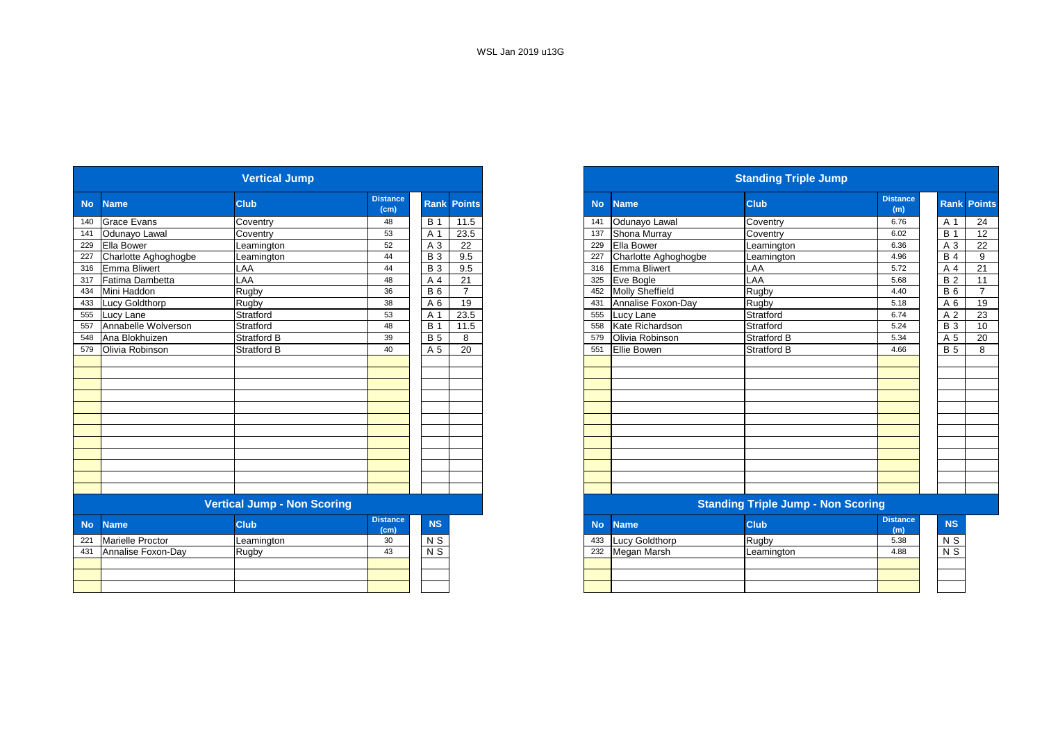|           |                         | <b>Vertical Jump</b>               |                         |                |                |
|-----------|-------------------------|------------------------------------|-------------------------|----------------|----------------|
| <b>No</b> | <b>Name</b>             | <b>Club</b>                        | <b>Distance</b><br>(cm) | <b>Rank</b>    | <b>Points</b>  |
| 140       | <b>Grace Evans</b>      | Coventry                           | 48                      | <b>B</b> 1     | 11.5           |
| 141       | Odunayo Lawal           | Coventry                           | 53                      | A 1            | 23.5           |
| 229       | Ella Bower              | Leamington                         | 52                      | A 3            | 22             |
| 227       | Charlotte Aghoghogbe    | Leamington                         | 44                      | <b>B</b> 3     | 9.5            |
| 316       | <b>Emma Bliwert</b>     | LAA                                | 44                      | <b>B3</b>      | 9.5            |
| 317       | Fatima Dambetta         | AA                                 | 48                      | A 4            | 21             |
| 434       | Mini Haddon             | Rugby                              | 36                      | <b>B</b> 6     | $\overline{7}$ |
| 433       | .ucy Goldthorp          | Rugby                              | 38                      | A 6            | 19             |
| 555       | Lucy Lane               | Stratford                          | 53                      | A 1            | 23.5           |
| 557       | Annabelle Wolverson     | Stratford                          | 48                      | <b>B</b> 1     | 11.5           |
| 548       | Ana Blokhuizen          | Stratford B                        | 39                      | <b>B</b> 5     | 8              |
| 579       | Olivia Robinson         | Stratford B                        | 40                      | A 5            | 20             |
|           |                         |                                    |                         |                |                |
|           |                         |                                    |                         |                |                |
|           |                         |                                    |                         |                |                |
|           |                         |                                    |                         |                |                |
|           |                         |                                    |                         |                |                |
|           |                         |                                    |                         |                |                |
|           |                         |                                    |                         |                |                |
|           |                         | <b>Vertical Jump - Non Scoring</b> |                         |                |                |
|           |                         |                                    |                         |                |                |
| <b>No</b> | <b>Name</b>             | <b>Club</b>                        | <b>Distance</b><br>(cm) | NS             |                |
| 221       | <b>Marielle Proctor</b> | Leamington                         | 30                      | N <sub>S</sub> |                |
| 431       | Annalise Foxon-Day      | <b>Rugby</b>                       | 43                      | $N$ S          |                |
|           |                         |                                    |                         |                |                |
|           |                         |                                    |                         |                |                |

|           |                                         | <b>Vertical Jump</b>                            |                         |            |                    |           |                      | <b>Standing Triple Jump</b>                                                                                                                                   |                        |            |                    |
|-----------|-----------------------------------------|-------------------------------------------------|-------------------------|------------|--------------------|-----------|----------------------|---------------------------------------------------------------------------------------------------------------------------------------------------------------|------------------------|------------|--------------------|
| <b>No</b> | <b>Name</b>                             | <b>Club</b>                                     | <b>Distance</b><br>(cm) |            | <b>Rank Points</b> | <b>No</b> | <b>Name</b>          | <b>Club</b>                                                                                                                                                   | <b>Distance</b><br>(m) |            | <b>Rank Points</b> |
| 140       | <b>Grace Evans</b>                      | Coventry                                        | 48                      | <b>B</b> 1 | 11.5               | 141       | Odunayo Lawal        | Coventry                                                                                                                                                      | 6.76                   | A 1        | 24                 |
| 141       | Odunayo Lawal                           | Coventry                                        | 53                      | A 1        | 23.5               | 137       | Shona Murray         | Coventry                                                                                                                                                      | 6.02                   | <b>B</b> 1 | 12                 |
| 229       | Ella Bower                              | Leamington                                      | 52                      | A 3        | 22                 | 229       | <b>Ella Bower</b>    | Leamington                                                                                                                                                    | 6.36                   | A 3        | 22                 |
| 227       | Charlotte Aghoghogbe                    | Leamington                                      | 44                      | <b>B</b> 3 | 9.5                | 227       | Charlotte Aghoghogbe | Leamington                                                                                                                                                    | 4.96                   | <b>B</b> 4 | 9                  |
|           | 316 Emma Bliwert                        | LAA                                             | 44                      | <b>B</b> 3 | 9.5                |           | 316 Emma Bliwert     | LAA                                                                                                                                                           | 5.72                   | A 4        | $\overline{21}$    |
| 317       | Fatima Dambetta                         | <b>AA</b>                                       | 48                      | A 4        | 21                 | 325       | Eve Bogle            | LAA                                                                                                                                                           | 5.68                   | <b>B2</b>  | 11                 |
|           | 434 Mini Haddon                         | Rugby                                           | 36                      | <b>B</b> 6 | $\overline{ }$     |           | 452 Molly Sheffield  | Rugby                                                                                                                                                         | 4.40                   | <b>B</b> 6 | $\overline{ }$     |
| 433       | Lucy Goldthorp                          | Rugby                                           | 38                      | A 6        | 19                 | 431       | Annalise Foxon-Day   | Rugby                                                                                                                                                         | 5.18                   | A 6        | 19                 |
| 555       | Lucy Lane                               | Stratford                                       | 53                      | A 1        | 23.5               | 555       | Lucy Lane            | Stratford                                                                                                                                                     | 6.74                   | A 2        | 23                 |
| 557       | Annabelle Wolverson                     | Stratford                                       | 48                      | <b>B</b> 1 | 11.5               | 558       | Kate Richardson      | Stratford                                                                                                                                                     | 5.24                   | <b>B</b> 3 | 10                 |
| 548       | Ana Blokhuizen                          | <b>Stratford B</b>                              | 39                      | <b>B</b> 5 | 8                  | 579       | Olivia Robinson      | <b>Stratford B</b>                                                                                                                                            | 5.34                   | A 5        | 20                 |
|           | 579 Olivia Robinson                     | <b>Stratford B</b>                              | 40                      | A 5        | 20                 | 551       | Ellie Bowen          | <b>Stratford B</b>                                                                                                                                            | 4.66                   | <b>B</b> 5 | 8                  |
|           |                                         |                                                 |                         |            |                    |           |                      |                                                                                                                                                               |                        |            |                    |
|           |                                         |                                                 |                         |            |                    |           |                      |                                                                                                                                                               |                        |            |                    |
|           |                                         |                                                 |                         |            |                    |           |                      |                                                                                                                                                               |                        |            |                    |
|           |                                         |                                                 |                         |            |                    |           |                      |                                                                                                                                                               |                        |            |                    |
|           |                                         |                                                 |                         |            |                    |           |                      |                                                                                                                                                               |                        |            |                    |
|           |                                         |                                                 |                         |            |                    |           |                      |                                                                                                                                                               |                        |            |                    |
|           |                                         |                                                 |                         |            |                    |           |                      |                                                                                                                                                               |                        |            |                    |
|           |                                         |                                                 |                         |            |                    |           |                      |                                                                                                                                                               |                        |            |                    |
|           |                                         |                                                 |                         |            |                    |           |                      |                                                                                                                                                               |                        |            |                    |
|           |                                         |                                                 |                         |            |                    |           |                      |                                                                                                                                                               |                        |            |                    |
|           |                                         |                                                 |                         |            |                    |           |                      |                                                                                                                                                               |                        |            |                    |
|           |                                         |                                                 |                         |            |                    |           |                      |                                                                                                                                                               |                        |            |                    |
|           | the property of the control of the con- | the contract of the contract of the contract of |                         |            |                    |           |                      | the contract of the contract of the contract of the contract of the contract of the contract of the contract of<br><b>Contract Contract Contract Contract</b> |                        |            |                    |

### **Vertical Jump - Non Scoring Standing Triple Jump - Non Scoring**

| <b>stance</b><br>(cm) | <b>NS</b> | <b>No</b> | <b>Name</b>           | <b>Club</b> | <b>Distance</b><br>(m) |  |
|-----------------------|-----------|-----------|-----------------------|-------------|------------------------|--|
| 30                    | N S       | 433       | <b>Lucy Goldthorp</b> | Rugby       | 5.38                   |  |
| 43                    | N S       | 232       | Megan Marsh           | Leamington  | 4.88                   |  |
|                       |           |           |                       |             |                        |  |
|                       |           |           |                       |             |                        |  |
|                       |           |           |                       |             |                        |  |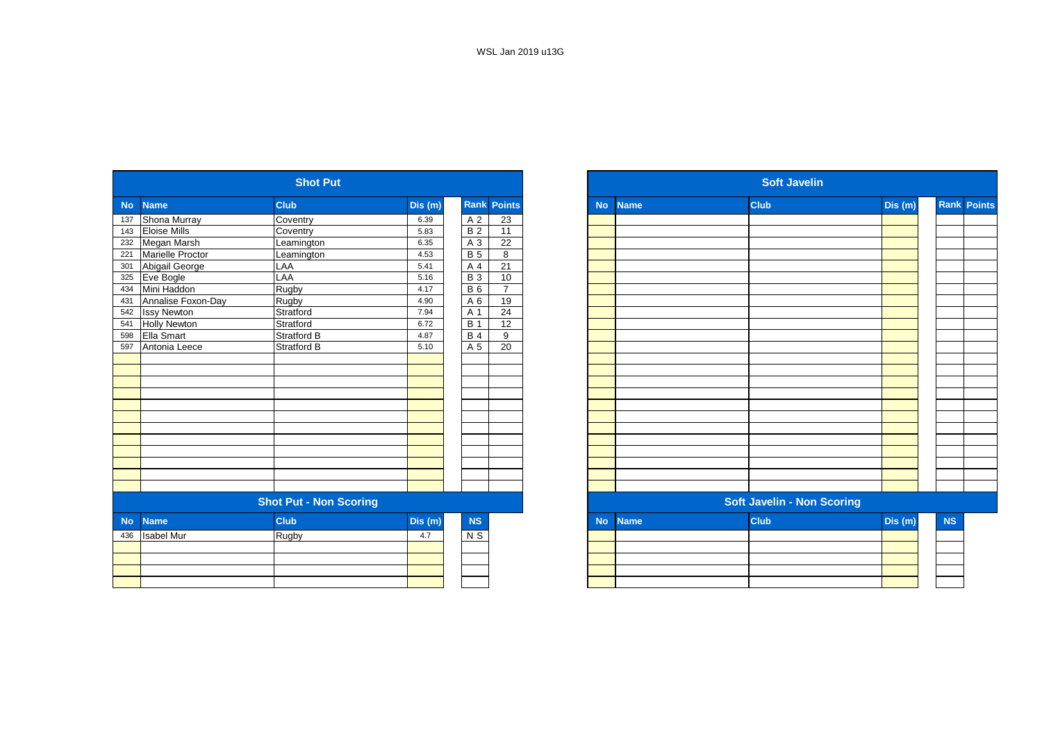|           |                         | <b>Shot Put</b>               |         |                |                    |           |             | <b>Soft Javelin</b>               |         |
|-----------|-------------------------|-------------------------------|---------|----------------|--------------------|-----------|-------------|-----------------------------------|---------|
| <b>No</b> | <b>Name</b>             | Club                          | Dis (m) |                | <b>Rank Points</b> | <b>No</b> | <b>Name</b> | <b>Club</b>                       | Dis (m) |
| 137       | Shona Murray            | Coventry                      | 6.39    | A 2            | 23                 |           |             |                                   |         |
| 143       | <b>Eloise Mills</b>     | Coventry                      | 5.83    | <b>B2</b>      | 11                 |           |             |                                   |         |
| 232       | Megan Marsh             | Leamington                    | 6.35    | A 3            | 22                 |           |             |                                   |         |
| 221       | <b>Marielle Proctor</b> | Leamington                    | 4.53    | $\overline{B}$ | 8                  |           |             |                                   |         |
| 301       | Abigail George          | LAA                           | 5.41    | A 4            | 21                 |           |             |                                   |         |
| 325       | Eve Bogle               | LAA                           | 5.16    | <b>B</b> 3     | 10                 |           |             |                                   |         |
| 434       | Mini Haddon             | Rugby                         | 4.17    | <b>B</b> 6     | $\overline{7}$     |           |             |                                   |         |
| 431       | Annalise Foxon-Day      | Rugby                         | 4.90    | A 6            | 19                 |           |             |                                   |         |
| 542       | <b>Issy Newton</b>      | Stratford                     | 7.94    | A 1            | 24                 |           |             |                                   |         |
| 541       | <b>Holly Newton</b>     | Stratford                     | 6.72    | <b>B</b> 1     | 12                 |           |             |                                   |         |
| 598       | Ella Smart              | Stratford B                   | 4.87    | $B$ 4          | 9                  |           |             |                                   |         |
| 597       | Antonia Leece           | <b>Stratford B</b>            | 5.10    | A 5            | $\overline{20}$    |           |             |                                   |         |
|           |                         |                               |         |                |                    |           |             |                                   |         |
|           |                         |                               |         |                |                    |           |             |                                   |         |
|           |                         |                               |         |                |                    |           |             |                                   |         |
|           |                         |                               |         |                |                    |           |             |                                   |         |
|           |                         |                               |         |                |                    |           |             |                                   |         |
|           |                         |                               |         |                |                    |           |             |                                   |         |
|           |                         |                               |         |                |                    |           |             |                                   |         |
|           |                         |                               |         |                |                    |           |             |                                   |         |
|           |                         |                               |         |                |                    |           |             |                                   |         |
|           |                         |                               |         |                |                    |           |             |                                   |         |
|           |                         |                               |         |                |                    |           |             |                                   |         |
|           |                         |                               |         |                |                    |           |             |                                   |         |
|           |                         | <b>Shot Put - Non Scoring</b> |         |                |                    |           |             | <b>Soft Javelin - Non Scoring</b> |         |
| <b>No</b> | <b>Name</b>             | Club                          | Dis (m) | NS             |                    | <b>No</b> | <b>Name</b> | <b>Club</b>                       | Dis (m) |
| 436       | <b>Isabel Mur</b>       | <b>Rugby</b>                  | 4.7     | $N$ S          |                    |           |             |                                   |         |
|           |                         |                               |         |                |                    |           |             |                                   |         |
|           |                         |                               |         |                |                    |           |             |                                   |         |
|           |                         |                               |         |                |                    |           |             |                                   |         |
|           |                         |                               |         |                |                    |           |             |                                   |         |

|                 |                     | <b>Shot Put</b>               |        |                 |                    |           |             | <b>Soft Javelin</b>               |         |    |                    |
|-----------------|---------------------|-------------------------------|--------|-----------------|--------------------|-----------|-------------|-----------------------------------|---------|----|--------------------|
| <b>No</b>       | <b>Name</b>         | <b>Club</b>                   | Dis(m) |                 | <b>Rank Points</b> | <b>No</b> | <b>Name</b> | <b>Club</b>                       | Dis (m) |    | <b>Rank Points</b> |
| 137             | Shona Murray        | Coventry                      | 6.39   | A 2             | 23                 |           |             |                                   |         |    |                    |
| 143             | <b>Eloise Mills</b> | Coventry                      | 5.83   | B <sub>2</sub>  | 11                 |           |             |                                   |         |    |                    |
| 232             | Megan Marsh         | Leamington                    | 6.35   | A 3             | 22                 |           |             |                                   |         |    |                    |
| 221             | Marielle Proctor    | Leamington                    | 4.53   | <b>B</b> 5      | 8                  |           |             |                                   |         |    |                    |
| 301             | Abigail George      | LAA                           | 5.41   | A 4             | 21                 |           |             |                                   |         |    |                    |
| 325             | Eve Bogle           | <b>LAA</b>                    | 5.16   | $\overline{B}3$ | 10                 |           |             |                                   |         |    |                    |
| $\frac{1}{434}$ | Mini Haddon         | Rugby                         | 4.17   | $B_6$           | $\overline{7}$     |           |             |                                   |         |    |                    |
| 431             | Annalise Foxon-Day  | Rugby                         | 4.90   | A 6             | 19                 |           |             |                                   |         |    |                    |
| 542             | <b>Issy Newton</b>  | Stratford                     | 7.94   | A 1             | 24                 |           |             |                                   |         |    |                    |
| 541             | <b>Holly Newton</b> | Stratford                     | 6.72   | <b>B</b> 1      | 12                 |           |             |                                   |         |    |                    |
| 598<br>597      | Ella Smart          | <b>Stratford B</b>            | 4.87   | <b>B</b> 4      | 9                  |           |             |                                   |         |    |                    |
|                 | Antonia Leece       | Stratford B                   | 5.10   | A 5             | 20                 |           |             |                                   |         |    |                    |
|                 |                     |                               |        |                 |                    |           |             |                                   |         |    |                    |
|                 |                     |                               |        |                 |                    |           |             |                                   |         |    |                    |
|                 |                     |                               |        |                 |                    |           |             |                                   |         |    |                    |
|                 |                     |                               |        |                 |                    |           |             |                                   |         |    |                    |
|                 |                     |                               |        |                 |                    |           |             |                                   |         |    |                    |
|                 |                     |                               |        |                 |                    |           |             |                                   |         |    |                    |
|                 |                     |                               |        |                 |                    |           |             |                                   |         |    |                    |
|                 |                     |                               |        |                 |                    |           |             |                                   |         |    |                    |
|                 |                     |                               |        |                 |                    |           |             |                                   |         |    |                    |
|                 |                     |                               |        |                 |                    |           |             |                                   |         |    |                    |
|                 |                     |                               |        |                 |                    |           |             |                                   |         |    |                    |
|                 |                     |                               |        |                 |                    |           |             |                                   |         |    |                    |
|                 |                     | <b>Shot Put - Non Scoring</b> |        |                 |                    |           |             | <b>Soft Javelin - Non Scoring</b> |         |    |                    |
| <b>No</b>       | <b>Name</b>         | <b>Club</b>                   | Dis(m) | NS              |                    | <b>No</b> | <b>Name</b> | <b>Club</b>                       | Dis (m) | NS |                    |
| 436             | <b>Isabel Mur</b>   | <b>Rugby</b>                  | 4.7    | $N$ S           |                    |           |             |                                   |         |    |                    |
|                 |                     |                               |        |                 |                    |           |             |                                   |         |    |                    |
|                 |                     |                               |        |                 |                    |           |             |                                   |         |    |                    |
|                 |                     |                               |        |                 |                    |           |             |                                   |         |    |                    |
|                 |                     |                               |        |                 |                    |           |             |                                   |         |    |                    |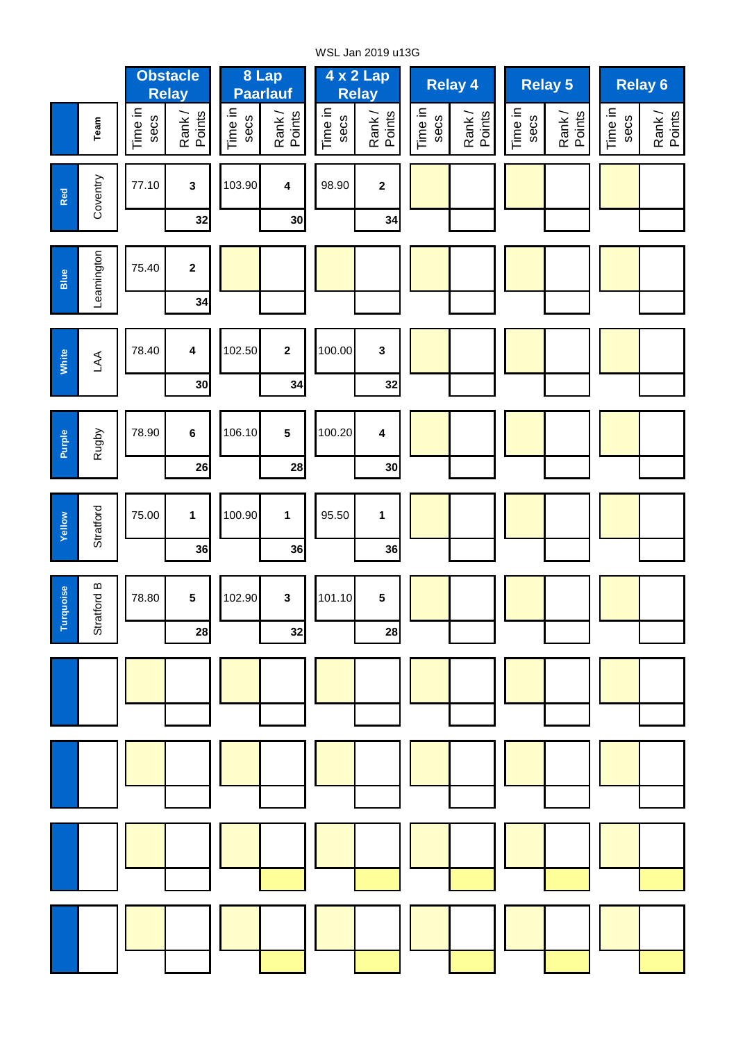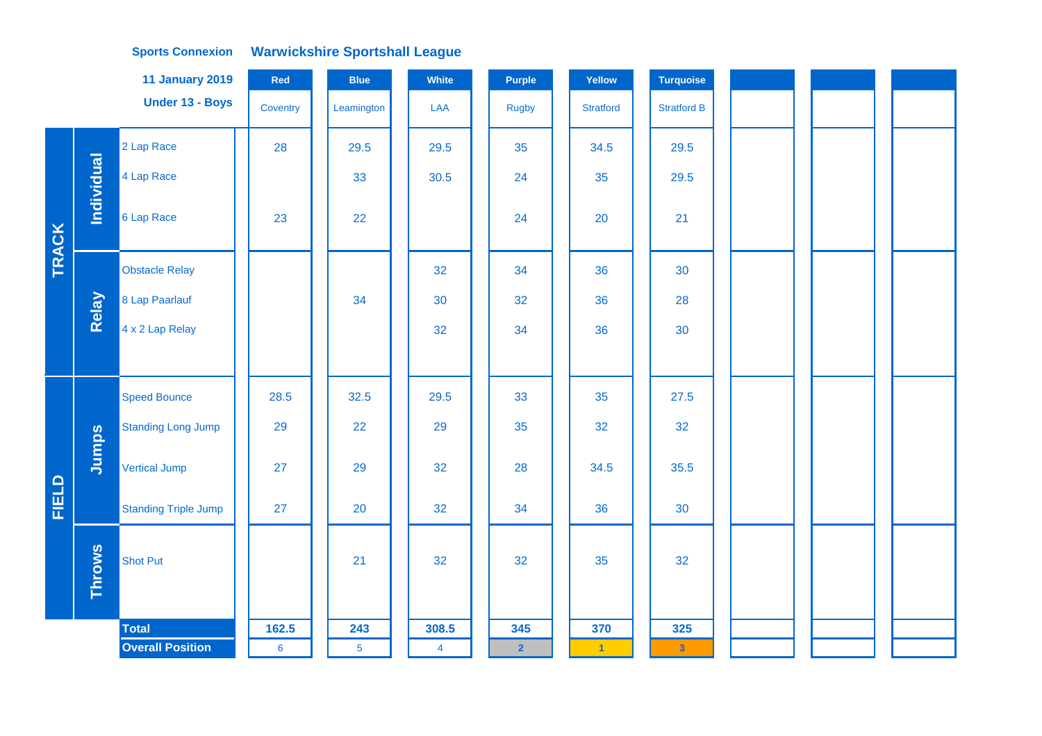|              |                   | <b>11 January 2019</b>      | Red            | <b>Blue</b>    | White          | Purple                  | Yellow               | <b>Turquoise</b>   |  |  |
|--------------|-------------------|-----------------------------|----------------|----------------|----------------|-------------------------|----------------------|--------------------|--|--|
|              |                   | Under 13 - Boys             | Coventry       | Leamington     | LAA            | Rugby                   | <b>Stratford</b>     | <b>Stratford B</b> |  |  |
|              |                   | 2 Lap Race                  | 28             | 29.5           | 29.5           | 35                      | 34.5                 | 29.5               |  |  |
|              | <b>Individual</b> | 4 Lap Race                  |                | 33             | 30.5           | 24                      | 35                   | 29.5               |  |  |
| TRACK        |                   | 6 Lap Race                  | 23             | 22             |                | 24                      | 20                   | 21                 |  |  |
|              |                   | <b>Obstacle Relay</b>       |                |                | 32             | 34                      | 36                   | 30                 |  |  |
|              | Relay             | 8 Lap Paarlauf              |                | 34             | 30             | 32                      | 36                   | 28                 |  |  |
|              |                   | 4 x 2 Lap Relay             |                |                | 32             | 34                      | 36                   | 30                 |  |  |
|              |                   |                             |                |                |                |                         |                      |                    |  |  |
|              |                   | <b>Speed Bounce</b>         | 28.5           | 32.5           | 29.5           | 33                      | 35                   | 27.5               |  |  |
|              |                   | <b>Standing Long Jump</b>   | 29             | 22             | 29             | 35                      | 32                   | 32                 |  |  |
|              | Jumps             | Vertical Jump               | 27             | 29             | 32             | 28                      | 34.5                 | 35.5               |  |  |
| <b>FIELD</b> |                   | <b>Standing Triple Jump</b> | 27             | 20             | 32             | 34                      | 36                   | 30                 |  |  |
|              | <b>Throws</b>     | <b>Shot Put</b>             |                | 21             | 32             | 32                      | 35                   | 32                 |  |  |
|              |                   | <b>Total</b>                | 162.5          | 243            | 308.5          | 345                     | 370                  | 325                |  |  |
|              |                   | <b>Overall Position</b>     | $6\phantom{a}$ | $\overline{5}$ | $\overline{4}$ | $\overline{\mathbf{2}}$ | $\blacktriangleleft$ | $\mathbf{3}$       |  |  |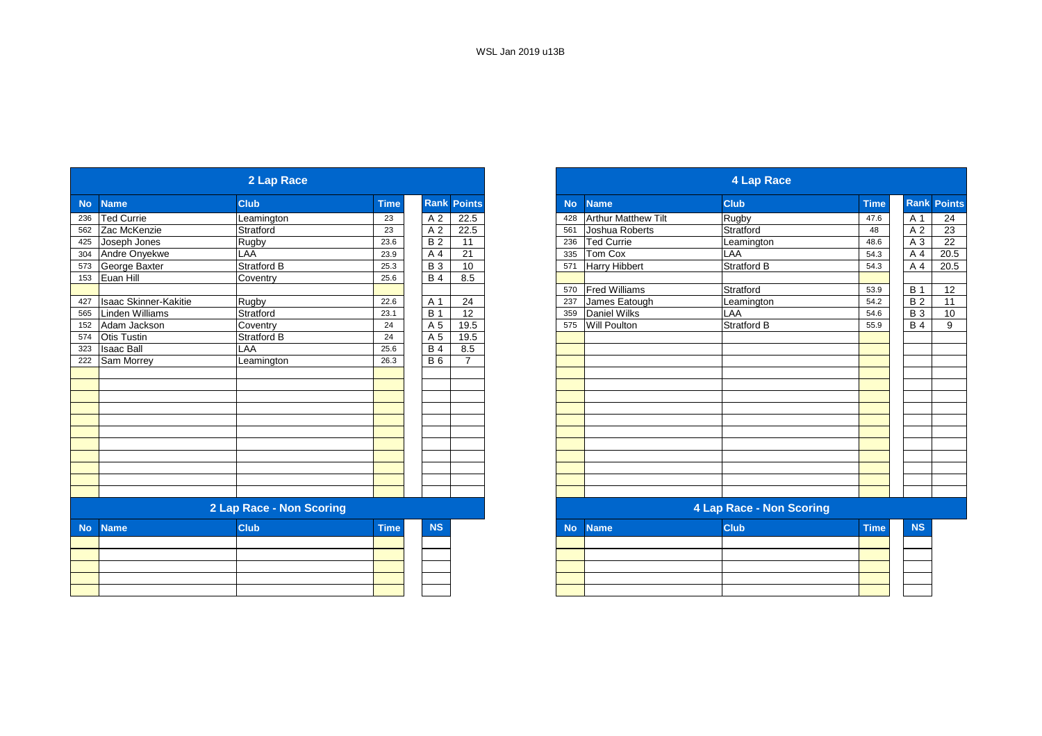|           |                              | 2 Lap Race               |             |                  |                |
|-----------|------------------------------|--------------------------|-------------|------------------|----------------|
| <b>No</b> | <b>Name</b>                  | <b>Club</b>              | <b>Time</b> | Rank             | <b>Points</b>  |
| 236       | <b>Ted Currie</b>            | Leamington               | 23          | A 2              | 22.5           |
| 562       | Zac McKenzie                 | Stratford                | 23          | A 2              | 22.5           |
| 425       | Joseph Jones                 | Rugby                    | 23.6        | <b>B2</b>        | 11             |
| 304       | Andre Onyekwe                | LAA                      | 23.9        | A 4              | 21             |
| 573       | George Baxter                | Stratford B              | 25.3        | <b>B</b> 3       | 10             |
| 153       | Euan Hill                    | Coventry                 | 25.6        | <b>B4</b>        | 8.5            |
|           |                              |                          |             |                  |                |
| 427       | <b>Isaac Skinner-Kakitie</b> | Rugby                    | 22.6        | A 1              | 24             |
| 565       | <b>Linden Williams</b>       | Stratford                | 23.1        | $\overline{B}$ 1 | 12             |
| 152       | Adam Jackson                 | Coventry                 | 24          | A 5              | 19.5           |
| 574       | Otis Tustin                  | Stratford B              | 24          | A 5              | 19.5           |
| 323       | <b>Isaac Ball</b>            | LAA                      | 25.6        | <b>B</b> 4       | 8.5            |
| 222       | Sam Morrey                   | Leamington               | 26.3        | <b>B</b> 6       | $\overline{7}$ |
|           |                              |                          |             |                  |                |
|           |                              |                          |             |                  |                |
|           |                              |                          |             |                  |                |
|           |                              |                          |             |                  |                |
|           |                              |                          |             |                  |                |
|           |                              |                          |             |                  |                |
|           |                              |                          |             |                  |                |
|           |                              |                          |             |                  |                |
|           |                              |                          |             |                  |                |
|           |                              |                          |             |                  |                |
|           |                              |                          |             |                  |                |
|           |                              | 2 Lap Race - Non Scoring |             |                  |                |
| <b>No</b> | <b>Name</b>                  | <b>Club</b>              | <b>Time</b> | <b>NS</b>        |                |
|           |                              |                          |             |                  |                |
|           |                              |                          |             |                  |                |
|           |                              |                          |             |                  |                |
|           |                              |                          |             |                  |                |

|           |                              | 2 Lap Race               |             |            |                    |
|-----------|------------------------------|--------------------------|-------------|------------|--------------------|
|           | <b>Name</b>                  | <b>Club</b>              | <b>Time</b> |            | <b>Rank Points</b> |
| 236       | <b>Ted Currie</b>            | Leamington               | 23          | A 2        | 22.5               |
| 562       | Zac McKenzie                 | Stratford                | 23          | A 2        | 22.5               |
| 425       | Joseph Jones                 | Rugby                    | 23.6        | <b>B2</b>  | 11                 |
| 304       | Andre Onyekwe                | LAA                      | 23.9        | A 4        | 21                 |
| 573       | George Baxter                | <b>Stratford B</b>       | 25.3        | <b>B3</b>  | 10                 |
| 153       | Euan Hill                    | Coventry                 | 25.6        | <b>B4</b>  | 8.5                |
|           |                              |                          |             |            |                    |
| 427       | <b>Isaac Skinner-Kakitie</b> | Rugby                    | 22.6        | A 1        | 24                 |
| 565       | Linden Williams              | Stratford                | 23.1        | <b>B</b> 1 | 12                 |
| 152       | Adam Jackson                 | Coventry                 | 24          | A 5        | 19.5               |
| 574       | <b>Otis Tustin</b>           | Stratford B              | 24          | A 5        | 19.5               |
| 323       | <b>Isaac Ball</b>            | LAA                      | 25.6        | <b>B4</b>  | 8.5                |
| 222       | Sam Morrey                   | Leamington               | 26.3        | <b>B</b> 6 | $\overline{ }$     |
|           |                              |                          |             |            |                    |
|           |                              |                          |             |            |                    |
|           |                              |                          |             |            |                    |
|           |                              |                          |             |            |                    |
|           |                              |                          |             |            |                    |
|           |                              |                          |             |            |                    |
|           |                              |                          |             |            |                    |
|           |                              |                          |             |            |                    |
|           |                              |                          |             |            |                    |
|           |                              |                          |             |            |                    |
|           |                              |                          |             |            |                    |
|           |                              | 2 Lap Race - Non Scoring |             |            |                    |
| <b>No</b> | <b>Name</b>                  | <b>Club</b>              | <b>Time</b> | <b>NS</b>  |                    |

|  | No Name | <b>Club</b> | l ime | <b>NS</b> |
|--|---------|-------------|-------|-----------|
|  |         |             |       |           |
|  |         |             |       |           |
|  |         |             |       |           |
|  |         |             |       |           |
|  |         |             |       |           |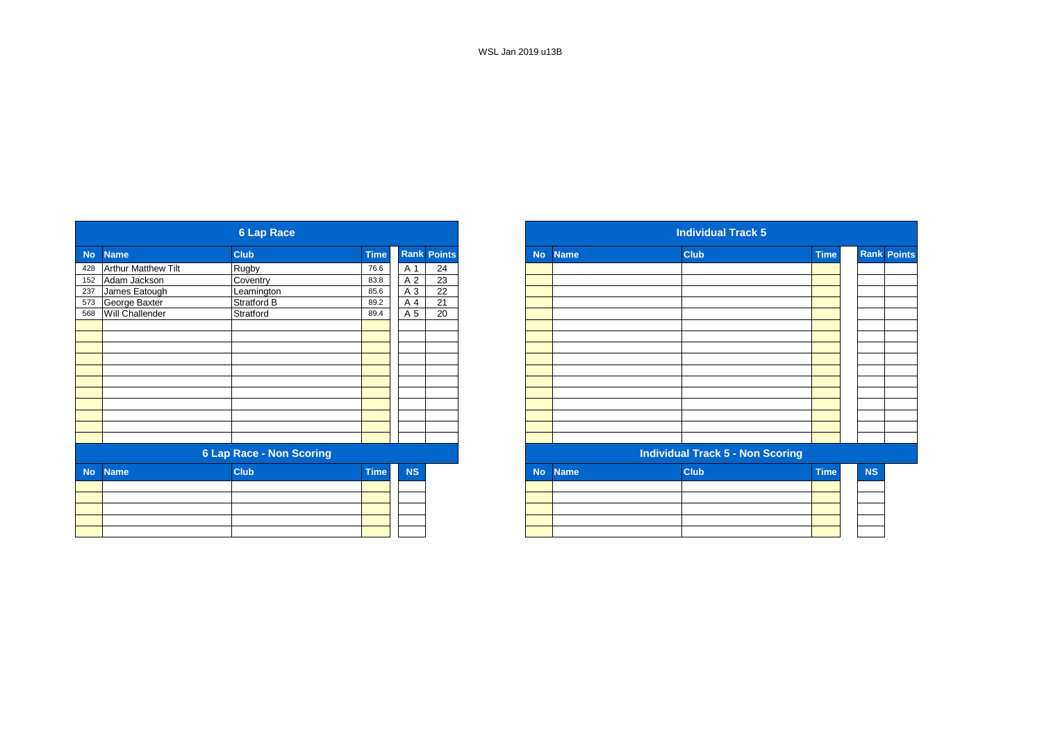|           |                     | <b>6 Lap Race</b>               |             |           |                    |
|-----------|---------------------|---------------------------------|-------------|-----------|--------------------|
| <b>No</b> | <b>Name</b>         | <b>Club</b>                     | <b>Time</b> |           | <b>Rank Points</b> |
| 428       | Arthur Matthew Tilt | Rugby                           | 76.6        | A 1       | 24                 |
| 152       | Adam Jackson        | Coventry                        | 83.8        | A 2       | 23                 |
| 237       | James Eatough       | Leamington                      | 85.6        | A 3       | $\overline{22}$    |
| 573       | George Baxter       | Stratford B                     | 89.2        | A 4       | 21                 |
| 568       | Will Challender     | Stratford                       | 89.4        | A 5       | 20                 |
|           |                     |                                 |             |           |                    |
|           |                     |                                 |             |           |                    |
|           |                     |                                 |             |           |                    |
|           |                     |                                 |             |           |                    |
|           |                     |                                 |             |           |                    |
|           |                     |                                 |             |           |                    |
|           |                     |                                 |             |           |                    |
|           |                     |                                 |             |           |                    |
|           |                     |                                 |             |           |                    |
|           |                     |                                 |             |           |                    |
|           |                     |                                 |             |           |                    |
|           |                     | <b>6 Lap Race - Non Scoring</b> |             |           |                    |
| <b>No</b> | <b>Name</b>         | <b>Club</b>                     | <b>Time</b> | <b>NS</b> |                    |
|           |                     |                                 |             |           |                    |
|           |                     |                                 |             |           |                    |
|           |                     |                                 |             |           |                    |
|           |                     |                                 |             |           |                    |
|           |                     |                                 |             |           |                    |

|                   |                            | <b>6 Lap Race</b>               |             |           |                    |
|-------------------|----------------------------|---------------------------------|-------------|-----------|--------------------|
| No                | <b>Name</b>                | <b>Club</b>                     | <b>Time</b> |           | <b>Rank Points</b> |
| 428               | <b>Arthur Matthew Tilt</b> | Rugby                           | 76.6        | A 1       | 24                 |
| 152               | Adam Jackson               | Coventry                        | 83.8        | A 2       | 23                 |
|                   | James Eatough              | Leamington                      | 85.6        | A 3       | 22                 |
| 237<br>573<br>568 | George Baxter              | Stratford B                     | 89.2        | A 4       | 21                 |
|                   | <b>Will Challender</b>     | Stratford                       | 89.4        | A 5       | $\overline{20}$    |
|                   |                            |                                 |             |           |                    |
|                   |                            |                                 |             |           |                    |
|                   |                            |                                 |             |           |                    |
|                   |                            |                                 |             |           |                    |
|                   |                            |                                 |             |           |                    |
|                   |                            |                                 |             |           |                    |
|                   |                            |                                 |             |           |                    |
|                   |                            |                                 |             |           |                    |
|                   |                            |                                 |             |           |                    |
|                   |                            |                                 |             |           |                    |
|                   |                            |                                 |             |           |                    |
|                   |                            | <b>6 Lap Race - Non Scoring</b> |             |           |                    |
| <b>No</b>         | <b>Name</b>                | <b>Club</b>                     | <b>Time</b> | <b>NS</b> |                    |
|                   |                            |                                 |             |           |                    |
|                   |                            |                                 |             |           |                    |
|                   |                            |                                 |             |           |                    |
|                   |                            |                                 |             |           |                    |
|                   |                            |                                 |             |           |                    |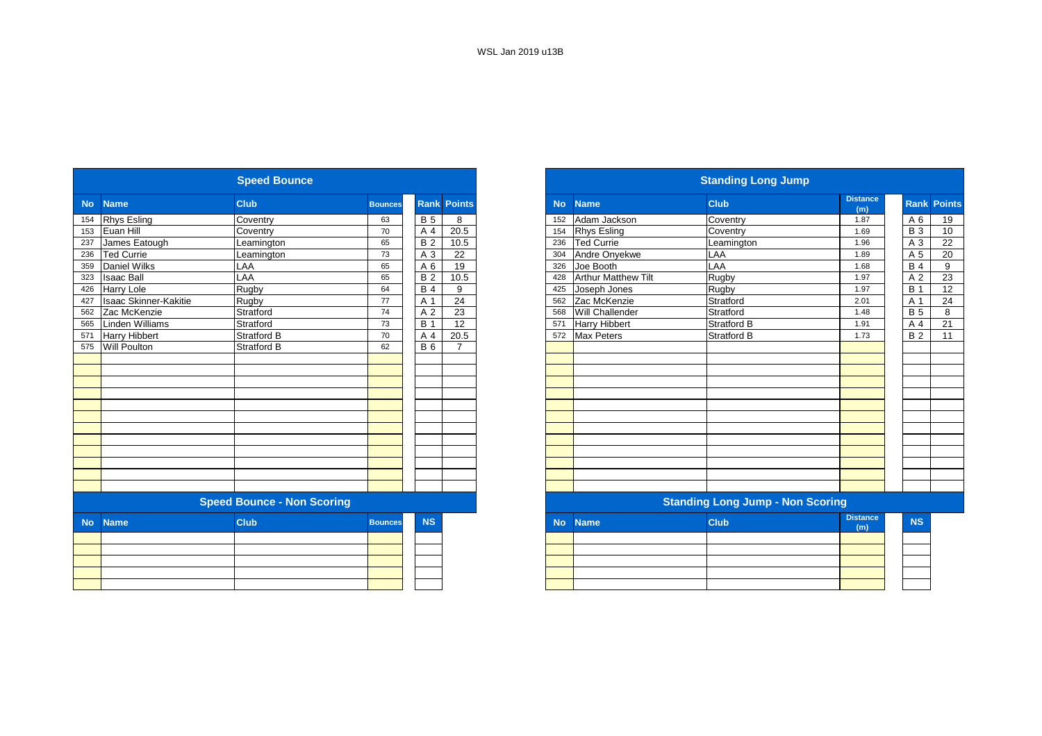|           |                       | <b>Speed Bounce</b>               |                |            |                    |           |                            | <b>Standing Long Jump</b>               |                        |
|-----------|-----------------------|-----------------------------------|----------------|------------|--------------------|-----------|----------------------------|-----------------------------------------|------------------------|
| <b>No</b> | <b>Name</b>           | <b>Club</b>                       | <b>Bounces</b> |            | <b>Rank Points</b> | <b>No</b> | <b>Name</b>                | <b>Club</b>                             | <b>Distance</b><br>(m) |
| 154       | <b>Rhys Esling</b>    | Coventry                          | 63             | <b>B</b> 5 | 8                  | 152       | Adam Jackson               | Coventry                                | 1.87                   |
| 153       | Euan Hill             | Coventry                          | 70             | A 4        | 20.5               | 154       | <b>Rhys Esling</b>         | Coventry                                | 1.69                   |
| 237       | James Eatough         | Leamington                        | 65             | <b>B2</b>  | 10.5               | 236       | <b>Ted Currie</b>          | Leamington                              | 1.96                   |
| 236       | <b>Ted Currie</b>     | Leamington                        | 73             | A 3        | 22                 | 304       | Andre Onyekwe              | LAA                                     | 1.89                   |
| 359       | Daniel Wilks          | LAA                               | 65             | A 6        | 19                 | 326       | Joe Booth                  | LAA                                     | 1.68                   |
| 323       | <b>Isaac Ball</b>     | LAA                               | 65             | <b>B2</b>  | 10.5               | 428       | <b>Arthur Matthew Tilt</b> | Rugby                                   | 1.97                   |
| 426       | <b>Harry Lole</b>     | Rugby                             | 64             | <b>B4</b>  | 9                  | 425       | Joseph Jones               | Rugby                                   | 1.97                   |
| 427       | Isaac Skinner-Kakitie | Rugby                             | 77             | A 1        | 24                 | 562       | Zac McKenzie               | Stratford                               | 2.01                   |
| 562       | Zac McKenzie          | Stratford                         | 74             | A 2        | 23                 | 568       | Will Challender            | Stratford                               | 1.48                   |
| 565       | Linden Williams       | Stratford                         | 73             | <b>B</b> 1 | 12                 | 571       | <b>Harry Hibbert</b>       | <b>Stratford B</b>                      | 1.91                   |
| 571       | <b>Harry Hibbert</b>  | <b>Stratford B</b>                | 70             | A 4        | 20.5               | 572       | <b>Max Peters</b>          | <b>Stratford B</b>                      | 1.73                   |
| 575       | Will Poulton          | <b>Stratford B</b>                | 62             | <b>B6</b>  | $\overline{7}$     |           |                            |                                         |                        |
|           |                       |                                   |                |            |                    |           |                            |                                         |                        |
|           |                       |                                   |                |            |                    |           |                            |                                         |                        |
|           |                       |                                   |                |            |                    |           |                            |                                         |                        |
|           |                       |                                   |                |            |                    |           |                            |                                         |                        |
|           |                       |                                   |                |            |                    |           |                            |                                         |                        |
|           |                       |                                   |                |            |                    |           |                            |                                         |                        |
|           |                       |                                   |                |            |                    |           |                            |                                         |                        |
|           |                       |                                   |                |            |                    |           |                            |                                         |                        |
|           |                       |                                   |                |            |                    |           |                            |                                         |                        |
|           |                       |                                   |                |            |                    |           |                            |                                         |                        |
|           |                       |                                   |                |            |                    |           |                            |                                         |                        |
|           |                       |                                   |                |            |                    |           |                            |                                         |                        |
|           |                       | <b>Speed Bounce - Non Scoring</b> |                |            |                    |           |                            | <b>Standing Long Jump - Non Scoring</b> |                        |
| <b>No</b> | <b>Name</b>           | <b>Club</b>                       | <b>Bounces</b> | <b>NS</b>  |                    | <b>No</b> | <b>Name</b>                | <b>Club</b>                             | <b>Distance</b><br>(m) |
|           |                       |                                   |                |            |                    |           |                            |                                         |                        |
|           |                       |                                   |                |            |                    |           |                            |                                         |                        |
|           |                       |                                   |                |            |                    |           |                            |                                         |                        |
|           |                       |                                   |                |            |                    |           |                            |                                         |                        |
|           |                       |                                   |                |            |                    |           |                            |                                         |                        |

|            |                              | <b>Speed Bounce</b>               |                |                |                |
|------------|------------------------------|-----------------------------------|----------------|----------------|----------------|
|            | <b>Name</b>                  | <b>Club</b>                       | <b>Bounces</b> | Rank           | <b>Points</b>  |
|            | <b>Rhys Esling</b>           | Coventry                          | 63             | <b>B</b> 5     | 8              |
|            | Euan Hill                    | Coventry                          | 70             | A 4            | 20.5           |
|            | James Eatough                | Leamington                        | 65             | <b>B2</b>      | 10.5           |
|            | <b>Ted Currie</b>            | Leamington                        | 73             | A 3            | 22             |
|            | <b>Daniel Wilks</b>          | LAA                               | 65             | A <sub>6</sub> | 19             |
|            | <b>Isaac Ball</b>            | LAA                               | 65             | <b>B2</b>      | 10.5           |
|            | <b>Harry Lole</b>            | Rugby                             | 64             | <b>B</b> 4     | 9              |
|            | <b>Isaac Skinner-Kakitie</b> | Rugby                             | 77             | A 1            | 24             |
|            | Zac McKenzie                 | Stratford                         | 74             | A <sub>2</sub> | 23             |
| 562<br>565 | Linden Williams              | Stratford                         | 73             | <b>B</b> 1     | 12             |
|            | <b>Harry Hibbert</b>         | Stratford B                       | 70             | A <sub>4</sub> | 20.5           |
| 575        | <b>Will Poulton</b>          | <b>Stratford B</b>                | 62             | <b>B</b> 6     | $\overline{7}$ |
|            |                              |                                   |                |                |                |
|            |                              |                                   |                |                |                |
|            |                              |                                   |                |                |                |
|            |                              |                                   |                |                |                |
|            |                              |                                   |                |                |                |
|            |                              |                                   |                |                |                |
|            |                              |                                   |                |                |                |
|            |                              |                                   |                |                |                |
|            |                              |                                   |                |                |                |
|            |                              |                                   |                |                |                |
|            |                              |                                   |                |                |                |
|            |                              |                                   |                |                |                |
|            |                              | <b>Speed Bounce - Non Scoring</b> |                |                |                |
| <b>No</b>  | <b>Name</b>                  | Club                              | <b>Bounces</b> | <b>NS</b>      |                |
|            |                              |                                   |                |                |                |
|            |                              |                                   |                |                |                |
|            |                              |                                   |                |                |                |
|            |                              |                                   |                |                |                |
|            |                              |                                   |                |                |                |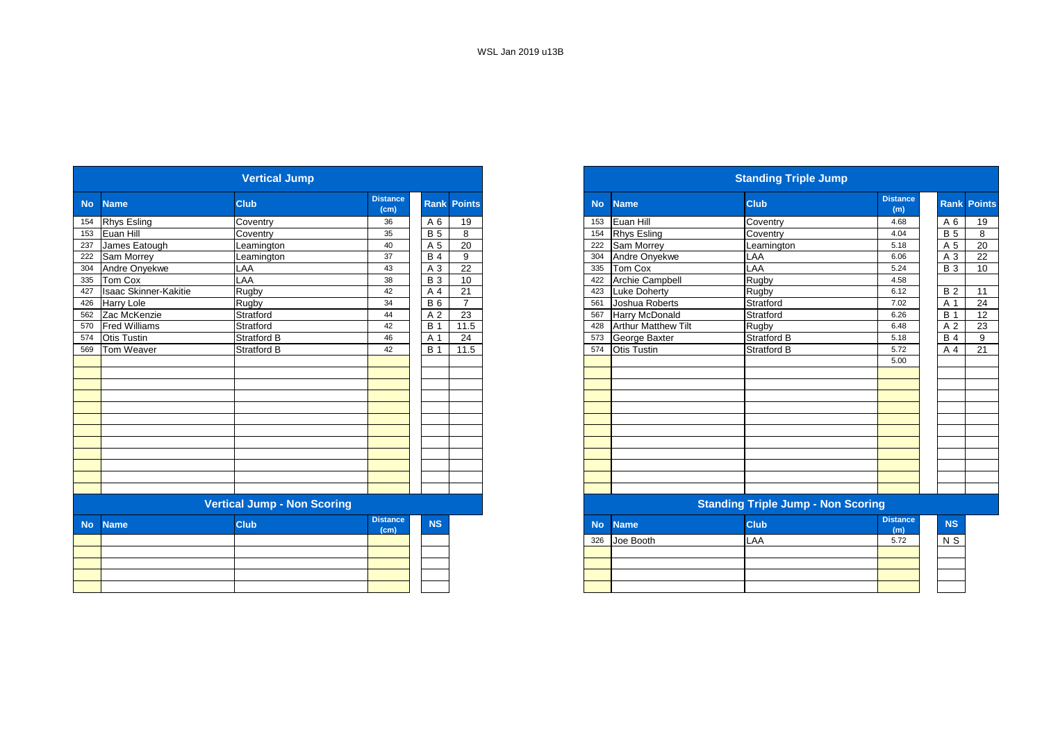|           |                              | <b>Vertical Jump</b>               |                         |            |                    |
|-----------|------------------------------|------------------------------------|-------------------------|------------|--------------------|
| <b>No</b> | <b>Name</b>                  | <b>Club</b>                        | <b>Distance</b><br>(cm) |            | <b>Rank Points</b> |
| 154       | <b>Rhys Esling</b>           | Coventry                           | 36                      | A 6        | 19                 |
| 153       | Euan Hill                    | Coventry                           | 35                      | <b>B</b> 5 | 8                  |
| 237       | James Eatough                | Leamington                         | 40                      | A 5        | 20                 |
| 222       | Sam Morrey                   | Leamington                         | 37                      | <b>B</b> 4 | 9                  |
| 304       | Andre Onyekwe                | LAA                                | 43                      | A 3        | $\overline{22}$    |
| 335       | Tom Cox                      | LAA                                | 38                      | <b>B3</b>  | 10                 |
| 427       | <b>Isaac Skinner-Kakitie</b> | Rugby                              | 42                      | A 4        | 21                 |
| 426       | <b>Harry Lole</b>            | Rugby                              | 34                      | <b>B6</b>  | $\overline{7}$     |
| 562       | Zac McKenzie                 | Stratford                          | 44                      | A 2        | 23                 |
| 570       | <b>Fred Williams</b>         | Stratford                          | 42                      | <b>B</b> 1 | 11.5               |
| 574       | <b>Otis Tustin</b>           | <b>Stratford B</b>                 | 46                      | A 1        | 24                 |
| 569       | Tom Weaver                   | <b>Stratford B</b>                 | 42                      | <b>B</b> 1 | 11.5               |
|           |                              |                                    |                         |            |                    |
|           |                              |                                    |                         |            |                    |
|           |                              |                                    |                         |            |                    |
|           |                              |                                    |                         |            |                    |
|           |                              |                                    |                         |            |                    |
|           |                              |                                    |                         |            |                    |
|           |                              |                                    |                         |            |                    |
|           |                              |                                    |                         |            |                    |
|           |                              |                                    |                         |            |                    |
|           |                              |                                    |                         |            |                    |
|           |                              |                                    |                         |            |                    |
|           |                              |                                    |                         |            |                    |
|           |                              | <b>Vertical Jump - Non Scoring</b> |                         |            |                    |
| <b>No</b> | <b>Name</b>                  | <b>Club</b>                        | <b>Distance</b><br>(cm) | <b>NS</b>  |                    |
|           |                              |                                    |                         |            |                    |
|           |                              |                                    |                         |            |                    |
|           |                              |                                    |                         |            |                    |
|           |                              |                                    |                         |            |                    |
|           |                              |                                    |                         |            |                    |

|     |                              | <b>Vertical Jump</b>               |                         |                |                    |
|-----|------------------------------|------------------------------------|-------------------------|----------------|--------------------|
|     | <b>Name</b>                  | <b>Club</b>                        | <b>Distance</b><br>(cm) |                | <b>Rank Points</b> |
|     | <b>Rhys Esling</b>           | Coventry                           | 36                      | A 6            | 19                 |
|     | Euan Hill                    | Coventry                           | 35                      | <b>B</b> 5     | 8                  |
|     | James Eatough                | Leamington                         | 40                      | A 5            | 20                 |
|     | 222 Sam Morrey               | Leamington                         | 37                      | <b>B</b> 4     | 9                  |
|     | 304 Andre Onyekwe            | LAA                                | 43                      | A 3            | 22                 |
| 335 | Tom Cox                      | LAA                                | 38                      | <b>B</b> 3     | 10                 |
| 427 | <b>Isaac Skinner-Kakitie</b> | Rugby                              | 42                      | A 4            | 21                 |
| 426 | <b>Harry Lole</b>            | Rugby                              | 34                      | <b>B</b> 6     | $\overline{7}$     |
|     | 562 Zac McKenzie             | Stratford                          | 44                      | A 2            | 23                 |
| 570 | <b>Fred Williams</b>         | Stratford                          | 42                      | B <sub>1</sub> | 11.5               |
| 574 | <b>Otis Tustin</b>           | <b>Stratford B</b>                 | 46                      | A 1            | 24                 |
|     | 569 Tom Weaver               | <b>Stratford B</b>                 | 42                      | <b>B</b> 1     | 11.5               |
|     |                              |                                    |                         |                |                    |
|     |                              |                                    |                         |                |                    |
|     |                              |                                    |                         |                |                    |
|     |                              |                                    |                         |                |                    |
|     |                              |                                    |                         |                |                    |
|     |                              |                                    |                         |                |                    |
|     |                              |                                    |                         |                |                    |
|     |                              |                                    |                         |                |                    |
|     |                              |                                    |                         |                |                    |
|     |                              |                                    |                         |                |                    |
|     |                              |                                    |                         |                |                    |
|     |                              |                                    |                         |                |                    |
|     |                              | <b>Vertical Jump - Non Scoring</b> |                         |                |                    |
|     | <b>Name</b>                  | <b>Club</b>                        | <b>Distance</b><br>(cm) | <b>NS</b>      |                    |
|     |                              |                                    |                         |                |                    |
|     |                              |                                    |                         |                |                    |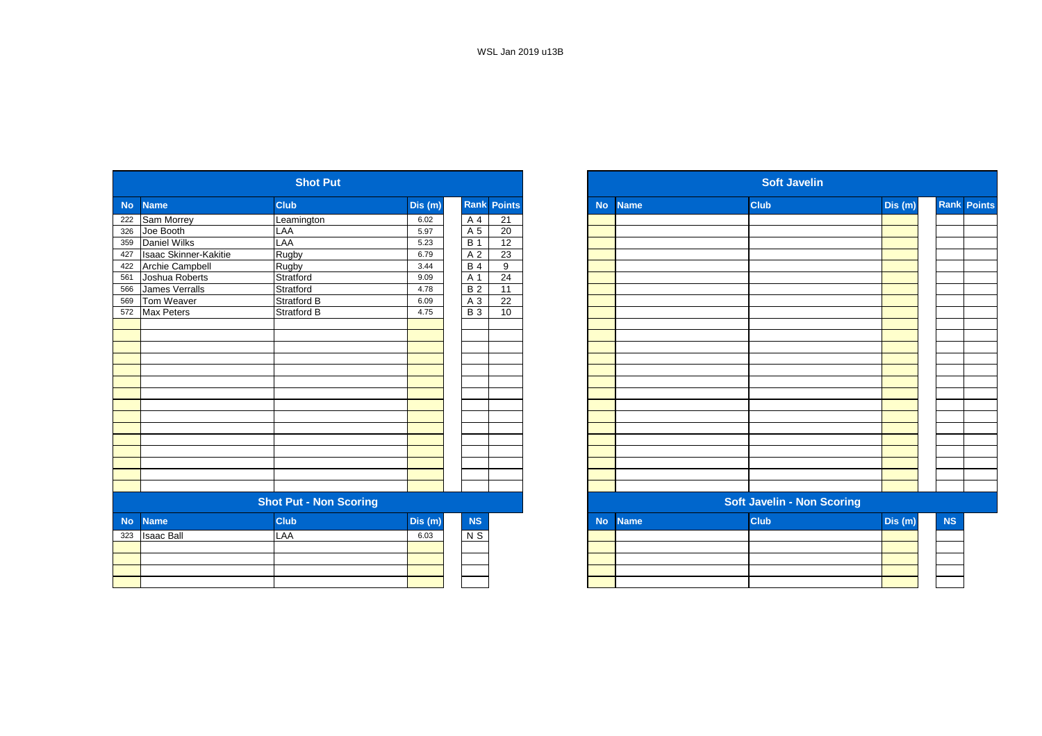| Club<br>Rank<br><b>Points</b><br>Dis (m)<br>Dis(m)<br><b>Club</b><br><b>Name</b><br><b>No</b><br><b>Name</b><br><b>No</b><br>Sam Morrey<br>A 4<br>21<br>6.02<br>222<br>Leamington<br>Joe Booth<br>LAA<br>20<br>326<br>A 5<br>5.97<br>Daniel Wilks<br>LAA<br><b>B</b> 1<br>12<br>359<br>5.23<br><b>Isaac Skinner-Kakitie</b><br>Rugby<br>A 2<br>427<br>6.79<br>23<br>Archie Campbell<br>Rugby<br><b>B4</b><br>9<br>422<br>3.44<br>24<br>Joshua Roberts<br>Stratford<br>A 1<br>561<br>9.09<br>James Verralls<br>Stratford<br>B <sub>2</sub><br>$\overline{11}$<br>566<br>4.78<br>Tom Weaver<br>Stratford B<br>22<br>A 3<br>6.09<br>569<br>Max Peters<br>10<br>Stratford B<br><b>B3</b><br>572<br>4.75<br><b>Soft Javelin - Non Scoring</b><br><b>Shot Put - Non Scoring</b><br>Club<br>NS<br>Dis (m)<br><b>Club</b><br>Dis (m)<br><b>Name</b><br><b>No</b><br><b>Name</b><br><b>No</b><br><b>Isaac Ball</b><br>LAA<br>$N$ S<br>6.03<br>323 |  | <b>Shot Put</b> |  |  |  | <b>Soft Javelin</b> |  |
|------------------------------------------------------------------------------------------------------------------------------------------------------------------------------------------------------------------------------------------------------------------------------------------------------------------------------------------------------------------------------------------------------------------------------------------------------------------------------------------------------------------------------------------------------------------------------------------------------------------------------------------------------------------------------------------------------------------------------------------------------------------------------------------------------------------------------------------------------------------------------------------------------------------------------------------|--|-----------------|--|--|--|---------------------|--|
|                                                                                                                                                                                                                                                                                                                                                                                                                                                                                                                                                                                                                                                                                                                                                                                                                                                                                                                                          |  |                 |  |  |  |                     |  |
|                                                                                                                                                                                                                                                                                                                                                                                                                                                                                                                                                                                                                                                                                                                                                                                                                                                                                                                                          |  |                 |  |  |  |                     |  |
|                                                                                                                                                                                                                                                                                                                                                                                                                                                                                                                                                                                                                                                                                                                                                                                                                                                                                                                                          |  |                 |  |  |  |                     |  |
|                                                                                                                                                                                                                                                                                                                                                                                                                                                                                                                                                                                                                                                                                                                                                                                                                                                                                                                                          |  |                 |  |  |  |                     |  |
|                                                                                                                                                                                                                                                                                                                                                                                                                                                                                                                                                                                                                                                                                                                                                                                                                                                                                                                                          |  |                 |  |  |  |                     |  |
|                                                                                                                                                                                                                                                                                                                                                                                                                                                                                                                                                                                                                                                                                                                                                                                                                                                                                                                                          |  |                 |  |  |  |                     |  |
|                                                                                                                                                                                                                                                                                                                                                                                                                                                                                                                                                                                                                                                                                                                                                                                                                                                                                                                                          |  |                 |  |  |  |                     |  |
|                                                                                                                                                                                                                                                                                                                                                                                                                                                                                                                                                                                                                                                                                                                                                                                                                                                                                                                                          |  |                 |  |  |  |                     |  |
|                                                                                                                                                                                                                                                                                                                                                                                                                                                                                                                                                                                                                                                                                                                                                                                                                                                                                                                                          |  |                 |  |  |  |                     |  |
|                                                                                                                                                                                                                                                                                                                                                                                                                                                                                                                                                                                                                                                                                                                                                                                                                                                                                                                                          |  |                 |  |  |  |                     |  |
|                                                                                                                                                                                                                                                                                                                                                                                                                                                                                                                                                                                                                                                                                                                                                                                                                                                                                                                                          |  |                 |  |  |  |                     |  |
|                                                                                                                                                                                                                                                                                                                                                                                                                                                                                                                                                                                                                                                                                                                                                                                                                                                                                                                                          |  |                 |  |  |  |                     |  |
|                                                                                                                                                                                                                                                                                                                                                                                                                                                                                                                                                                                                                                                                                                                                                                                                                                                                                                                                          |  |                 |  |  |  |                     |  |
|                                                                                                                                                                                                                                                                                                                                                                                                                                                                                                                                                                                                                                                                                                                                                                                                                                                                                                                                          |  |                 |  |  |  |                     |  |
|                                                                                                                                                                                                                                                                                                                                                                                                                                                                                                                                                                                                                                                                                                                                                                                                                                                                                                                                          |  |                 |  |  |  |                     |  |
|                                                                                                                                                                                                                                                                                                                                                                                                                                                                                                                                                                                                                                                                                                                                                                                                                                                                                                                                          |  |                 |  |  |  |                     |  |
|                                                                                                                                                                                                                                                                                                                                                                                                                                                                                                                                                                                                                                                                                                                                                                                                                                                                                                                                          |  |                 |  |  |  |                     |  |
|                                                                                                                                                                                                                                                                                                                                                                                                                                                                                                                                                                                                                                                                                                                                                                                                                                                                                                                                          |  |                 |  |  |  |                     |  |
|                                                                                                                                                                                                                                                                                                                                                                                                                                                                                                                                                                                                                                                                                                                                                                                                                                                                                                                                          |  |                 |  |  |  |                     |  |
|                                                                                                                                                                                                                                                                                                                                                                                                                                                                                                                                                                                                                                                                                                                                                                                                                                                                                                                                          |  |                 |  |  |  |                     |  |
|                                                                                                                                                                                                                                                                                                                                                                                                                                                                                                                                                                                                                                                                                                                                                                                                                                                                                                                                          |  |                 |  |  |  |                     |  |
|                                                                                                                                                                                                                                                                                                                                                                                                                                                                                                                                                                                                                                                                                                                                                                                                                                                                                                                                          |  |                 |  |  |  |                     |  |
|                                                                                                                                                                                                                                                                                                                                                                                                                                                                                                                                                                                                                                                                                                                                                                                                                                                                                                                                          |  |                 |  |  |  |                     |  |
|                                                                                                                                                                                                                                                                                                                                                                                                                                                                                                                                                                                                                                                                                                                                                                                                                                                                                                                                          |  |                 |  |  |  |                     |  |
|                                                                                                                                                                                                                                                                                                                                                                                                                                                                                                                                                                                                                                                                                                                                                                                                                                                                                                                                          |  |                 |  |  |  |                     |  |
|                                                                                                                                                                                                                                                                                                                                                                                                                                                                                                                                                                                                                                                                                                                                                                                                                                                                                                                                          |  |                 |  |  |  |                     |  |
|                                                                                                                                                                                                                                                                                                                                                                                                                                                                                                                                                                                                                                                                                                                                                                                                                                                                                                                                          |  |                 |  |  |  |                     |  |
|                                                                                                                                                                                                                                                                                                                                                                                                                                                                                                                                                                                                                                                                                                                                                                                                                                                                                                                                          |  |                 |  |  |  |                     |  |
|                                                                                                                                                                                                                                                                                                                                                                                                                                                                                                                                                                                                                                                                                                                                                                                                                                                                                                                                          |  |                 |  |  |  |                     |  |
|                                                                                                                                                                                                                                                                                                                                                                                                                                                                                                                                                                                                                                                                                                                                                                                                                                                                                                                                          |  |                 |  |  |  |                     |  |
|                                                                                                                                                                                                                                                                                                                                                                                                                                                                                                                                                                                                                                                                                                                                                                                                                                                                                                                                          |  |                 |  |  |  |                     |  |
|                                                                                                                                                                                                                                                                                                                                                                                                                                                                                                                                                                                                                                                                                                                                                                                                                                                                                                                                          |  |                 |  |  |  |                     |  |

|                   |                              | <b>Shot Put</b>               |         |                |                    |           |             | <b>Soft Javelin</b>               |         |                    |  |
|-------------------|------------------------------|-------------------------------|---------|----------------|--------------------|-----------|-------------|-----------------------------------|---------|--------------------|--|
| No.               | <b>Name</b>                  | <b>Club</b>                   | Dis (m) |                | <b>Rank Points</b> | <b>No</b> | <b>Name</b> | <b>Club</b>                       | Dis (m) | <b>Rank Points</b> |  |
| 222<br>326        | Sam Morrey                   | Leamington                    | 6.02    | A 4            | 21                 |           |             |                                   |         |                    |  |
|                   | Joe Booth                    | LAA                           | 5.97    | A 5            | 20                 |           |             |                                   |         |                    |  |
| 359               | Daniel Wilks                 | LAA                           | 5.23    | <b>B</b> 1     | 12                 |           |             |                                   |         |                    |  |
| 427               | <b>Isaac Skinner-Kakitie</b> | Rugby                         | 6.79    | A <sub>2</sub> | 23                 |           |             |                                   |         |                    |  |
| 422               | Archie Campbell              | Rugby                         | 3.44    | <b>B</b> 4     | 9                  |           |             |                                   |         |                    |  |
| 561               | Joshua Roberts               | Stratford                     | 9.09    | A 1            | 24                 |           |             |                                   |         |                    |  |
|                   | James Verralls               | Stratford                     | 4.78    | B <sub>2</sub> | 11                 |           |             |                                   |         |                    |  |
| 566<br>569<br>572 | Tom Weaver                   | <b>Stratford B</b>            | 6.09    | $A_3$          | $\overline{22}$    |           |             |                                   |         |                    |  |
|                   | Max Peters                   | <b>Stratford B</b>            | 4.75    | $B_3$          | 10                 |           |             |                                   |         |                    |  |
|                   |                              |                               |         |                |                    |           |             |                                   |         |                    |  |
|                   |                              |                               |         |                |                    |           |             |                                   |         |                    |  |
|                   |                              |                               |         |                |                    |           |             |                                   |         |                    |  |
|                   |                              |                               |         |                |                    |           |             |                                   |         |                    |  |
|                   |                              |                               |         |                |                    |           |             |                                   |         |                    |  |
|                   |                              |                               |         |                |                    |           |             |                                   |         |                    |  |
|                   |                              |                               |         |                |                    |           |             |                                   |         |                    |  |
|                   |                              |                               |         |                |                    |           |             |                                   |         |                    |  |
|                   |                              |                               |         |                |                    |           |             |                                   |         |                    |  |
|                   |                              |                               |         |                |                    |           |             |                                   |         |                    |  |
|                   |                              |                               |         |                |                    |           |             |                                   |         |                    |  |
|                   |                              |                               |         |                |                    |           |             |                                   |         |                    |  |
|                   |                              |                               |         |                |                    |           |             |                                   |         |                    |  |
|                   |                              |                               |         |                |                    |           |             |                                   |         |                    |  |
|                   |                              |                               |         |                |                    |           |             |                                   |         |                    |  |
|                   |                              | <b>Shot Put - Non Scoring</b> |         |                |                    |           |             | <b>Soft Javelin - Non Scoring</b> |         |                    |  |
| No                | <b>Name</b>                  | Club                          | Dis(m)  | NS             |                    | <b>No</b> | <b>Name</b> | <b>Club</b>                       | Dis(m)  | <b>NS</b>          |  |
| 323               | <b>Isaac Ball</b>            | LAA                           | 6.03    | $N$ S          |                    |           |             |                                   |         |                    |  |
|                   |                              |                               |         |                |                    |           |             |                                   |         |                    |  |
|                   |                              |                               |         |                |                    |           |             |                                   |         |                    |  |
|                   |                              |                               |         |                |                    |           |             |                                   |         |                    |  |
|                   |                              |                               |         |                |                    |           |             |                                   |         |                    |  |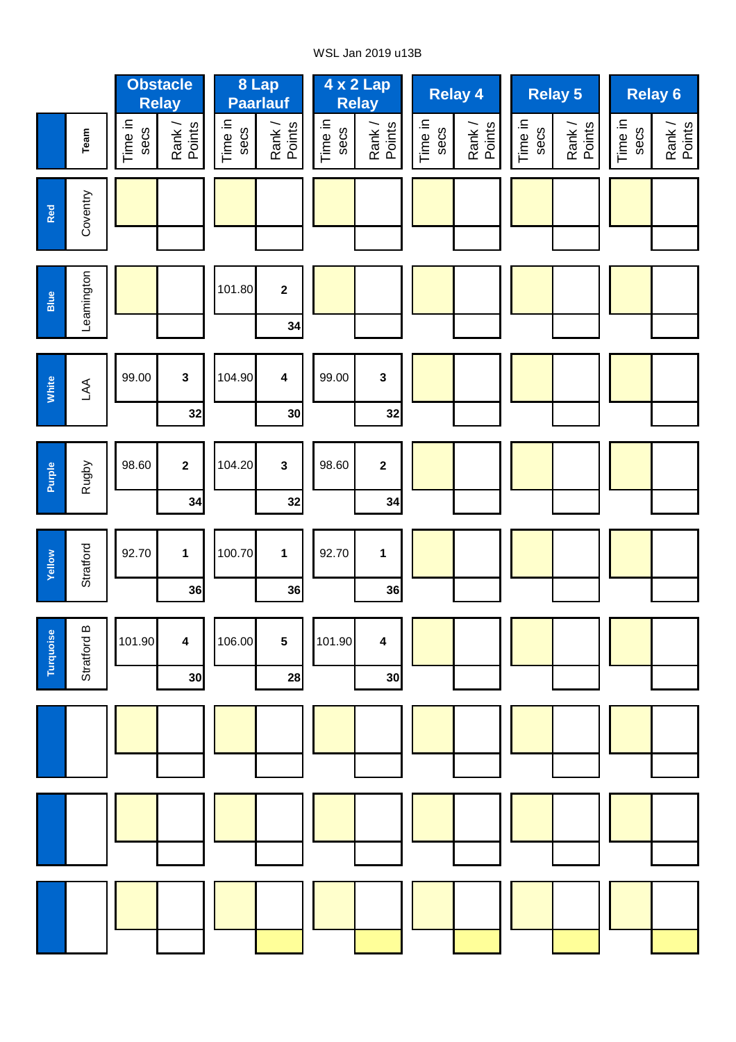# WSL Jan 2019 u13B

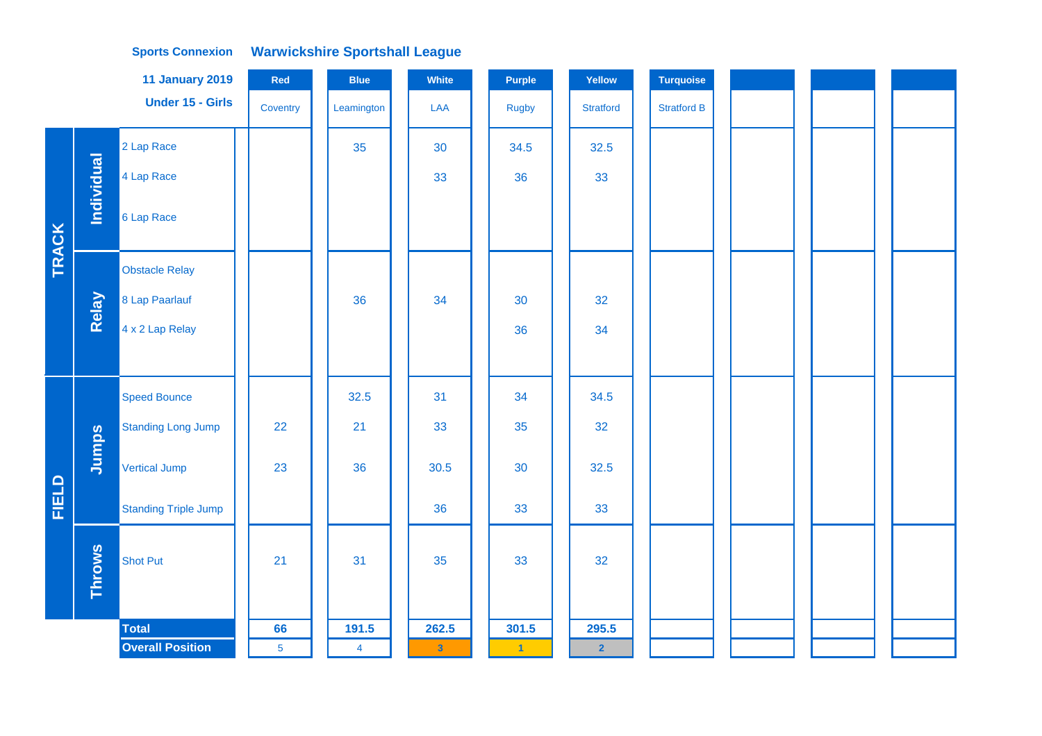|              |                   | <b>11 January 2019</b>      | Red            | <b>Blue</b>    | White                   | <b>Purple</b> | Yellow           | <b>Turquoise</b>   |  |  |
|--------------|-------------------|-----------------------------|----------------|----------------|-------------------------|---------------|------------------|--------------------|--|--|
|              |                   | Under 15 - Girls            | Coventry       | Leamington     | LAA                     | <b>Rugby</b>  | <b>Stratford</b> | <b>Stratford B</b> |  |  |
|              |                   | 2 Lap Race                  |                | 35             | 30                      | 34.5          | 32.5             |                    |  |  |
|              | <b>Individual</b> | 4 Lap Race                  |                |                | 33                      | 36            | 33               |                    |  |  |
|              |                   | 6 Lap Race                  |                |                |                         |               |                  |                    |  |  |
| <b>TRACK</b> |                   | <b>Obstacle Relay</b>       |                |                |                         |               |                  |                    |  |  |
|              | Relay             | 8 Lap Paarlauf              |                | 36             | 34                      | 30            | 32               |                    |  |  |
|              |                   | 4 x 2 Lap Relay             |                |                |                         | 36            | 34               |                    |  |  |
|              |                   |                             |                |                |                         |               |                  |                    |  |  |
|              |                   | <b>Speed Bounce</b>         |                | 32.5           | 31                      | 34            | 34.5             |                    |  |  |
|              |                   | <b>Standing Long Jump</b>   | 22             | 21             | 33                      | 35            | 32               |                    |  |  |
|              | Jumps             | <b>Vertical Jump</b>        | 23             | 36             | 30.5                    | 30            | 32.5             |                    |  |  |
| FIELD        |                   | <b>Standing Triple Jump</b> |                |                | 36                      | 33            | 33               |                    |  |  |
|              | <b>Throws</b>     | <b>Shot Put</b>             | 21             | 31             | 35                      | 33            | 32               |                    |  |  |
|              |                   | <b>Total</b>                | 66             | 191.5          | 262.5                   | 301.5         | 295.5            |                    |  |  |
|              |                   | <b>Overall Position</b>     | $\overline{5}$ | $\overline{4}$ | $\overline{\mathbf{3}}$ | $\mathbf{1}$  | $\overline{2}$   |                    |  |  |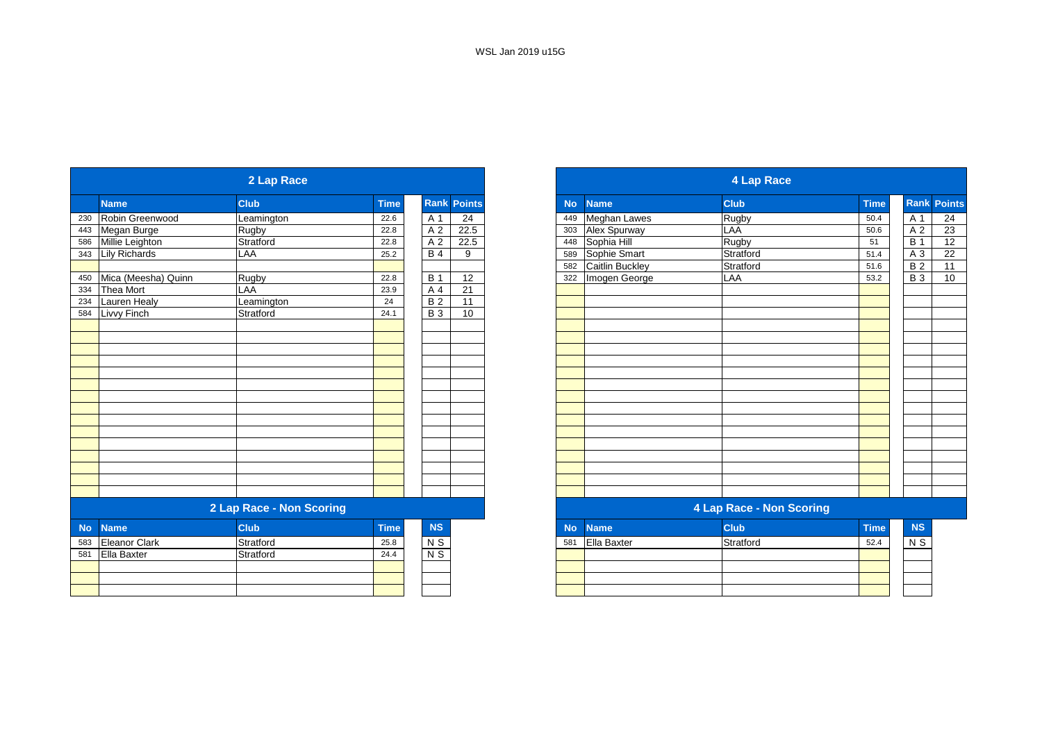WSL Jan 2019 u15G

|           |                      | 2 Lap Race               |             |             |               |           |                        | 4 Lap Race                      |             |
|-----------|----------------------|--------------------------|-------------|-------------|---------------|-----------|------------------------|---------------------------------|-------------|
|           | <b>Name</b>          | <b>Club</b>              | <b>Time</b> | <b>Rank</b> | <b>Points</b> | <b>No</b> | <b>Name</b>            | <b>Club</b>                     | <b>Time</b> |
| 230       | Robin Greenwood      | Leamington               | 22.6        | A 1         | 24            | 449       | <b>Meghan Lawes</b>    | <b>Rugby</b>                    | 50.4        |
| 443       | Megan Burge          | Rugby                    | 22.8        | A 2         | 22.5          | 303       | Alex Spurway           | LAA                             | 50.6        |
| 586       | Millie Leighton      | Stratford                | 22.8        | A 2         | 22.5          | 448       | Sophia Hill            | Rugby                           | 51          |
| 343       | <b>Lily Richards</b> | LAA                      | 25.2        | <b>B4</b>   | 9             | 589       | Sophie Smart           | Stratford                       | 51.4        |
|           |                      |                          |             |             |               | 582       | <b>Caitlin Buckley</b> | Stratford                       | 51.6        |
| 450       | Mica (Meesha) Quinn  | <b>Rugby</b>             | 22.8        | <b>B</b> 1  | 12            | 322       | Imogen George          | LAA                             | 53.2        |
| 334       | Thea Mort            | LAA                      | 23.9        | A 4         | 21            |           |                        |                                 |             |
| 234       | Lauren Healy         | Leamington               | 24          | <b>B2</b>   | 11            |           |                        |                                 |             |
| 584       | Livvy Finch          | Stratford                | 24.1        | <b>B3</b>   | 10            |           |                        |                                 |             |
|           |                      |                          |             |             |               |           |                        |                                 |             |
|           |                      |                          |             |             |               |           |                        |                                 |             |
|           |                      |                          |             |             |               |           |                        |                                 |             |
|           |                      |                          |             |             |               |           |                        |                                 |             |
|           |                      |                          |             |             |               |           |                        |                                 |             |
|           |                      |                          |             |             |               |           |                        |                                 |             |
|           |                      |                          |             |             |               |           |                        |                                 |             |
|           |                      |                          |             |             |               |           |                        |                                 |             |
|           |                      |                          |             |             |               |           |                        |                                 |             |
|           |                      |                          |             |             |               |           |                        |                                 |             |
|           |                      |                          |             |             |               |           |                        |                                 |             |
|           |                      |                          |             |             |               |           |                        |                                 |             |
|           |                      |                          |             |             |               |           |                        |                                 |             |
|           |                      |                          |             |             |               |           |                        |                                 |             |
|           |                      | 2 Lap Race - Non Scoring |             |             |               |           |                        | <b>4 Lap Race - Non Scoring</b> |             |
|           |                      |                          |             |             |               |           |                        |                                 |             |
| <b>No</b> | <b>Name</b>          | <b>Club</b>              | <b>Time</b> | <b>NS</b>   |               | <b>No</b> | <b>Name</b>            | <b>Club</b>                     | <b>Time</b> |
| 583       | <b>Eleanor Clark</b> | Stratford                | 25.8        | N S         |               | 581       | Ella Baxter            | Stratford                       | 52.4        |
| 581       | <b>Ella Baxter</b>   | Stratford                | 24.4        | $N$ S       |               |           |                        |                                 |             |

|     |                     | 2 Lap Race               |             |                    |      |           |                     | <b>4 Lap Race</b>        |             |            |                    |
|-----|---------------------|--------------------------|-------------|--------------------|------|-----------|---------------------|--------------------------|-------------|------------|--------------------|
|     | <b>Name</b>         | <b>Club</b>              | <b>Time</b> | <b>Rank Points</b> |      | <b>No</b> | <b>Name</b>         | <b>Club</b>              | <b>Time</b> |            | <b>Rank Points</b> |
| 230 | Robin Greenwood     | Leamington               | 22.6        | A 1                | 24   | 449       | <b>Meghan Lawes</b> | Rugby                    | 50.4        | A 1        | 24                 |
|     | 443 Megan Burge     | Rugby                    | 22.8        | A 2                | 22.5 | 303       | Alex Spurway        | LAA                      | 50.6        | A 2        | 23                 |
| 586 | Millie Leighton     | Stratford                | 22.8        | A 2                | 22.5 | 448       | Sophia Hill         | Rugby                    | 51          | <b>B</b> 1 | 12                 |
| 343 | Lily Richards       | LAA                      | 25.2        | <b>B4</b>          | 9    | 589       | Sophie Smart        | Stratford                | 51.4        | A 3        | $\overline{22}$    |
|     |                     |                          |             |                    |      | 582       | Caitlin Buckley     | Stratford                | 51.6        | <b>B2</b>  | 11                 |
| 450 | Mica (Meesha) Quinn | Rugby                    | 22.8        | <b>B</b> 1         | 12   | 322       | Imogen George       | LAA                      | 53.2        | <b>B3</b>  | 10                 |
| 334 | Thea Mort           | LAA                      | 23.9        | A 4                | 21   |           |                     |                          |             |            |                    |
| 234 | <b>Lauren Healy</b> | Leamington               | 24          | <b>B2</b>          | 11   |           |                     |                          |             |            |                    |
| 584 | <b>Livvy Finch</b>  | Stratford                | 24.1        | <b>B</b> 3         | 10   |           |                     |                          |             |            |                    |
|     |                     |                          |             |                    |      |           |                     |                          |             |            |                    |
|     |                     |                          |             |                    |      |           |                     |                          |             |            |                    |
|     |                     |                          |             |                    |      |           |                     |                          |             |            |                    |
|     |                     |                          |             |                    |      |           |                     |                          |             |            |                    |
|     |                     |                          |             |                    |      |           |                     |                          |             |            |                    |
|     |                     |                          |             |                    |      |           |                     |                          |             |            |                    |
|     |                     |                          |             |                    |      |           |                     |                          |             |            |                    |
|     |                     |                          |             |                    |      |           |                     |                          |             |            |                    |
|     |                     |                          |             |                    |      |           |                     |                          |             |            |                    |
|     |                     |                          |             |                    |      |           |                     |                          |             |            |                    |
|     |                     |                          |             |                    |      |           |                     |                          |             |            |                    |
|     |                     |                          |             |                    |      |           |                     |                          |             |            |                    |
|     |                     |                          |             |                    |      |           |                     |                          |             |            |                    |
|     |                     |                          |             |                    |      |           |                     |                          |             |            |                    |
|     |                     |                          |             |                    |      |           |                     |                          |             |            |                    |
|     |                     | 2 Lap Race - Non Scoring |             |                    |      |           |                     | 4 Lap Race - Non Scoring |             |            |                    |

|     | No Name            | <b>Club</b> | <b>Time</b> | <b>NS</b> |
|-----|--------------------|-------------|-------------|-----------|
| 581 | <b>Ella Baxter</b> | Stratford   | 52.4        | N S       |
|     |                    |             |             |           |
|     |                    |             |             |           |
|     |                    |             |             |           |
|     |                    |             |             |           |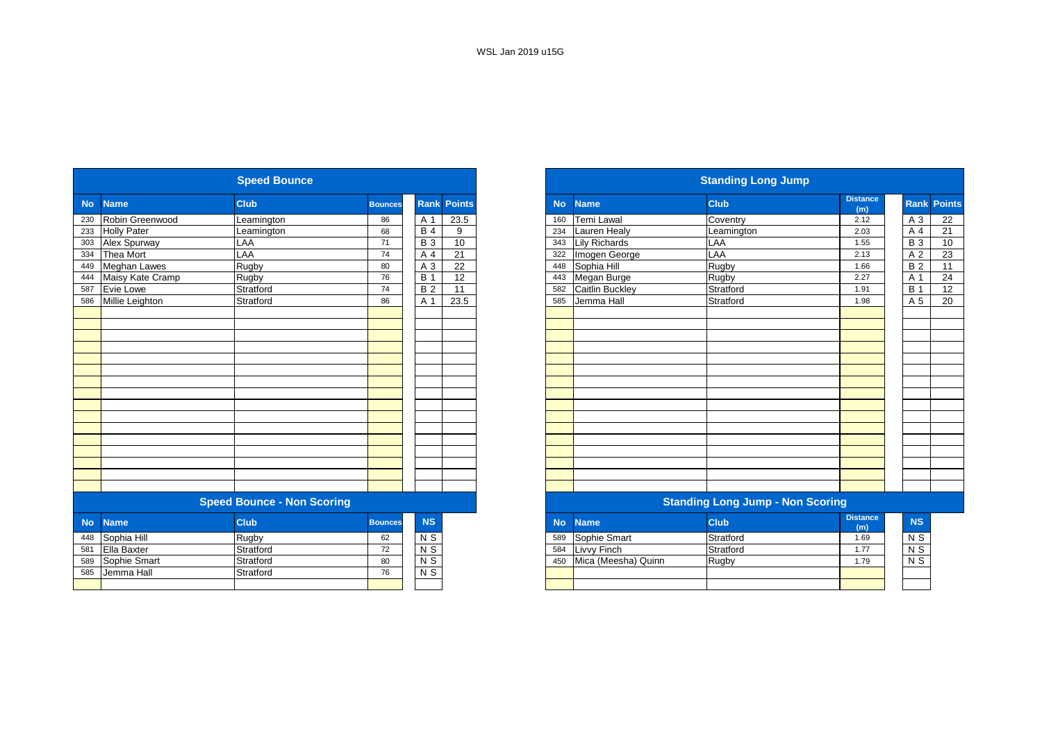|           |                     | <b>Speed Bounce</b>               |                |                 |                    |           |                        | <b>Standing Long Jump</b>               |                        |
|-----------|---------------------|-----------------------------------|----------------|-----------------|--------------------|-----------|------------------------|-----------------------------------------|------------------------|
| <b>No</b> | <b>Name</b>         | <b>Club</b>                       | <b>Bounces</b> |                 | <b>Rank Points</b> | <b>No</b> | <b>Name</b>            | <b>Club</b>                             | <b>Distance</b><br>(m) |
| 230       | Robin Greenwood     | Leamington                        | 86             | A 1             | 23.5               | 160       | Temi Lawal             | Coventry                                | 2.12                   |
| 233       | <b>Holly Pater</b>  | Leamington                        | 68             | <b>B4</b>       | 9                  | 234       | Lauren Healy           | Leamington                              | 2.03                   |
| 303       | Alex Spurway        | LAA                               | 71             | $\overline{B}3$ | 10                 | 343       | <b>Lily Richards</b>   | LAA                                     | 1.55                   |
| 334       | <b>Thea Mort</b>    | LAA                               | 74             | A 4             | 21                 | 322       | Imogen George          | LAA                                     | 2.13                   |
| 449       | <b>Meghan Lawes</b> | Rugby                             | 80             | A 3             | 22                 | 448       | Sophia Hill            | Rugby                                   | 1.66                   |
| 444       | Maisy Kate Cramp    | Rugby                             | 76             | <b>B</b> 1      | 12                 | 443       | Megan Burge            | Rugby                                   | 2.27                   |
| 587       | Evie Lowe           | Stratford                         | 74             | <b>B2</b>       | 11                 | 582       | <b>Caitlin Buckley</b> | Stratford                               | 1.91                   |
| 586       | Millie Leighton     | Stratford                         | 86             | A 1             | 23.5               | 585       | Jemma Hall             | Stratford                               | 1.98                   |
|           |                     |                                   |                |                 |                    |           |                        |                                         |                        |
|           |                     |                                   |                |                 |                    |           |                        |                                         |                        |
|           |                     |                                   |                |                 |                    |           |                        |                                         |                        |
|           |                     |                                   |                |                 |                    |           |                        |                                         |                        |
|           |                     |                                   |                |                 |                    |           |                        |                                         |                        |
|           |                     |                                   |                |                 |                    |           |                        |                                         |                        |
|           |                     |                                   |                |                 |                    |           |                        |                                         |                        |
|           |                     |                                   |                |                 |                    |           |                        |                                         |                        |
|           |                     |                                   |                |                 |                    |           |                        |                                         |                        |
|           |                     |                                   |                |                 |                    |           |                        |                                         |                        |
|           |                     |                                   |                |                 |                    |           |                        |                                         |                        |
|           |                     |                                   |                |                 |                    |           |                        |                                         |                        |
|           |                     |                                   |                |                 |                    |           |                        |                                         |                        |
|           |                     | <b>Speed Bounce - Non Scoring</b> |                |                 |                    |           |                        | <b>Standing Long Jump - Non Scoring</b> |                        |
| <b>No</b> | <b>Name</b>         | <b>Club</b>                       | <b>Bounces</b> | <b>NS</b>       |                    | <b>No</b> | <b>Name</b>            | <b>Club</b>                             | <b>Distance</b><br>(m) |
| 448       | Sophia Hill         | <b>Rugby</b>                      | 62             | N <sub>S</sub>  |                    | 589       | Sophie Smart           | Stratford                               | 1.69                   |
| 581       | Ella Baxter         | Stratford                         | 72             | N S             |                    | 584       | Livvy Finch            | Stratford                               | 1.77                   |
| 589       | Sophie Smart        | Stratford                         | 80             | $N$ S           |                    | 450       | Mica (Meesha) Quinn    | <b>Rugby</b>                            | 1.79                   |
| 585       | Jemma Hall          | Stratford                         | 76             | N S             |                    |           |                        |                                         |                        |
|           |                     |                                   |                |                 |                    |           |                        |                                         |                        |

|            |                     | <b>Speed Bounce</b>               |                |                |               |
|------------|---------------------|-----------------------------------|----------------|----------------|---------------|
| <b>No</b>  | <b>Name</b>         | <b>Club</b>                       | <b>Bounces</b> | <b>Rank</b>    | <b>Points</b> |
|            | Robin Greenwood     | Leamington                        | 86             | A 1            | 23.5          |
|            | <b>Holly Pater</b>  | Leamington                        | 68             | <b>B4</b>      | 9             |
| 233<br>303 | Alex Spurway        | LAA                               | 71             | <b>B</b> 3     | 10            |
| 449        | Thea Mort           | LAA                               | 74             | A 4            | 21            |
|            | <b>Meghan Lawes</b> | Rugby                             | 80             | A 3            | 22            |
|            | Maisy Kate Cramp    | Rugby                             | 76             | <b>B</b> 1     | 12            |
|            | <b>Evie Lowe</b>    | Stratford                         | 74             | <b>B2</b>      | 11            |
|            | Millie Leighton     | Stratford                         | 86             | A 1            | 23.5          |
|            |                     |                                   |                |                |               |
|            |                     |                                   |                |                |               |
|            |                     |                                   |                |                |               |
|            |                     |                                   |                |                |               |
|            |                     |                                   |                |                |               |
|            |                     |                                   |                |                |               |
|            |                     |                                   |                |                |               |
|            |                     |                                   |                |                |               |
|            |                     |                                   |                |                |               |
|            |                     |                                   |                |                |               |
|            |                     |                                   |                |                |               |
|            |                     |                                   |                |                |               |
|            |                     |                                   |                |                |               |
|            |                     |                                   |                |                |               |
|            |                     |                                   |                |                |               |
|            |                     |                                   |                |                |               |
|            |                     | <b>Speed Bounce - Non Scoring</b> |                |                |               |
| <b>No</b>  | <b>Name</b>         | <b>Club</b>                       | <b>Bounces</b> | <b>NS</b>      |               |
| 448        | Sophia Hill         | Rugby                             | 62             | N S            |               |
|            | <b>Ella Baxter</b>  | Stratford                         | 72             | N <sub>S</sub> |               |
|            | Sophie Smart        | Stratford                         | 80             | $N$ S          |               |
|            | 585 Lemma Hall      | <b>Stratford</b>                  | 76             | $\frac{1}{2}$  |               |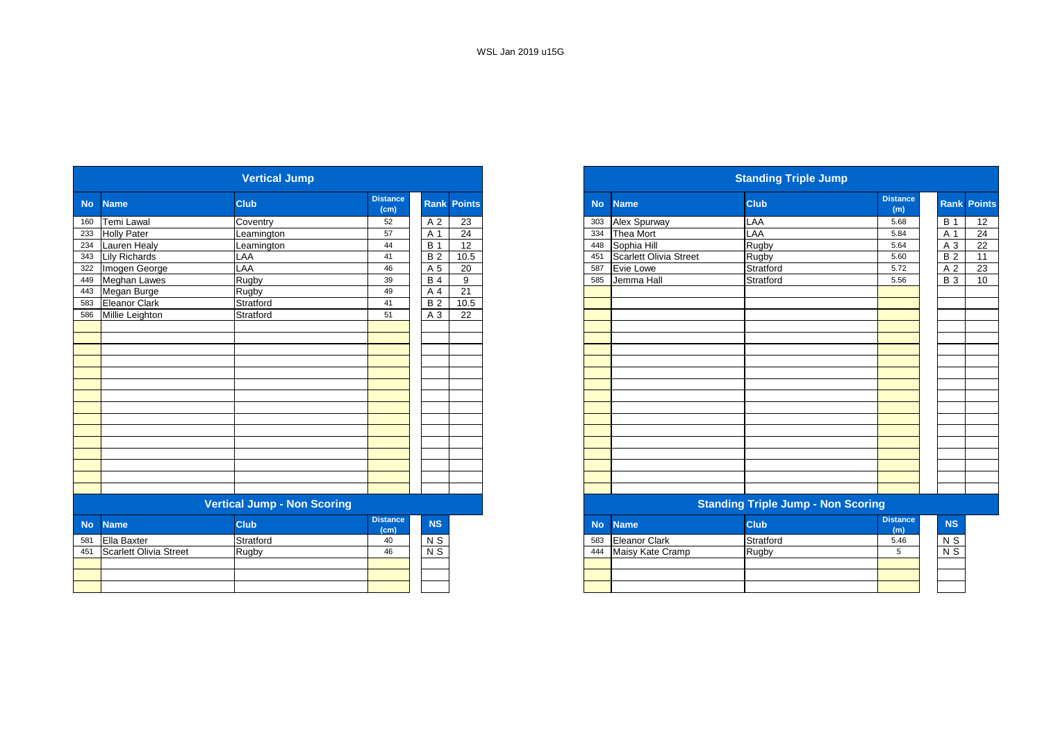|           |                        | <b>Vertical Jump</b>               |                         |                 |                  |
|-----------|------------------------|------------------------------------|-------------------------|-----------------|------------------|
| <b>No</b> | <b>Name</b>            | <b>Club</b>                        | <b>Distance</b><br>(cm) | <b>Rank</b>     | <b>Points</b>    |
| 160       | Temi Lawal             | Coventry                           | 52                      | $\overline{A2}$ | 23               |
| 233       | <b>Holly Pater</b>     | Leamington                         | 57                      | A 1             | 24               |
| 234       | Lauren Healy           | Leamington                         | 44                      | <b>B</b> 1      | 12               |
| 343       | Lily Richards          | LAA                                | 41                      | <b>B2</b>       | $\frac{10.5}{2}$ |
| 322       | Imogen George          | LAA                                | 46                      | A 5             | 20               |
| 449       | Meghan Lawes           | Rugby                              | 39                      | <b>B4</b>       | 9                |
| 443       | Megan Burge            | Rugby                              | 49                      | A 4             | $\overline{21}$  |
| 583       | <b>Eleanor Clark</b>   | Stratford                          | 41                      | <b>B2</b>       | 10.5             |
| 586       | Millie Leighton        | Stratford                          | 51                      | A 3             | 22               |
|           |                        |                                    |                         |                 |                  |
|           |                        |                                    |                         |                 |                  |
|           |                        |                                    |                         |                 |                  |
|           |                        |                                    |                         |                 |                  |
|           |                        |                                    |                         |                 |                  |
|           |                        |                                    |                         |                 |                  |
|           |                        |                                    |                         |                 |                  |
|           |                        |                                    |                         |                 |                  |
|           |                        |                                    |                         |                 |                  |
|           |                        |                                    |                         |                 |                  |
|           |                        |                                    |                         |                 |                  |
|           |                        |                                    |                         |                 |                  |
|           |                        |                                    |                         |                 |                  |
|           |                        |                                    |                         |                 |                  |
|           |                        |                                    |                         |                 |                  |
|           |                        | <b>Vertical Jump - Non Scoring</b> |                         |                 |                  |
| <b>No</b> | <b>Name</b>            | <b>Club</b>                        | <b>Distance</b><br>(cm) | <b>NS</b>       |                  |
| 581       | Ella Baxter            | Stratford                          | 40                      | $N$ S           |                  |
| 451       | Scarlett Olivia Street | Rugby                              | 46                      | $N$ S           |                  |
|           |                        |                                    |                         |                 |                  |
|           |                        |                                    |                         |                 |                  |
|           |                        |                                    |                         |                 |                  |

|           |                      | <b>Vertical Jump</b> |                         |            |                    |           |                               | <b>Standing Triple Jump</b> |                        |            |                    |
|-----------|----------------------|----------------------|-------------------------|------------|--------------------|-----------|-------------------------------|-----------------------------|------------------------|------------|--------------------|
| <b>No</b> | <b>Name</b>          | <b>Club</b>          | <b>Distance</b><br>(cm) |            | <b>Rank Points</b> | <b>No</b> | <b>Name</b>                   | <b>Club</b>                 | <b>Distance</b><br>(m) |            | <b>Rank Points</b> |
| 160       | Temi Lawal           | Coventry             | 52                      | A 2        | 23                 |           | 303 Alex Spurway              | LAA                         | 5.68                   | <b>B</b> 1 | 12                 |
| 233       | <b>Holly Pater</b>   | Leamington           | 57                      | A 1        | 24                 | 334       | Thea Mort                     | LAA                         | 5.84                   | A 1        | 24                 |
| 234       | Lauren Healy         | Leamington           | 44                      | <b>B</b> 1 | 12                 |           | 448 Sophia Hill               | Rugby                       | 5.64                   | A 3        | 22                 |
| 343       | <b>Lily Richards</b> | LAA                  | 41                      | <b>B2</b>  | 10.5               | 451       | <b>Scarlett Olivia Street</b> | Rugby                       | 5.60                   | <b>B2</b>  | 11                 |
|           | 322 Imogen George    | LAA                  | 46                      | A 5        | 20                 |           | 587 Evie Lowe                 | Stratford                   | 5.72                   | A 2        | 23                 |
|           | 449 Meghan Lawes     | Rugby                | 39                      | <b>B</b> 4 | 9                  |           | 585 Jemma Hall                | Stratford                   | 5.56                   | <b>B</b> 3 | 10                 |
|           | 443 Megan Burge      | Rugby                | 49                      | A 4        | $\overline{21}$    |           |                               |                             |                        |            |                    |
|           | 583 Eleanor Clark    | Stratford            | 41                      | <b>B2</b>  | 10.5               |           |                               |                             |                        |            |                    |
|           | 586 Millie Leighton  | Stratford            | 51                      | A 3        | 22                 |           |                               |                             |                        |            |                    |
|           |                      |                      |                         |            |                    |           |                               |                             |                        |            |                    |
|           |                      |                      |                         |            |                    |           |                               |                             |                        |            |                    |
|           |                      |                      |                         |            |                    |           |                               |                             |                        |            |                    |
|           |                      |                      |                         |            |                    |           |                               |                             |                        |            |                    |
|           |                      |                      |                         |            |                    |           |                               |                             |                        |            |                    |
|           |                      |                      |                         |            |                    |           |                               |                             |                        |            |                    |
|           |                      |                      |                         |            |                    |           |                               |                             |                        |            |                    |
|           |                      |                      |                         |            |                    |           |                               |                             |                        |            |                    |
|           |                      |                      |                         |            |                    |           |                               |                             |                        |            |                    |
|           |                      |                      |                         |            |                    |           |                               |                             |                        |            |                    |
|           |                      |                      |                         |            |                    |           |                               |                             |                        |            |                    |
|           |                      |                      |                         |            |                    |           |                               |                             |                        |            |                    |
|           |                      |                      |                         |            |                    |           |                               |                             |                        |            |                    |
|           |                      |                      |                         |            |                    |           |                               |                             |                        |            |                    |
|           |                      |                      |                         |            |                    |           |                               |                             |                        |            |                    |

### **Vertical Jump - Non Scoring Standing Triple Jump - Non Scoring**

| <b>stance</b> | <b>NS</b> | No. | <b>Name</b>      | <b>Club</b> | <b>Distance</b><br>(m) |  |
|---------------|-----------|-----|------------------|-------------|------------------------|--|
|               | N S       | 583 | Eleanor Clark    | Stratford   | 5.46                   |  |
| 46            | N S       | 444 | Maisy Kate Cramp | Rugby       |                        |  |
|               |           |     |                  |             |                        |  |
|               |           |     |                  |             |                        |  |
|               |           |     |                  |             |                        |  |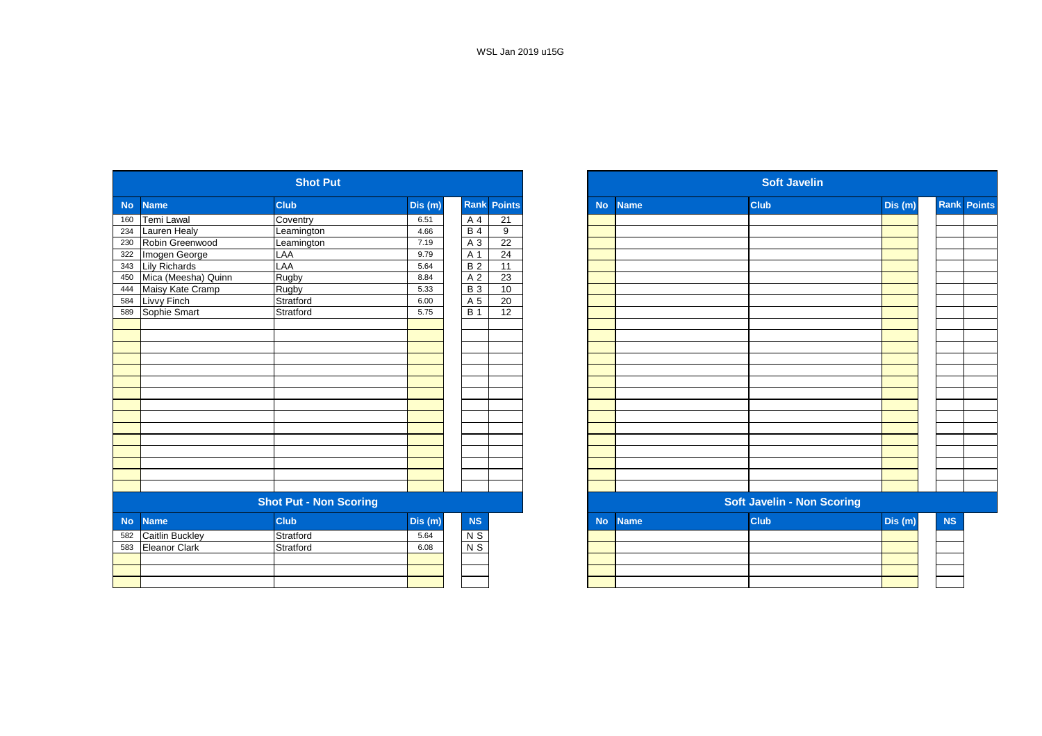|           |                        | <b>Shot Put</b>               |         |                  |           |                 |  |           |             | <b>Soft Javelin</b>               |         |
|-----------|------------------------|-------------------------------|---------|------------------|-----------|-----------------|--|-----------|-------------|-----------------------------------|---------|
| <b>No</b> | <b>Name</b>            | <b>Club</b>                   | Dis (m) |                  | Rank      | <b>Points</b>   |  | <b>No</b> | <b>Name</b> | <b>Club</b>                       | Dis (m) |
| 160       | Temi Lawal             | Coventry                      | 6.51    | A 4              |           | 21              |  |           |             |                                   |         |
| 234       | <b>Lauren Healy</b>    | Leamington                    | 4.66    |                  | <b>B4</b> | 9               |  |           |             |                                   |         |
| 230       | Robin Greenwood        | Leamington                    | 7.19    |                  | A 3       | $\overline{22}$ |  |           |             |                                   |         |
| 322       | Imogen George          | LAA                           | 9.79    | A 1              |           | $\overline{24}$ |  |           |             |                                   |         |
| 343       | <b>Lily Richards</b>   | LAA                           | 5.64    |                  | <b>B2</b> | 11              |  |           |             |                                   |         |
| 450       | Mica (Meesha) Quinn    | Rugby                         | 8.84    |                  | A 2       | 23              |  |           |             |                                   |         |
| 444       | Maisy Kate Cramp       | Rugby                         | 5.33    |                  | <b>B3</b> | 10              |  |           |             |                                   |         |
| 584       | Livvy Finch            | Stratford                     | 6.00    |                  | A 5       | 20              |  |           |             |                                   |         |
| 589       | Sophie Smart           | Stratford                     | 5.75    | $\overline{B}$ 1 |           | $\overline{12}$ |  |           |             |                                   |         |
|           |                        |                               |         |                  |           |                 |  |           |             |                                   |         |
|           |                        |                               |         |                  |           |                 |  |           |             |                                   |         |
|           |                        |                               |         |                  |           |                 |  |           |             |                                   |         |
|           |                        |                               |         |                  |           |                 |  |           |             |                                   |         |
|           |                        |                               |         |                  |           |                 |  |           |             |                                   |         |
|           |                        |                               |         |                  |           |                 |  |           |             |                                   |         |
|           |                        |                               |         |                  |           |                 |  |           |             |                                   |         |
|           |                        |                               |         |                  |           |                 |  |           |             |                                   |         |
|           |                        |                               |         |                  |           |                 |  |           |             |                                   |         |
|           |                        |                               |         |                  |           |                 |  |           |             |                                   |         |
|           |                        |                               |         |                  |           |                 |  |           |             |                                   |         |
|           |                        |                               |         |                  |           |                 |  |           |             |                                   |         |
|           |                        |                               |         |                  |           |                 |  |           |             |                                   |         |
|           |                        |                               |         |                  |           |                 |  |           |             |                                   |         |
|           |                        |                               |         |                  |           |                 |  |           |             |                                   |         |
|           |                        | <b>Shot Put - Non Scoring</b> |         |                  |           |                 |  |           |             | <b>Soft Javelin - Non Scoring</b> |         |
| <b>No</b> | <b>Name</b>            | <b>Club</b>                   | Dis(m)  |                  | NS        |                 |  | <b>No</b> | <b>Name</b> | <b>Club</b>                       | Dis (m) |
| 582       | <b>Caitlin Buckley</b> | Stratford                     | 5.64    |                  | $N$ S     |                 |  |           |             |                                   |         |
| 583       | <b>Eleanor Clark</b>   | Stratford                     | 6.08    |                  | $N$ S     |                 |  |           |             |                                   |         |
|           |                        |                               |         |                  |           |                 |  |           |             |                                   |         |
|           |                        |                               |         |                  |           |                 |  |           |             |                                   |         |
|           |                        |                               |         |                  |           |                 |  |           |             |                                   |         |

|     |                      | <b>Shot Put</b>               |         |                |                    |
|-----|----------------------|-------------------------------|---------|----------------|--------------------|
|     | <b>Name</b>          | <b>Club</b>                   | Dis (m) |                | <b>Rank Points</b> |
|     | Temi Lawal           | Coventry                      | 6.51    | A 4            | 21                 |
|     | Lauren Healy         | Leamington                    | 4.66    | <b>B</b> 4     | 9                  |
|     | Robin Greenwood      | Leamington                    | 7.19    | A 3            | 22                 |
|     | Imogen George        | LAA                           | 9.79    | A 1            | 24                 |
|     | <b>Lily Richards</b> | LAA                           | 5.64    | B <sub>2</sub> | $\overline{11}$    |
|     | Mica (Meesha) Quinn  | Rugby                         | 8.84    | A 2            | 23                 |
| 444 | Maisy Kate Cramp     | Rugby                         | 5.33    | <b>B3</b>      | 10                 |
| 584 | Livvy Finch          | Stratford                     | 6.00    | A 5            | $\overline{20}$    |
| 589 | Sophie Smart         | Stratford                     | 5.75    | <b>B</b> 1     | 12                 |
|     |                      |                               |         |                |                    |
|     |                      |                               |         |                |                    |
|     |                      |                               |         |                |                    |
|     |                      |                               |         |                |                    |
|     |                      |                               |         |                |                    |
|     |                      |                               |         |                |                    |
|     |                      |                               |         |                |                    |
|     |                      |                               |         |                |                    |
|     |                      |                               |         |                |                    |
|     |                      |                               |         |                |                    |
|     |                      |                               |         |                |                    |
|     |                      |                               |         |                |                    |
|     |                      |                               |         |                |                    |
|     |                      |                               |         |                |                    |
|     |                      |                               |         |                |                    |
|     |                      | <b>Shot Put - Non Scoring</b> |         |                |                    |
| No. | <b>Name</b>          | <b>Club</b>                   | Dis (m) | NS             |                    |
| 582 | Caitlin Buckley      | Stratford                     | 5.64    | $N$ S          |                    |
| 583 | Eleanor Clark        | Stratford                     | 6.08    | N <sub>S</sub> |                    |
|     |                      |                               |         |                |                    |
|     |                      |                               |         |                |                    |
|     |                      |                               |         |                |                    |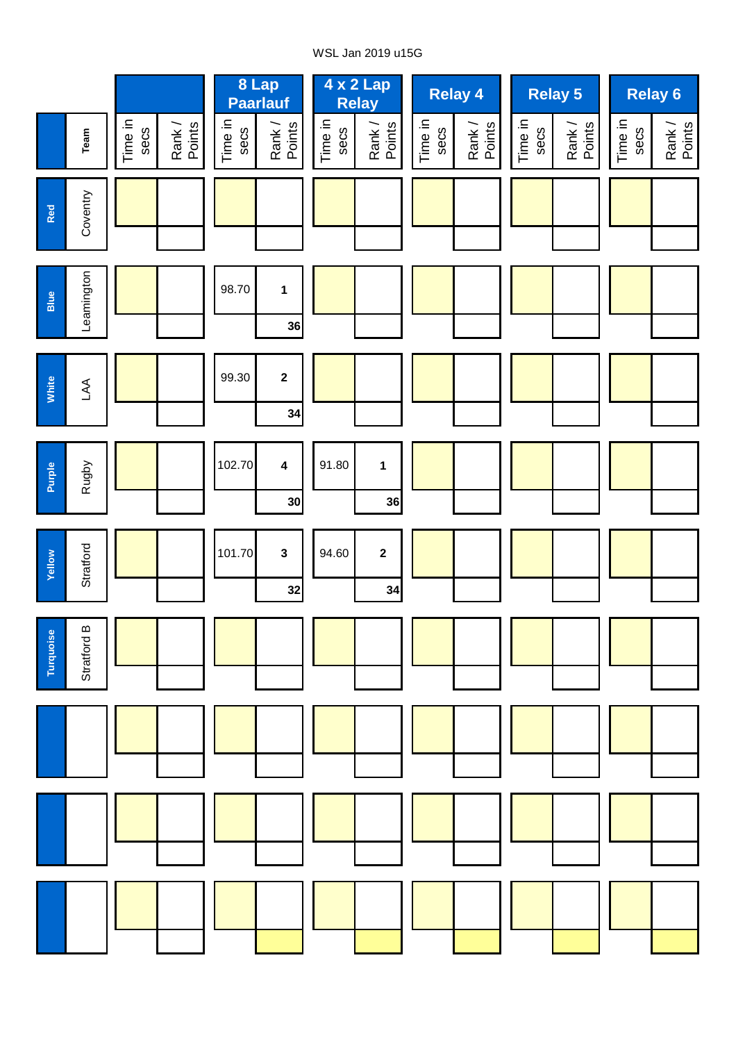# WSL Jan 2019 u15G

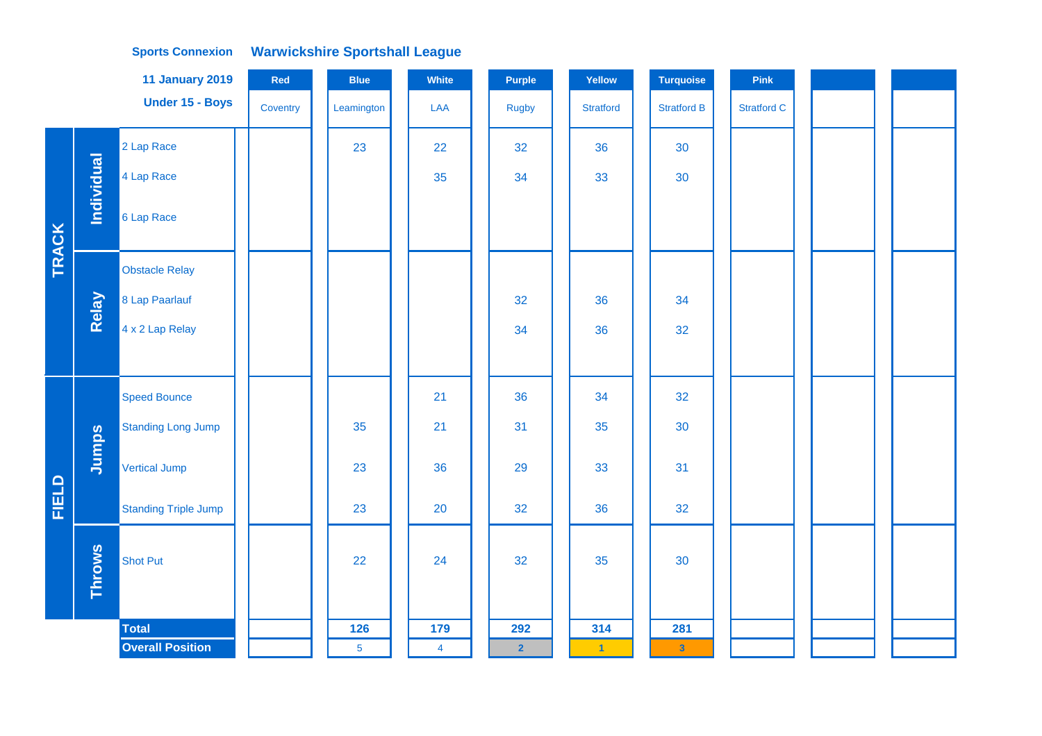## **Warwickshire Sportshall League Sports Connexion**

|       |               | <b>11 January 2019</b>      | Red      | <b>Blue</b>    | White          | Purple                  | Yellow           | <b>Turquoise</b>        | Pink               |  |
|-------|---------------|-----------------------------|----------|----------------|----------------|-------------------------|------------------|-------------------------|--------------------|--|
|       |               | Under 15 - Boys             | Coventry | Leamington     | LAA            | <b>Rugby</b>            | <b>Stratford</b> | <b>Stratford B</b>      | <b>Stratford C</b> |  |
|       |               | 2 Lap Race                  |          | 23             | 22             | 32                      | 36               | 30                      |                    |  |
|       | Individual    | 4 Lap Race                  |          |                | 35             | 34                      | 33               | 30                      |                    |  |
| TRACK |               | 6 Lap Race                  |          |                |                |                         |                  |                         |                    |  |
|       |               | <b>Obstacle Relay</b>       |          |                |                |                         |                  |                         |                    |  |
|       | Relay         | 8 Lap Paarlauf              |          |                |                | 32                      | 36               | 34                      |                    |  |
|       |               | 4 x 2 Lap Relay             |          |                |                | 34                      | 36               | 32                      |                    |  |
|       |               |                             |          |                |                |                         |                  |                         |                    |  |
|       |               | <b>Speed Bounce</b>         |          |                | 21             | 36                      | 34               | 32                      |                    |  |
|       |               | <b>Standing Long Jump</b>   |          | 35             | 21             | 31                      | 35               | 30                      |                    |  |
|       | Jumps         | <b>Vertical Jump</b>        |          | 23             | 36             | 29                      | 33               | 31                      |                    |  |
| FIELD |               | <b>Standing Triple Jump</b> |          | 23             | 20             | 32                      | 36               | 32                      |                    |  |
|       | <b>Throws</b> | <b>Shot Put</b>             |          | 22             | 24             | 32                      | 35               | 30                      |                    |  |
|       |               | <b>Total</b>                |          | 126            | 179            | 292                     | 314              | 281                     |                    |  |
|       |               | <b>Overall Position</b>     |          | $\overline{5}$ | $\overline{4}$ | $\overline{\mathbf{2}}$ | $\vert$ 1        | $\overline{\mathbf{3}}$ |                    |  |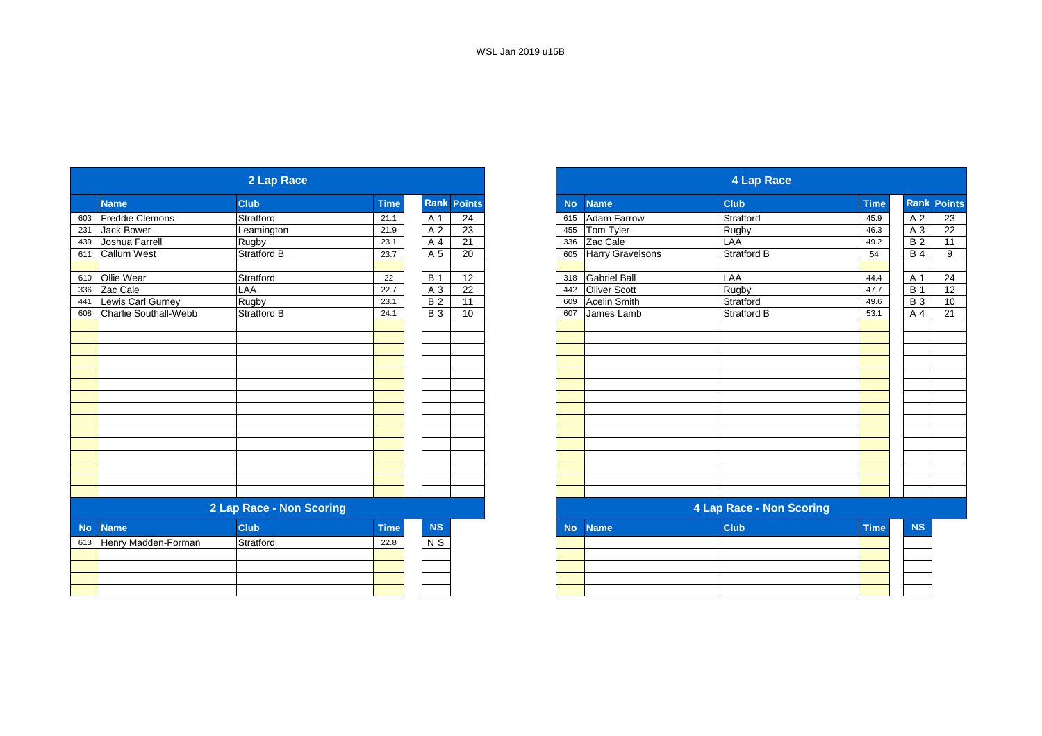|           |                        | 2 Lap Race               |             |                |                    |
|-----------|------------------------|--------------------------|-------------|----------------|--------------------|
|           | <b>Name</b>            | <b>Club</b>              | <b>Time</b> |                | <b>Rank Points</b> |
| 603       | <b>Freddie Clemons</b> | Stratford                | 21.1        | A 1            | 24                 |
| 231       | <b>Jack Bower</b>      | Leamington               | 21.9        | A 2            | 23                 |
| 439       | Joshua Farrell         | Rugby                    | 23.1        | A 4            | 21                 |
| 611       | <b>Callum West</b>     | Stratford B              | 23.7        | A 5            | 20                 |
| 610       | Ollie Wear             | Stratford                | 22          | <b>B</b> 1     | 12                 |
| 336       | Zac Cale               | LAA                      | 22.7        | A 3            | 22                 |
| 441       | Lewis Carl Gurney      | Rugby                    | 23.1        | <b>B2</b>      | 11                 |
| 608       | Charlie Southall-Webb  | <b>Stratford B</b>       | 24.1        | <b>B</b> 3     | 10                 |
|           |                        |                          |             |                |                    |
|           |                        |                          |             |                |                    |
|           |                        |                          |             |                |                    |
|           |                        |                          |             |                |                    |
|           |                        |                          |             |                |                    |
|           |                        |                          |             |                |                    |
|           |                        |                          |             |                |                    |
|           |                        |                          |             |                |                    |
|           |                        |                          |             |                |                    |
|           |                        |                          |             |                |                    |
|           |                        |                          |             |                |                    |
|           |                        |                          |             |                |                    |
|           |                        | 2 Lap Race - Non Scoring |             |                |                    |
| <b>No</b> | <b>Name</b>            | <b>Club</b>              | <b>Time</b> | <b>NS</b>      |                    |
| 613       | Henry Madden-Forman    | Stratford                | 22.8        | N <sub>S</sub> |                    |
|           |                        |                          |             |                |                    |
|           |                        |                          |             |                |                    |

|           |                       | 2 Lap Race               |             |             |                 |           |                     | 4 Lap Race               |             |                  |               |
|-----------|-----------------------|--------------------------|-------------|-------------|-----------------|-----------|---------------------|--------------------------|-------------|------------------|---------------|
|           | <b>Name</b>           | <b>Club</b>              | <b>Time</b> | <b>Rank</b> | <b>Points</b>   | <b>No</b> | <b>Name</b>         | <b>Club</b>              | <b>Time</b> | <b>Rank</b>      | <b>Points</b> |
| 603       | Freddie Clemons       | Stratford                | 21.1        | A 1         | 24              | 615       | <b>Adam Farrow</b>  | Stratford                | 45.9        | A 2              | 23            |
| 231       | <b>Jack Bower</b>     | Leamington               | 21.9        | A 2         | 23              | 455       | Tom Tyler           | Rugby                    | 46.3        | A 3              | 22            |
| 439       | Joshua Farrell        | Rugby                    | 23.1        | A 4         | 21              | 336       | Zac Cale            | LAA                      | 49.2        | <b>B2</b>        | 11            |
| 611       | <b>Callum West</b>    | <b>Stratford B</b>       | 23.7        | A 5         | 20              | 605       | Harry Gravelsons    | <b>Stratford B</b>       | 54          | $\overline{B4}$  | 9             |
| 610       | Ollie Wear            | Stratford                | 22          | <b>B</b> 1  | 12              | 318       | <b>Gabriel Ball</b> | <b>LAA</b>               | 44.4        | A 1              | 24            |
| 336       | Zac Cale              | LAA                      | 22.7        | A 3         | $\overline{22}$ | 442       | <b>Oliver Scott</b> | Rugby                    | 47.7        | $\overline{B}$ 1 | 12            |
| 441       | Lewis Carl Gurney     | Rugby                    | 23.1        | <b>B2</b>   | 11              | 609       | <b>Acelin Smith</b> | Stratford                | 49.6        | <b>B</b> 3       | 10            |
| 608       | Charlie Southall-Webb | Stratford B              | 24.1        | <b>B</b> 3  | 10              | 607       | James Lamb          | Stratford B              | 53.1        | A 4              | 21            |
|           |                       |                          |             |             |                 |           |                     |                          |             |                  |               |
|           |                       |                          |             |             |                 |           |                     |                          |             |                  |               |
|           |                       |                          |             |             |                 |           |                     |                          |             |                  |               |
|           |                       |                          |             |             |                 |           |                     |                          |             |                  |               |
|           |                       |                          |             |             |                 |           |                     |                          |             |                  |               |
|           |                       |                          |             |             |                 |           |                     |                          |             |                  |               |
|           |                       |                          |             |             |                 |           |                     |                          |             |                  |               |
|           |                       |                          |             |             |                 |           |                     |                          |             |                  |               |
|           |                       |                          |             |             |                 |           |                     |                          |             |                  |               |
|           |                       |                          |             |             |                 |           |                     |                          |             |                  |               |
|           |                       |                          |             |             |                 |           |                     |                          |             |                  |               |
|           |                       |                          |             |             |                 |           |                     |                          |             |                  |               |
|           |                       |                          |             |             |                 |           |                     |                          |             |                  |               |
|           |                       |                          |             |             |                 |           |                     |                          |             |                  |               |
|           |                       |                          |             |             |                 |           |                     |                          |             |                  |               |
|           |                       | 2 Lap Race - Non Scoring |             |             |                 |           |                     | 4 Lap Race - Non Scoring |             |                  |               |
| <b>No</b> | <b>Name</b>           | <b>Club</b>              | <b>Time</b> | NS          |                 | <b>No</b> | <b>Name</b>         | <b>Club</b>              | <b>Time</b> | <b>NS</b>        |               |
| 613       | Henry Madden-Forman   | Stratford                | 22.8        | $N$ S       |                 |           |                     |                          |             |                  |               |
|           |                       |                          |             |             |                 |           |                     |                          |             |                  |               |
|           |                       |                          |             |             |                 |           |                     |                          |             |                  |               |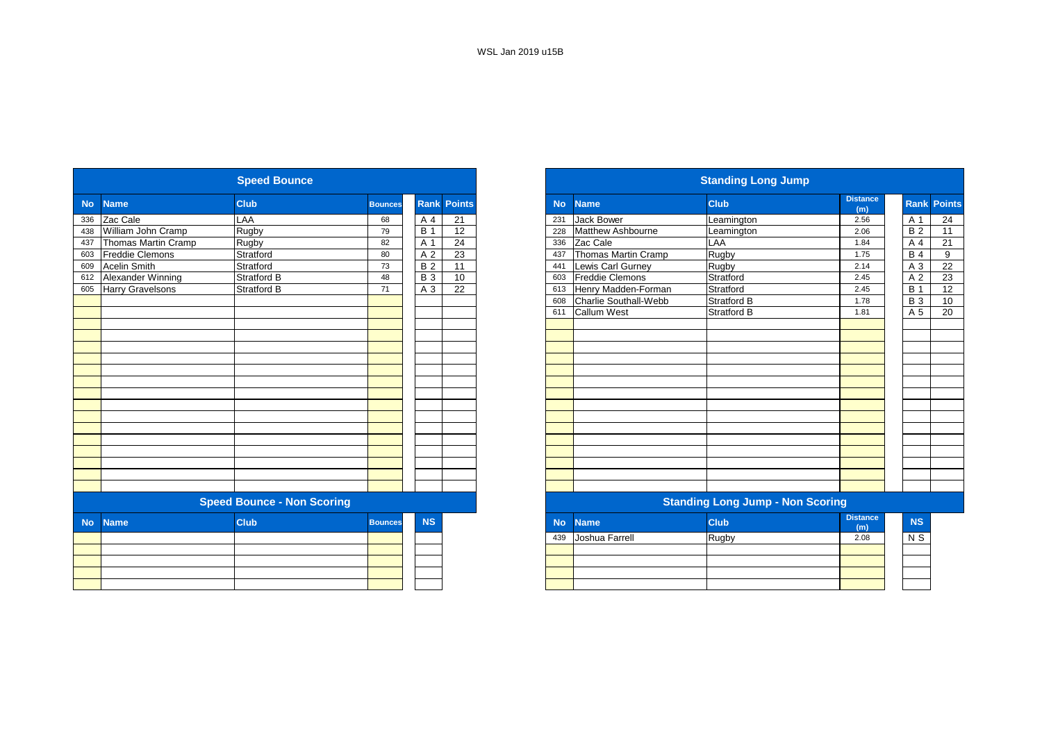|           |                         | <b>Speed Bounce</b>               |                |            |                    |           |                          | <b>Standing Long Jump</b>               |                        |
|-----------|-------------------------|-----------------------------------|----------------|------------|--------------------|-----------|--------------------------|-----------------------------------------|------------------------|
| <b>No</b> | <b>Name</b>             | <b>Club</b>                       | <b>Bounces</b> |            | <b>Rank Points</b> | <b>No</b> | <b>Name</b>              | <b>Club</b>                             | <b>Distance</b><br>(m) |
| 336       | Zac Cale                | LAA                               | 68             | A 4        | 21                 | 231       | Jack Bower               | Leamington                              | 2.56                   |
| 438       | William John Cramp      | Rugby                             | 79             | <b>B</b> 1 | 12                 | 228       | <b>Matthew Ashbourne</b> | Leamington                              | 2.06                   |
| 437       | Thomas Martin Cramp     | <b>Rugby</b>                      | 82             | A 1        | 24                 | 336       | Zac Cale                 | LAA                                     | 1.84                   |
| 603       | <b>Freddie Clemons</b>  | Stratford                         | 80             | A 2        | 23                 | 437       | Thomas Martin Cramp      | Rugby                                   | 1.75                   |
| 609       | <b>Acelin Smith</b>     | Stratford                         | 73             | <b>B2</b>  | 11                 | 441       | Lewis Carl Gurney        | Rugby                                   | 2.14                   |
| 612       | Alexander Winning       | <b>Stratford B</b>                | 48             | <b>B3</b>  | 10                 | 603       | <b>Freddie Clemons</b>   | Stratford                               | 2.45                   |
| 605       | <b>Harry Gravelsons</b> | <b>Stratford B</b>                | 71             | A 3        | 22                 | 613       | Henry Madden-Forman      | Stratford                               | 2.45                   |
|           |                         |                                   |                |            |                    | 608       | Charlie Southall-Webb    | <b>Stratford B</b>                      | 1.78                   |
|           |                         |                                   |                |            |                    | 611       | Callum West              | <b>Stratford B</b>                      | 1.81                   |
|           |                         |                                   |                |            |                    |           |                          |                                         |                        |
|           |                         |                                   |                |            |                    |           |                          |                                         |                        |
|           |                         |                                   |                |            |                    |           |                          |                                         |                        |
|           |                         |                                   |                |            |                    |           |                          |                                         |                        |
|           |                         |                                   |                |            |                    |           |                          |                                         |                        |
|           |                         |                                   |                |            |                    |           |                          |                                         |                        |
|           |                         |                                   |                |            |                    |           |                          |                                         |                        |
|           |                         |                                   |                |            |                    |           |                          |                                         |                        |
|           |                         |                                   |                |            |                    |           |                          |                                         |                        |
|           |                         |                                   |                |            |                    |           |                          |                                         |                        |
|           |                         |                                   |                |            |                    |           |                          |                                         |                        |
|           |                         |                                   |                |            |                    |           |                          |                                         |                        |
|           |                         |                                   |                |            |                    |           |                          |                                         |                        |
|           |                         |                                   |                |            |                    |           |                          |                                         |                        |
|           |                         |                                   |                |            |                    |           |                          |                                         |                        |
|           |                         | <b>Speed Bounce - Non Scoring</b> |                |            |                    |           |                          | <b>Standing Long Jump - Non Scoring</b> |                        |
| <b>No</b> | <b>Name</b>             | <b>Club</b>                       | <b>Bounces</b> | <b>NS</b>  |                    | <b>No</b> | <b>Name</b>              | <b>Club</b>                             | <b>Distance</b><br>(m) |
|           |                         |                                   |                |            |                    | 439       | Joshua Farrell           | Rugby                                   | 2.08                   |
|           |                         |                                   |                |            |                    |           |                          |                                         |                        |
|           |                         |                                   |                |            |                    |           |                          |                                         |                        |
|           |                         |                                   |                |            |                    |           |                          |                                         |                        |
|           |                         |                                   |                |            |                    |           |                          |                                         |                        |
|           |                         |                                   |                |            |                    |           |                          |                                         |                        |

|                          | <b>Speed Bounce</b>               |                |                |                    |
|--------------------------|-----------------------------------|----------------|----------------|--------------------|
| <b>Name</b>              | <b>Club</b>                       | <b>Bounces</b> |                | <b>Rank Points</b> |
| Zac Cale                 | LAA                               | 68             | A 4            | 21                 |
| William John Cramp       | Rugby                             | 79             | <b>B</b> 1     | $\overline{12}$    |
| Thomas Martin Cramp      | Rugby                             | 82             | A 1            | 24                 |
| <b>Freddie Clemons</b>   | Stratford                         | 80             | A <sub>2</sub> | 23                 |
| <b>Acelin Smith</b>      | Stratford                         | 73             | <b>B2</b>      | 11                 |
| Alexander Winning        | <b>Stratford B</b>                | 48             | <b>B</b> 3     | 10                 |
| <b>Harry Gravelsons</b>  | Stratford B                       | 71             | A 3            | 22                 |
|                          |                                   |                |                |                    |
|                          |                                   |                |                |                    |
|                          |                                   |                |                |                    |
|                          |                                   |                |                |                    |
|                          |                                   |                |                |                    |
|                          |                                   |                |                |                    |
|                          |                                   |                |                |                    |
|                          |                                   |                |                |                    |
|                          |                                   |                |                |                    |
|                          |                                   |                |                |                    |
|                          |                                   |                |                |                    |
|                          |                                   |                |                |                    |
|                          |                                   |                |                |                    |
|                          |                                   |                |                |                    |
|                          |                                   |                |                |                    |
|                          |                                   |                |                |                    |
|                          |                                   |                |                |                    |
|                          | <b>Speed Bounce - Non Scoring</b> |                |                |                    |
| <b>No</b><br><b>Name</b> | <b>Club</b>                       | <b>Bounces</b> | <b>NS</b>      |                    |
|                          |                                   |                |                |                    |
|                          |                                   |                |                |                    |
|                          |                                   |                |                |                    |
|                          |                                   |                |                |                    |
|                          |                                   |                |                |                    |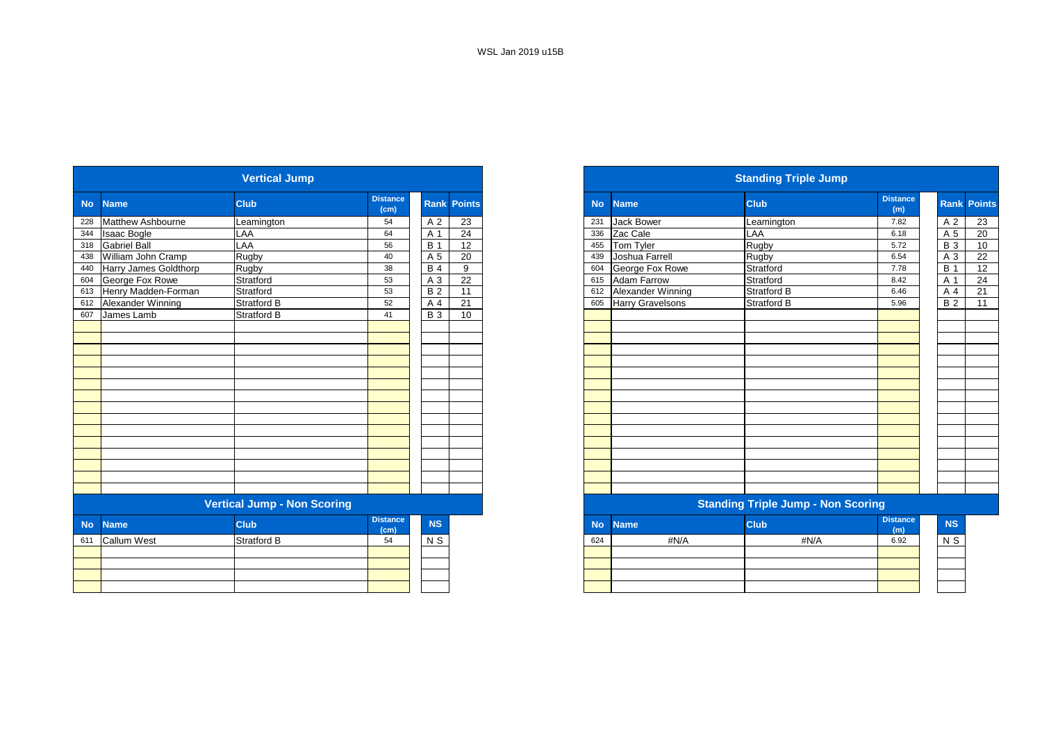|           |                       | <b>Vertical Jump</b>               |                         |                  |                    |           |                         | <b>Standing Triple Jump</b>               |                        |                  |  |
|-----------|-----------------------|------------------------------------|-------------------------|------------------|--------------------|-----------|-------------------------|-------------------------------------------|------------------------|------------------|--|
| <b>No</b> | <b>Name</b>           | <b>Club</b>                        | <b>Distance</b><br>(cm) |                  | <b>Rank Points</b> | <b>No</b> | <b>Name</b>             | <b>Club</b>                               | <b>Distance</b><br>(m) | Rank Po          |  |
| 228       | Matthew Ashbourne     | Leamington                         | 54                      | A 2              | 23                 | 231       | <b>Jack Bower</b>       | Leamington                                | 7.82                   | A 2              |  |
| 344       | <b>Isaac Bogle</b>    | LAA                                | 64                      | A 1              | 24                 | 336       | Zac Cale                | LAA                                       | 6.18                   | A 5              |  |
| 318       | <b>Gabriel Ball</b>   | <b>LAA</b>                         | 56                      | $\overline{B}$ 1 | 12                 | 455       | Tom Tyler               | Rugby                                     | 5.72                   | $B_3$            |  |
| 438       | William John Cramp    | Rugby                              | 40                      | A 5              | 20                 | 439       | Joshua Farrell          | Rugby                                     | 6.54                   | A 3              |  |
| 440       | Harry James Goldthorp | Rugby                              | 38                      | $\overline{B4}$  | 9                  | 604       | George Fox Rowe         | Stratford                                 | 7.78                   | $\overline{B}$ 1 |  |
| 604       | George Fox Rowe       | Stratford                          | 53                      | A 3              | $\overline{22}$    | 615       | <b>Adam Farrow</b>      | Stratford                                 | 8.42                   | A 1              |  |
| 613       | Henry Madden-Forman   | Stratford                          | 53                      | <b>B2</b>        | 11                 | 612       | Alexander Winning       | <b>Stratford B</b>                        | 6.46                   | A 4              |  |
| 612       | Alexander Winning     | <b>Stratford B</b>                 | 52                      | A 4              | 21                 | 605       | <b>Harry Gravelsons</b> | <b>Stratford B</b>                        | 5.96                   | B <sub>2</sub>   |  |
| 607       | James Lamb            | <b>Stratford B</b>                 | 41                      | $B_3$            | 10                 |           |                         |                                           |                        |                  |  |
|           |                       |                                    |                         |                  |                    |           |                         |                                           |                        |                  |  |
|           |                       |                                    |                         |                  |                    |           |                         |                                           |                        |                  |  |
|           |                       |                                    |                         |                  |                    |           |                         |                                           |                        |                  |  |
|           |                       |                                    |                         |                  |                    |           |                         |                                           |                        |                  |  |
|           |                       |                                    |                         |                  |                    |           |                         |                                           |                        |                  |  |
|           |                       |                                    |                         |                  |                    |           |                         |                                           |                        |                  |  |
|           |                       |                                    |                         |                  |                    |           |                         |                                           |                        |                  |  |
|           |                       |                                    |                         |                  |                    |           |                         |                                           |                        |                  |  |
|           |                       |                                    |                         |                  |                    |           |                         |                                           |                        |                  |  |
|           |                       |                                    |                         |                  |                    |           |                         |                                           |                        |                  |  |
|           |                       |                                    |                         |                  |                    |           |                         |                                           |                        |                  |  |
|           |                       |                                    |                         |                  |                    |           |                         |                                           |                        |                  |  |
|           |                       |                                    |                         |                  |                    |           |                         |                                           |                        |                  |  |
|           |                       |                                    |                         |                  |                    |           |                         |                                           |                        |                  |  |
|           |                       |                                    |                         |                  |                    |           |                         |                                           |                        |                  |  |
|           |                       | <b>Vertical Jump - Non Scoring</b> |                         |                  |                    |           |                         | <b>Standing Triple Jump - Non Scoring</b> |                        |                  |  |
| <b>No</b> | <b>Name</b>           | <b>Club</b>                        | <b>Distance</b><br>(cm) | NS               |                    | <b>No</b> | <b>Name</b>             | <b>Club</b>                               | <b>Distance</b><br>(m) | <b>NS</b>        |  |
| 611       | <b>Callum West</b>    | <b>Stratford B</b>                 | 54                      | $N$ S            |                    | 624       | #N/A                    | #N/A                                      | 6.92                   | $N$ S            |  |
|           |                       |                                    |                         |                  |                    |           |                         |                                           |                        |                  |  |
|           |                       |                                    |                         |                  |                    |           |                         |                                           |                        |                  |  |
|           |                       |                                    |                         |                  |                    |           |                         |                                           |                        |                  |  |
|           |                       |                                    |                         |                  |                    |           |                         |                                           |                        |                  |  |

|                              | <b>Vertical Jump</b>               |                         |            |                    |
|------------------------------|------------------------------------|-------------------------|------------|--------------------|
| No Name                      | <b>Club</b>                        | <b>Distance</b><br>(cm) |            | <b>Rank Points</b> |
| 228 Matthew Ashbourne        | Leamington                         | 54                      | A 2        | 23                 |
| 344 Isaac Bogle              | LAA                                | 64                      | A 1        | 24                 |
| 318 Gabriel Ball             | LAA                                | 56                      | B          | 12                 |
| 438 William John Cramp       | Rugby                              | 40                      | A 5        | 20                 |
| 440<br>Harry James Goldthorp | Rugby                              | 38                      | <b>B</b> 4 | 9                  |
| 604 George Fox Rowe          | Stratford                          | 53                      | A 3        | 22                 |
| 613 Henry Madden-Forman      | Stratford                          | 53                      | <b>B2</b>  | 11                 |
| 612 Alexander Winning        | <b>Stratford B</b>                 | 52                      | A 4        | 21                 |
| 607<br>James Lamb            | <b>Stratford B</b>                 | 41                      | <b>B</b> 3 | 10                 |
|                              |                                    |                         |            |                    |
|                              |                                    |                         |            |                    |
|                              |                                    |                         |            |                    |
|                              |                                    |                         |            |                    |
|                              |                                    |                         |            |                    |
|                              |                                    |                         |            |                    |
|                              |                                    |                         |            |                    |
|                              |                                    |                         |            |                    |
|                              |                                    |                         |            |                    |
|                              |                                    |                         |            |                    |
|                              |                                    |                         |            |                    |
|                              |                                    |                         |            |                    |
|                              |                                    |                         |            |                    |
|                              |                                    |                         |            |                    |
|                              |                                    |                         |            |                    |
|                              | <b>Vertical Jump - Non Scoring</b> |                         |            |                    |

|                       |           |           | . .         |             | $\sim$                 |           |
|-----------------------|-----------|-----------|-------------|-------------|------------------------|-----------|
| <b>stance</b><br>(cm) | <b>NS</b> | <b>No</b> | <b>Name</b> | <b>Club</b> | <b>Distance</b><br>(m) | <b>NS</b> |
| 54                    | N S       | 624       | #N/A        | #N/A        | 6.92                   | N S       |
|                       |           |           |             |             |                        |           |
|                       |           |           |             |             |                        |           |
|                       |           |           |             |             |                        |           |
|                       |           |           |             |             |                        |           |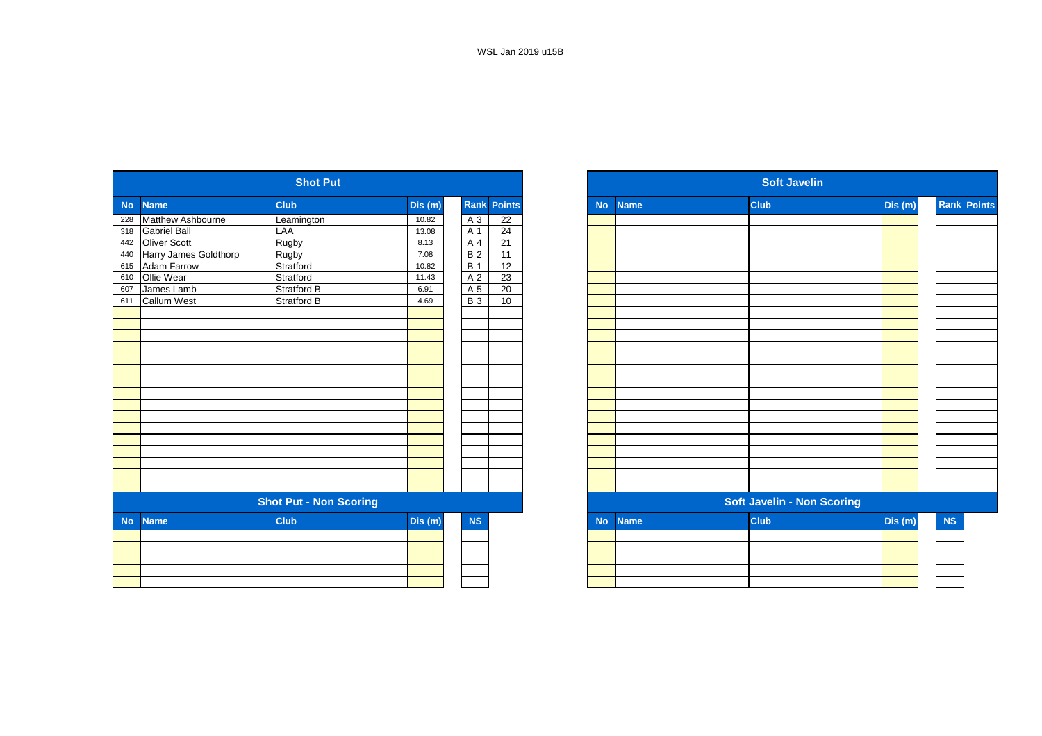|           |                       | <b>Shot Put</b>               |         |                |                    |
|-----------|-----------------------|-------------------------------|---------|----------------|--------------------|
| <b>No</b> | <b>Name</b>           | <b>Club</b>                   | Dis (m) |                | <b>Rank Points</b> |
| 228       | Matthew Ashbourne     | Leamington                    | 10.82   | A 3            | 22                 |
| 318       | <b>Gabriel Ball</b>   | LAA                           | 13.08   | A 1            | 24                 |
| 442       | <b>Oliver Scott</b>   | Rugby                         | 8.13    | A 4            | 21                 |
| 440       | Harry James Goldthorp | Rugby                         | 7.08    | B <sub>2</sub> | 11                 |
| 615       | <b>Adam Farrow</b>    | Stratford                     | 10.82   | <b>B</b> 1     | 12                 |
| 610       | Ollie Wear            | Stratford                     | 11.43   | A <sub>2</sub> | $\overline{23}$    |
| 607       | James Lamb            | Stratford B                   | 6.91    | A 5            | 20                 |
| 611       | <b>Callum West</b>    | <b>Stratford B</b>            | 4.69    | $B_3$          | 10                 |
|           |                       |                               |         |                |                    |
|           |                       |                               |         |                |                    |
|           |                       |                               |         |                |                    |
|           |                       |                               |         |                |                    |
|           |                       |                               |         |                |                    |
|           |                       |                               |         |                |                    |
|           |                       |                               |         |                |                    |
|           |                       |                               |         |                |                    |
|           |                       |                               |         |                |                    |
|           |                       |                               |         |                |                    |
|           |                       |                               |         |                |                    |
|           |                       |                               |         |                |                    |
|           |                       |                               |         |                |                    |
|           |                       |                               |         |                |                    |
|           |                       |                               |         |                |                    |
|           |                       |                               |         |                |                    |
|           |                       | <b>Shot Put - Non Scoring</b> |         |                |                    |
| <b>No</b> | <b>Name</b>           | <b>Club</b>                   | Dis(m)  | NS             |                    |
|           |                       |                               |         |                |                    |
|           |                       |                               |         |                |                    |
|           |                       |                               |         |                |                    |
|           |                       |                               |         |                |                    |
|           |                       |                               |         |                |                    |
|           |                       |                               |         |                |                    |

|            |                       | <b>Shot Put</b>               |         |            |                    |
|------------|-----------------------|-------------------------------|---------|------------|--------------------|
| <b>No</b>  | <b>Name</b>           | <b>Club</b>                   | Dis (m) |            | <b>Rank Points</b> |
|            | Matthew Ashbourne     | Leamington                    | 10.82   | A 3        | 22                 |
| 228<br>318 | <b>Gabriel Ball</b>   | LAA                           | 13.08   | A 1        | $\overline{24}$    |
| 442        | Oliver Scott          | Rugby                         | 8.13    | A 4        | 21                 |
| 440        | Harry James Goldthorp | Rugby                         | 7.08    | <b>B2</b>  | 11                 |
| 615        | Adam Farrow           | Stratford                     | 10.82   | <b>B</b> 1 | 12                 |
| 610        | Ollie Wear            | Stratford                     | 11.43   | A 2        | 23                 |
| 607        | James Lamb            | <b>Stratford B</b>            | 6.91    | A 5        | 20                 |
| 611        | <b>Callum West</b>    | Stratford B                   | 4.69    | $B_3$      | 10                 |
|            |                       |                               |         |            |                    |
|            |                       |                               |         |            |                    |
|            |                       |                               |         |            |                    |
|            |                       |                               |         |            |                    |
|            |                       |                               |         |            |                    |
|            |                       |                               |         |            |                    |
|            |                       |                               |         |            |                    |
|            |                       |                               |         |            |                    |
|            |                       |                               |         |            |                    |
|            |                       |                               |         |            |                    |
|            |                       |                               |         |            |                    |
|            |                       |                               |         |            |                    |
|            |                       |                               |         |            |                    |
|            |                       |                               |         |            |                    |
|            |                       |                               |         |            |                    |
|            |                       |                               |         |            |                    |
|            |                       | <b>Shot Put - Non Scoring</b> |         |            |                    |
| <b>No</b>  | <b>Name</b>           | <b>Club</b>                   | Dis (m) | <b>NS</b>  |                    |
|            |                       |                               |         |            |                    |
|            |                       |                               |         |            |                    |
|            |                       |                               |         |            |                    |
|            |                       |                               |         |            |                    |
|            |                       |                               |         |            |                    |